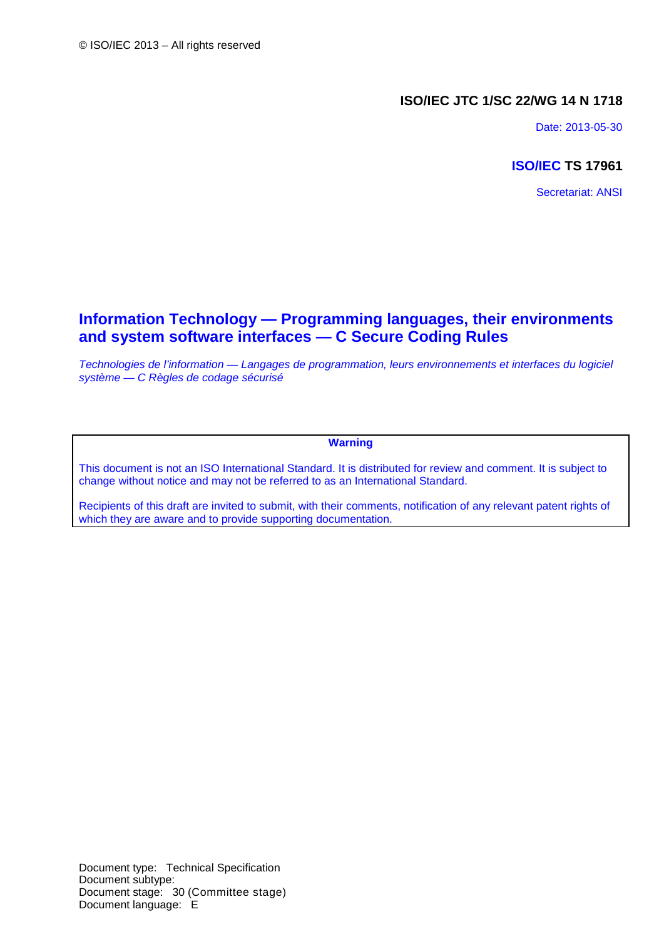## **ISO/IEC JTC 1/SC 22/WG 14 N 1718**

Date: 2013-05-30

## **ISO/IEC TS 17961**

Secretariat: ANSI

## **Information Technology — Programming languages, their environments and system software interfaces — C Secure Coding Rules**

*Technologies de l'information — Langages de programmation, leurs environnements et interfaces du logiciel système — C Règles de codage sécurisé*

### **Warning**

This document is not an ISO International Standard. It is distributed for review and comment. It is subject to change without notice and may not be referred to as an International Standard.

Recipients of this draft are invited to submit, with their comments, notification of any relevant patent rights of which they are aware and to provide supporting documentation.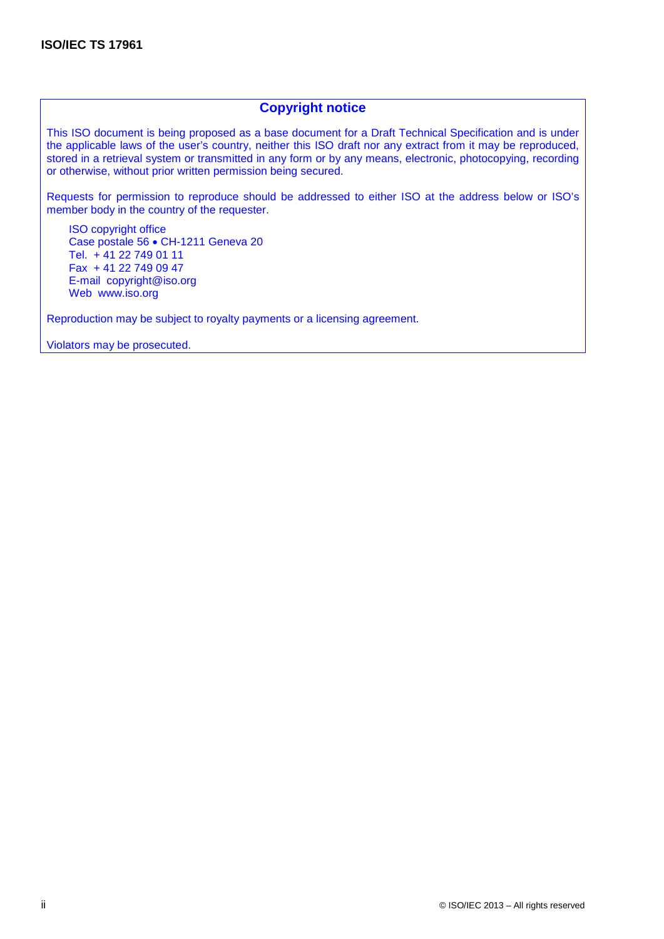## **Copyright notice**

This ISO document is being proposed as a base document for a Draft Technical Specification and is under the applicable laws of the user's country, neither this ISO draft nor any extract from it may be reproduced, stored in a retrieval system or transmitted in any form or by any means, electronic, photocopying, recording or otherwise, without prior written permission being secured.

Requests for permission to reproduce should be addressed to either ISO at the address below or ISO's member body in the country of the requester.

ISO copyright office Case postale 56 • CH-1211 Geneva 20 Tel. + 41 22 749 01 11 Fax + 41 22 749 09 47 E-mail copyright@iso.org Web www.iso.org

Reproduction may be subject to royalty payments or a licensing agreement.

Violators may be prosecuted.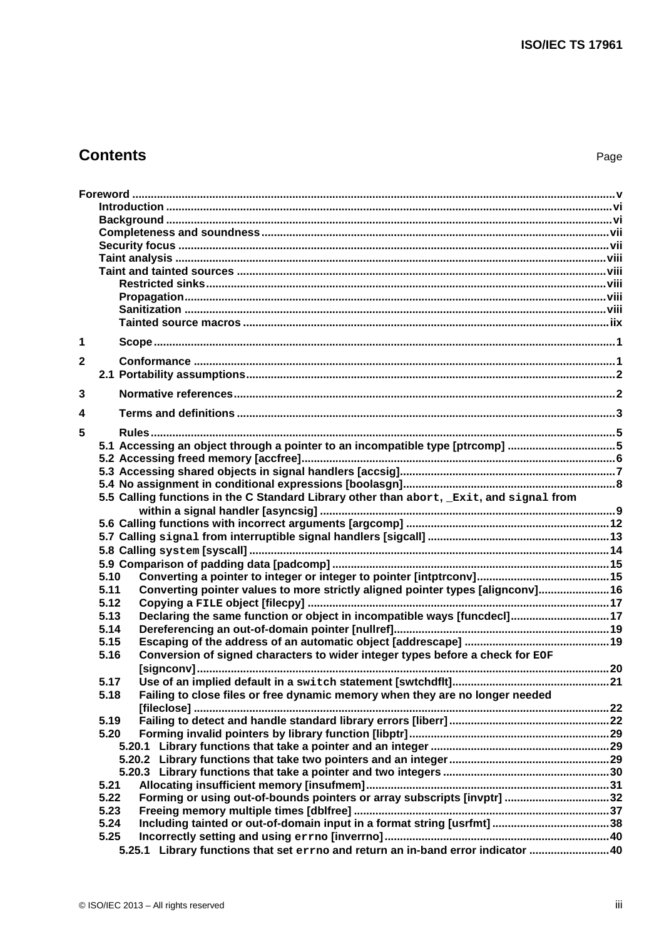## **Contents** Page

| 1           |                                                                                         |  |
|-------------|-----------------------------------------------------------------------------------------|--|
|             |                                                                                         |  |
| $\mathbf 2$ |                                                                                         |  |
|             |                                                                                         |  |
| 3           |                                                                                         |  |
| 4           |                                                                                         |  |
| 5           |                                                                                         |  |
|             | 5.1 Accessing an object through a pointer to an incompatible type [ptrcomp] 5           |  |
|             |                                                                                         |  |
|             |                                                                                         |  |
|             |                                                                                         |  |
|             | 5.5 Calling functions in the C Standard Library other than abort, Exit, and signal from |  |
|             |                                                                                         |  |
|             |                                                                                         |  |
|             |                                                                                         |  |
|             |                                                                                         |  |
|             |                                                                                         |  |
|             | 5.10                                                                                    |  |
|             | Converting pointer values to more strictly aligned pointer types [alignconv] 16<br>5.11 |  |
|             | 5.12                                                                                    |  |
|             | Declaring the same function or object in incompatible ways [funcdecl]17<br>5.13         |  |
|             | 5.14                                                                                    |  |
|             | 5.15                                                                                    |  |
|             | Conversion of signed characters to wider integer types before a check for EOF<br>5.16   |  |
|             |                                                                                         |  |
|             | 5.17                                                                                    |  |
|             |                                                                                         |  |
|             | Failing to close files or free dynamic memory when they are no longer needed<br>5.18    |  |
|             |                                                                                         |  |
|             | 5.19                                                                                    |  |
|             | 5.20                                                                                    |  |
|             |                                                                                         |  |
|             |                                                                                         |  |
|             |                                                                                         |  |
|             | 5.21                                                                                    |  |
|             | Forming or using out-of-bounds pointers or array subscripts [invptr] 32<br>5.22         |  |
|             | 5.23                                                                                    |  |
|             | 5.24                                                                                    |  |
|             | 5.25                                                                                    |  |
|             | 5.25.1 Library functions that set errno and return an in-band error indicator 40        |  |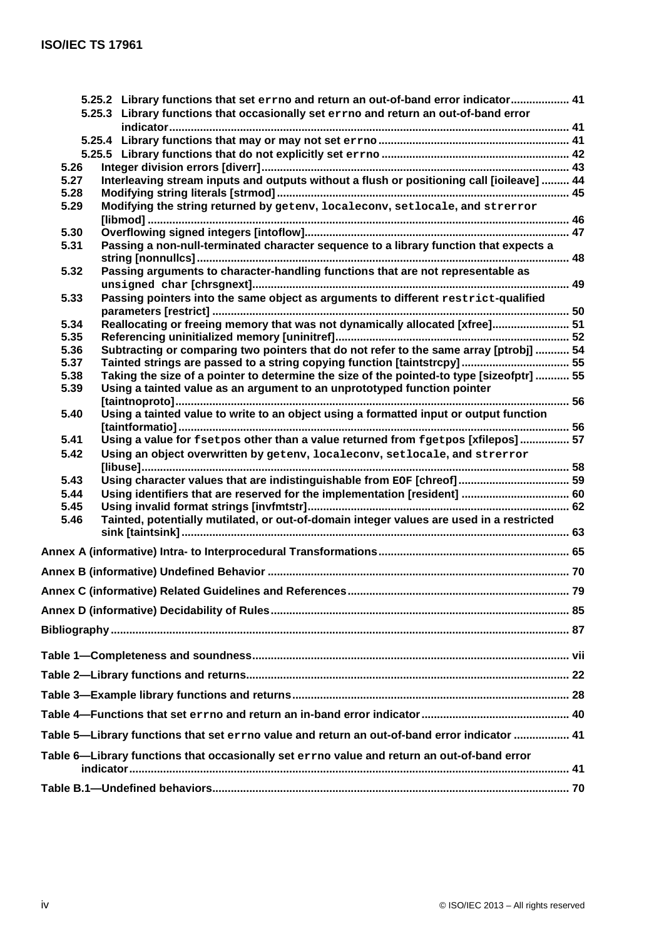|                                                                                             |  | 5.25.2 Library functions that set errno and return an out-of-band error indicator 41            |  |  |
|---------------------------------------------------------------------------------------------|--|-------------------------------------------------------------------------------------------------|--|--|
|                                                                                             |  | 5.25.3 Library functions that occasionally set errno and return an out-of-band error            |  |  |
|                                                                                             |  |                                                                                                 |  |  |
|                                                                                             |  |                                                                                                 |  |  |
|                                                                                             |  |                                                                                                 |  |  |
| 5.26<br>5.27                                                                                |  | Interleaving stream inputs and outputs without a flush or positioning call [ioileave]  44       |  |  |
| 5.28                                                                                        |  |                                                                                                 |  |  |
| 5.29                                                                                        |  | Modifying the string returned by getenv, localeconv, setlocale, and strerror                    |  |  |
|                                                                                             |  |                                                                                                 |  |  |
| 5.30                                                                                        |  |                                                                                                 |  |  |
| 5.31                                                                                        |  | Passing a non-null-terminated character sequence to a library function that expects a           |  |  |
|                                                                                             |  |                                                                                                 |  |  |
| 5.32                                                                                        |  | Passing arguments to character-handling functions that are not representable as                 |  |  |
|                                                                                             |  |                                                                                                 |  |  |
| 5.33                                                                                        |  | Passing pointers into the same object as arguments to different restrict-qualified              |  |  |
|                                                                                             |  |                                                                                                 |  |  |
| 5.34                                                                                        |  | Reallocating or freeing memory that was not dynamically allocated [xfree] 51                    |  |  |
| 5.35                                                                                        |  |                                                                                                 |  |  |
| 5.36                                                                                        |  | Subtracting or comparing two pointers that do not refer to the same array [ptrobj]  54          |  |  |
| 5.37                                                                                        |  | Tainted strings are passed to a string copying function [taintstrcpy] 55                        |  |  |
| 5.38                                                                                        |  | Taking the size of a pointer to determine the size of the pointed-to type [sizeofptr]  55       |  |  |
| 5.39                                                                                        |  | Using a tainted value as an argument to an unprototyped function pointer                        |  |  |
|                                                                                             |  |                                                                                                 |  |  |
| 5.40                                                                                        |  | Using a tainted value to write to an object using a formatted input or output function          |  |  |
|                                                                                             |  |                                                                                                 |  |  |
| 5.41                                                                                        |  | Using a value for fsetpos other than a value returned from fgetpos [xfilepos] 57                |  |  |
| 5.42                                                                                        |  | Using an object overwritten by geteny, localecony, setlocale, and strerror                      |  |  |
|                                                                                             |  |                                                                                                 |  |  |
| 5.43                                                                                        |  |                                                                                                 |  |  |
| 5.44                                                                                        |  | Using identifiers that are reserved for the implementation [resident]  60                       |  |  |
| 5.45                                                                                        |  |                                                                                                 |  |  |
| 5.46                                                                                        |  | Tainted, potentially mutilated, or out-of-domain integer values are used in a restricted        |  |  |
|                                                                                             |  |                                                                                                 |  |  |
|                                                                                             |  |                                                                                                 |  |  |
|                                                                                             |  |                                                                                                 |  |  |
|                                                                                             |  |                                                                                                 |  |  |
|                                                                                             |  |                                                                                                 |  |  |
|                                                                                             |  |                                                                                                 |  |  |
|                                                                                             |  |                                                                                                 |  |  |
|                                                                                             |  |                                                                                                 |  |  |
|                                                                                             |  |                                                                                                 |  |  |
|                                                                                             |  |                                                                                                 |  |  |
|                                                                                             |  |                                                                                                 |  |  |
|                                                                                             |  |                                                                                                 |  |  |
|                                                                                             |  | 41 Table 5—Library functions that set errno value and return an out-of-band error indicator  41 |  |  |
| Table 6—Library functions that occasionally set errno value and return an out-of-band error |  |                                                                                                 |  |  |
|                                                                                             |  |                                                                                                 |  |  |
|                                                                                             |  |                                                                                                 |  |  |
|                                                                                             |  |                                                                                                 |  |  |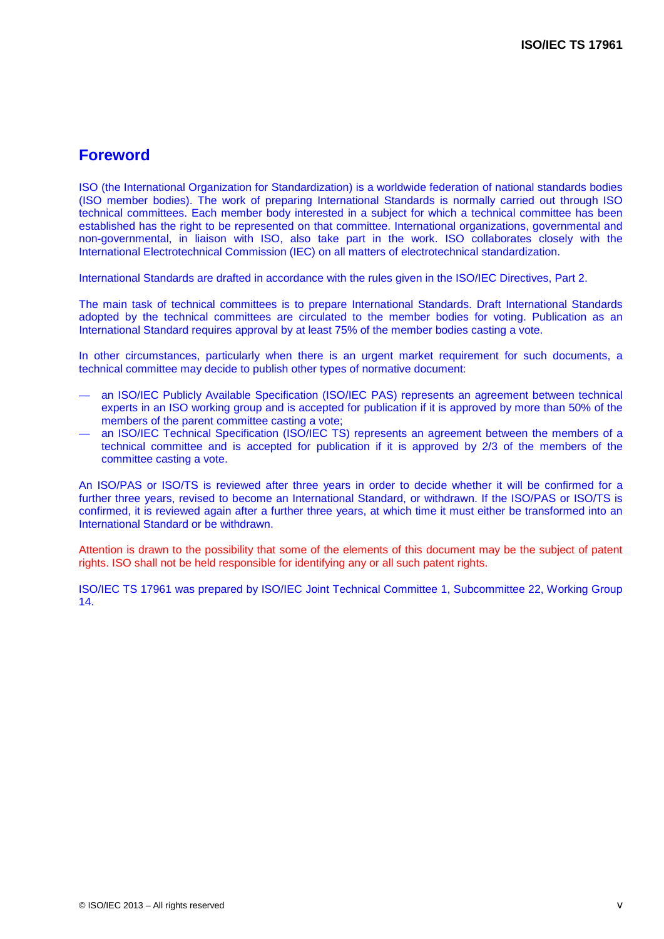## **Foreword**

ISO (the International Organization for Standardization) is a worldwide federation of national standards bodies (ISO member bodies). The work of preparing International Standards is normally carried out through ISO technical committees. Each member body interested in a subject for which a technical committee has been established has the right to be represented on that committee. International organizations, governmental and non-governmental, in liaison with ISO, also take part in the work. ISO collaborates closely with the International Electrotechnical Commission (IEC) on all matters of electrotechnical standardization.

International Standards are drafted in accordance with the rules given in the ISO/IEC Directives, Part 2.

The main task of technical committees is to prepare International Standards. Draft International Standards adopted by the technical committees are circulated to the member bodies for voting. Publication as an International Standard requires approval by at least 75% of the member bodies casting a vote.

In other circumstances, particularly when there is an urgent market requirement for such documents, a technical committee may decide to publish other types of normative document:

- an ISO/IEC Publicly Available Specification (ISO/IEC PAS) represents an agreement between technical experts in an ISO working group and is accepted for publication if it is approved by more than 50% of the members of the parent committee casting a vote;
- an ISO/IEC Technical Specification (ISO/IEC TS) represents an agreement between the members of a technical committee and is accepted for publication if it is approved by 2/3 of the members of the committee casting a vote.

An ISO/PAS or ISO/TS is reviewed after three years in order to decide whether it will be confirmed for a further three years, revised to become an International Standard, or withdrawn. If the ISO/PAS or ISO/TS is confirmed, it is reviewed again after a further three years, at which time it must either be transformed into an International Standard or be withdrawn.

Attention is drawn to the possibility that some of the elements of this document may be the subject of patent rights. ISO shall not be held responsible for identifying any or all such patent rights.

ISO/IEC TS 17961 was prepared by ISO/IEC Joint Technical Committee 1, Subcommittee 22, Working Group 14.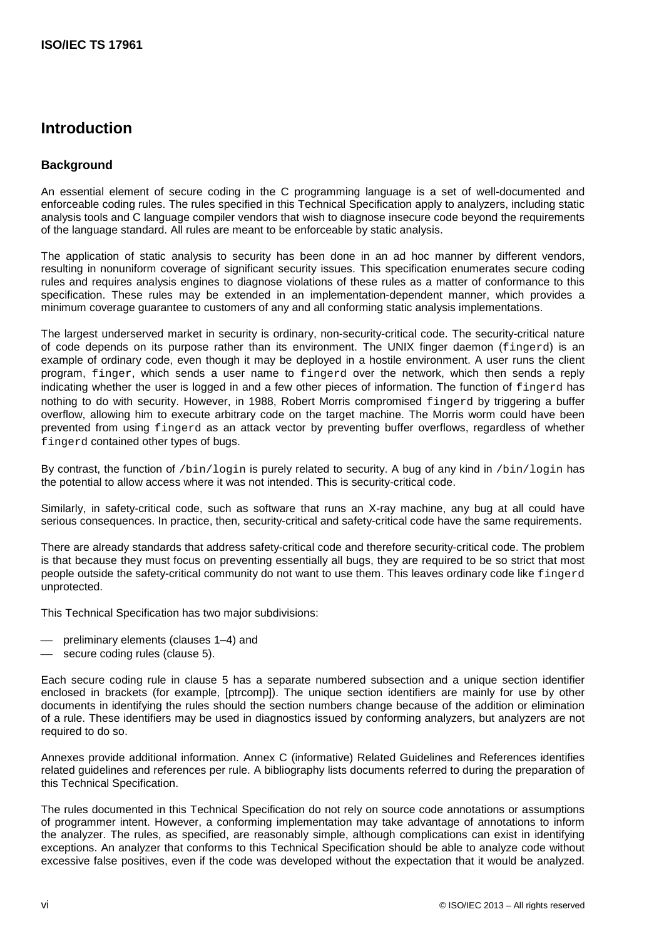## <span id="page-5-0"></span>**Introduction**

## <span id="page-5-1"></span>**Background**

An essential element of secure coding in the C programming language is a set of well-documented and enforceable coding rules. The rules specified in this Technical Specification apply to analyzers, including static analysis tools and C language compiler vendors that wish to diagnose insecure code beyond the requirements of the language standard. All rules are meant to be enforceable by static analysis.

The application of static analysis to security has been done in an ad hoc manner by different vendors, resulting in nonuniform coverage of significant security issues. This specification enumerates secure coding rules and requires analysis engines to diagnose violations of these rules as a matter of conformance to this specification. These rules may be extended in an implementation-dependent manner, which provides a minimum coverage guarantee to customers of any and all conforming static analysis implementations.

The largest underserved market in security is ordinary, non-security-critical code. The security-critical nature of code depends on its purpose rather than its environment. The UNIX finger daemon (fingerd) is an example of ordinary code, even though it may be deployed in a hostile environment. A user runs the client program, finger, which sends a user name to fingerd over the network, which then sends a reply indicating whether the user is logged in and a few other pieces of information. The function of fingerd has nothing to do with security. However, in 1988, Robert Morris compromised fingerd by triggering a buffer overflow, allowing him to execute arbitrary code on the target machine. The Morris worm could have been prevented from using fingerd as an attack vector by preventing buffer overflows, regardless of whether fingerd contained other types of bugs.

By contrast, the function of /bin/login is purely related to security. A bug of any kind in /bin/login has the potential to allow access where it was not intended. This is security-critical code.

Similarly, in safety-critical code, such as software that runs an X-ray machine, any bug at all could have serious consequences. In practice, then, security-critical and safety-critical code have the same requirements.

There are already standards that address safety-critical code and therefore security-critical code. The problem is that because they must focus on preventing essentially all bugs, they are required to be so strict that most people outside the safety-critical community do not want to use them. This leaves ordinary code like fingerd unprotected.

This Technical Specification has two major subdivisions:

- preliminary elements (clauses 1–4) and
- secure coding rules (clause 5).

Each secure coding rule in clause 5 has a separate numbered subsection and a unique section identifier enclosed in brackets (for example, [ptrcomp]). The unique section identifiers are mainly for use by other documents in identifying the rules should the section numbers change because of the addition or elimination of a rule. These identifiers may be used in diagnostics issued by conforming analyzers, but analyzers are not required to do so.

Annexes provide additional information. Annex C (informative) Related Guidelines and References identifies related guidelines and references per rule. A bibliography lists documents referred to during the preparation of this Technical Specification.

The rules documented in this Technical Specification do not rely on source code annotations or assumptions of programmer intent. However, a conforming implementation may take advantage of annotations to inform the analyzer. The rules, as specified, are reasonably simple, although complications can exist in identifying exceptions. An analyzer that conforms to this Technical Specification should be able to analyze code without excessive false positives, even if the code was developed without the expectation that it would be analyzed.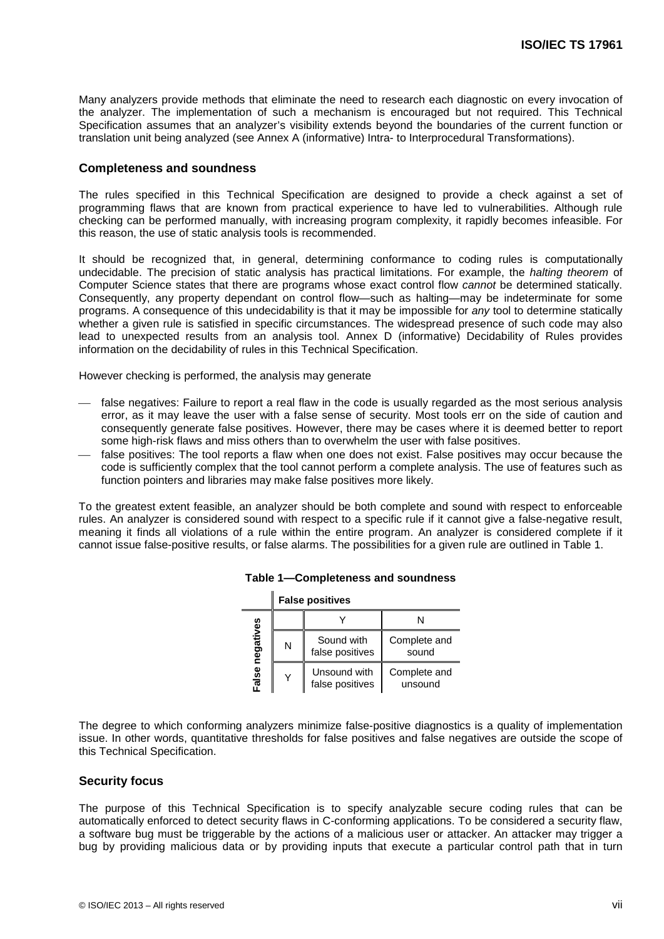Many analyzers provide methods that eliminate the need to research each diagnostic on every invocation of the analyzer. The implementation of such a mechanism is encouraged but not required. This Technical Specification assumes that an analyzer's visibility extends beyond the boundaries of the current function or translation unit being analyzed (see Annex A (informative) Intra- to Interprocedural Transformations).

#### <span id="page-6-0"></span>**Completeness and soundness**

The rules specified in this Technical Specification are designed to provide a check against a set of programming flaws that are known from practical experience to have led to vulnerabilities. Although rule checking can be performed manually, with increasing program complexity, it rapidly becomes infeasible. For this reason, the use of static analysis tools is recommended.

It should be recognized that, in general, determining conformance to coding rules is computationally undecidable. The precision of static analysis has practical limitations. For example, the *halting theorem* of Computer Science states that there are programs whose exact control flow *cannot* be determined statically. Consequently, any property dependant on control flow—such as halting—may be indeterminate for some programs. A consequence of this undecidability is that it may be impossible for *any* tool to determine statically whether a given rule is satisfied in specific circumstances. The widespread presence of such code may also lead to unexpected results from an analysis tool. Annex D (informative) Decidability of Rules provides information on the decidability of rules in this Technical Specification.

However checking is performed, the analysis may generate

- false negatives: Failure to report a real flaw in the code is usually regarded as the most serious analysis error, as it may leave the user with a false sense of security. Most tools err on the side of caution and consequently generate false positives. However, there may be cases where it is deemed better to report some high-risk flaws and miss others than to overwhelm the user with false positives.
- false positives: The tool reports a flaw when one does not exist. False positives may occur because the code is sufficiently complex that the tool cannot perform a complete analysis. The use of features such as function pointers and libraries may make false positives more likely.

<span id="page-6-2"></span>To the greatest extent feasible, an analyzer should be both complete and sound with respect to enforceable rules. An analyzer is considered sound with respect to a specific rule if it cannot give a false-negative result, meaning it finds all violations of a rule within the entire program. An analyzer is considered complete if it cannot issue false-positive results, or false alarms. The possibilities for a given rule are outlined in Table 1.

|           |   | <b>Faise positives</b>          |                         |
|-----------|---|---------------------------------|-------------------------|
|           |   |                                 | N                       |
| negatives | N | Sound with<br>false positives   | Complete and<br>sound   |
| False     | Y | Unsound with<br>false positives | Complete and<br>unsound |

#### **Table 1—Completeness and soundness**

**False positives**

The degree to which conforming analyzers minimize false-positive diagnostics is a quality of implementation issue. In other words, quantitative thresholds for false positives and false negatives are outside the scope of this Technical Specification.

#### <span id="page-6-1"></span>**Security focus**

The purpose of this Technical Specification is to specify analyzable secure coding rules that can be automatically enforced to detect security flaws in C-conforming applications. To be considered a security flaw, a software bug must be triggerable by the actions of a malicious user or attacker. An attacker may trigger a bug by providing malicious data or by providing inputs that execute a particular control path that in turn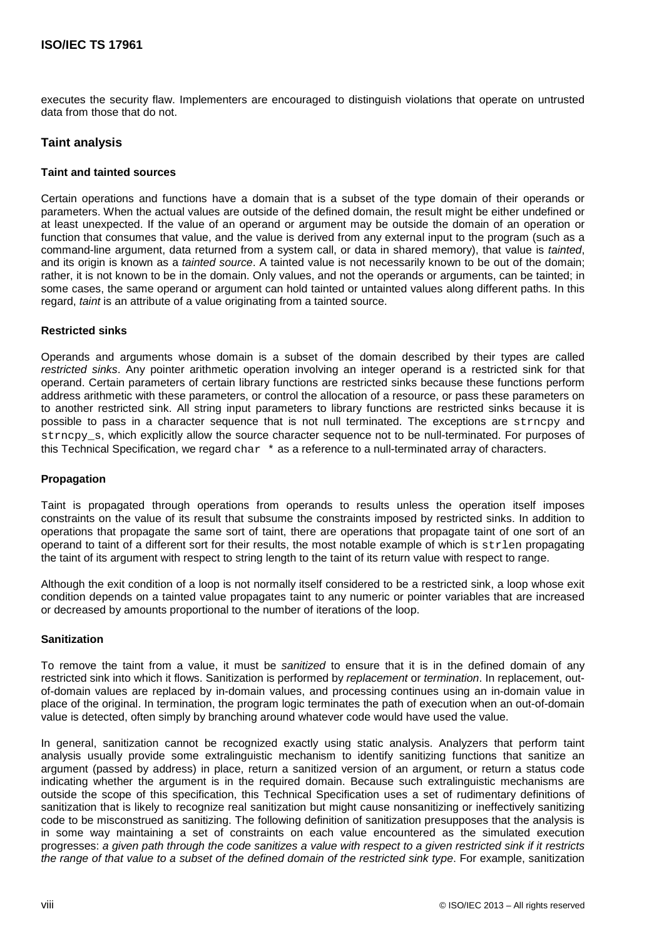executes the security flaw. Implementers are encouraged to distinguish violations that operate on untrusted data from those that do not.

## <span id="page-7-0"></span>**Taint analysis**

### <span id="page-7-1"></span>**Taint and tainted sources**

Certain operations and functions have a domain that is a subset of the type domain of their operands or parameters. When the actual values are outside of the defined domain, the result might be either undefined or at least unexpected. If the value of an operand or argument may be outside the domain of an operation or function that consumes that value, and the value is derived from any external input to the program (such as a command-line argument, data returned from a system call, or data in shared memory), that value is *tainted*, and its origin is known as a *tainted source*. A tainted value is not necessarily known to be out of the domain; rather, it is not known to be in the domain. Only values, and not the operands or arguments, can be tainted; in some cases, the same operand or argument can hold tainted or untainted values along different paths. In this regard, *taint* is an attribute of a value originating from a tainted source.

### <span id="page-7-2"></span>**Restricted sinks**

Operands and arguments whose domain is a subset of the domain described by their types are called *restricted sinks*. Any pointer arithmetic operation involving an integer operand is a restricted sink for that operand. Certain parameters of certain library functions are restricted sinks because these functions perform address arithmetic with these parameters, or control the allocation of a resource, or pass these parameters on to another restricted sink. All string input parameters to library functions are restricted sinks because it is possible to pass in a character sequence that is not null terminated. The exceptions are strncpy and strncpy s, which explicitly allow the source character sequence not to be null-terminated. For purposes of this Technical Specification, we regard char  $*$  as a reference to a null-terminated array of characters.

#### <span id="page-7-3"></span>**Propagation**

Taint is propagated through operations from operands to results unless the operation itself imposes constraints on the value of its result that subsume the constraints imposed by restricted sinks. In addition to operations that propagate the same sort of taint, there are operations that propagate taint of one sort of an operand to taint of a different sort for their results, the most notable example of which is  $\text{strlen}$  propagating the taint of its argument with respect to string length to the taint of its return value with respect to range.

Although the exit condition of a loop is not normally itself considered to be a restricted sink, a loop whose exit condition depends on a tainted value propagates taint to any numeric or pointer variables that are increased or decreased by amounts proportional to the number of iterations of the loop.

#### <span id="page-7-4"></span>**Sanitization**

To remove the taint from a value, it must be *sanitized* to ensure that it is in the defined domain of any restricted sink into which it flows. Sanitization is performed by *replacement* or *termination*. In replacement, outof-domain values are replaced by in-domain values, and processing continues using an in-domain value in place of the original. In termination, the program logic terminates the path of execution when an out-of-domain value is detected, often simply by branching around whatever code would have used the value.

In general, sanitization cannot be recognized exactly using static analysis. Analyzers that perform taint analysis usually provide some extralinguistic mechanism to identify sanitizing functions that sanitize an argument (passed by address) in place, return a sanitized version of an argument, or return a status code indicating whether the argument is in the required domain. Because such extralinguistic mechanisms are outside the scope of this specification, this Technical Specification uses a set of rudimentary definitions of sanitization that is likely to recognize real sanitization but might cause nonsanitizing or ineffectively sanitizing code to be misconstrued as sanitizing. The following definition of sanitization presupposes that the analysis is in some way maintaining a set of constraints on each value encountered as the simulated execution progresses: *a given path through the code sanitizes a value with respect to a given restricted sink if it restricts the range of that value to a subset of the defined domain of the restricted sink type*. For example, sanitization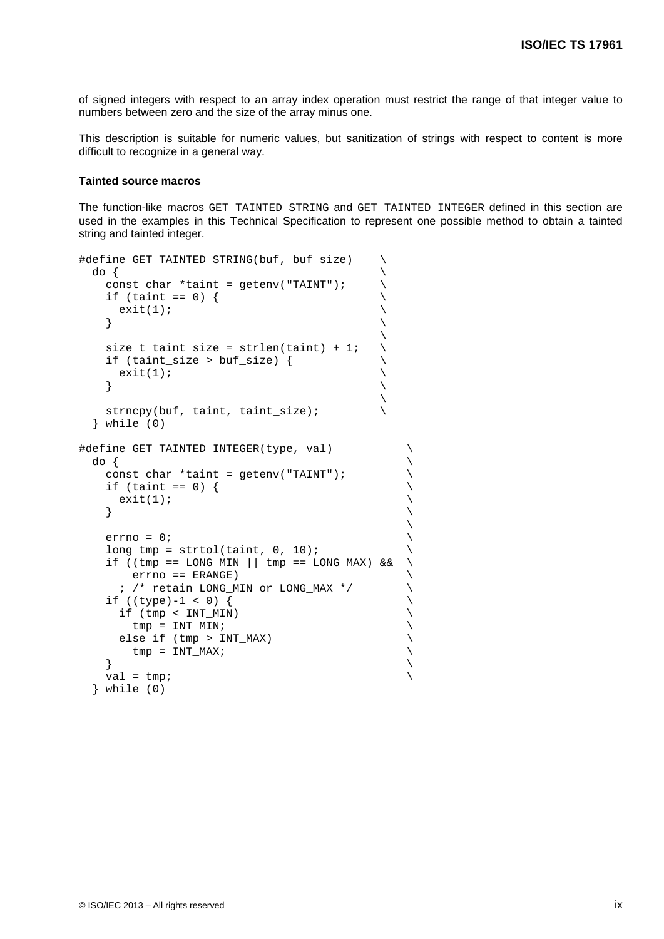of signed integers with respect to an array index operation must restrict the range of that integer value to numbers between zero and the size of the array minus one.

This description is suitable for numeric values, but sanitization of strings with respect to content is more difficult to recognize in a general way.

#### <span id="page-8-0"></span>**Tainted source macros**

The function-like macros GET\_TAINTED\_STRING and GET\_TAINTED\_INTEGER defined in this section are used in the examples in this Technical Specification to represent one possible method to obtain a tainted string and tainted integer.

```
#define GET_TAINTED_STRING(buf, buf_size) \<br>do {
do { \setminusconst char *taint = getenv("TAINT");<br>if (taint == 0) {
     if (taint == 0) {<br>exit(1);
     \{ exit(1); \setminus\left\{\right.\mathcal{L} and \mathcal{L} and \mathcal{L} and \mathcal{L} and \mathcal{L} and \mathcal{L} and \mathcal{L} and \mathcal{L}size_t taint_size = strlen(taint) + 1; \qquad \setminusif (taint_size > buf_size) {<br>exit(1);
     ext(1);\left\{\right.\overline{\phantom{a}}strncpy(buf, taint, taint_size); \setminus } while (0)
#define GET_TAINTED_INTEGER(type, val)<br>do {
do { \setminusconst char *taint = getenv("TAINT");
     if (taint == 0) {
     \{ exit(1);
\left\{\begin{array}{ccc} \end{array}\right\}\overline{\phantom{a}}errno = 0;long tmp = strtol(taint, 0, 10);
      if ((tmp == LONG_MIN || tmp == LONG_MAX) && \
          errno == ERANGE)<br>
/* retain LONG_MIN or LONG_MAX */
        ; /* retain LONG_MIN or LONG_MAX */ \
     if ((type)-1 < 0) {<br>if (tmp < INT_MIN) \
       if (tmp < INT_MIN) \downarrow \downarrow \downarrow \downarrow \downarrow \downarrow \downarrow \downarrow \downarrow \downarrow \downarrow \downarrow \downarrow \downarrow \downarrow \downarrow \downarrow \downarrow \downarrow \downarrow \downarrow \downarrow \downarrow \downarrow \downarrow \downarrow \downarrow \downarrow \downarrow \downarrow \downarrow \downarrow \downarrow \downarrow tmp = INT_MIN; \
       else if (tmp > INT_MAX) \uparrow \downarrow \downarrow \downarrow \downarrow \downarrow \downarrow \downarrow \downarrow \downarrow \downarrow \downarrow \downarrow \downarrow \downarrow \downarrow \downarrow \downarrow \downarrow \downarrow \downarrow \downarrow \downarrow \downarrow \downarrow \downarrow \downarrow \downarrow \downarrow \downarrow \downarrow \downarrow \downarrow\text{tmp} = \text{INT\_MAX};\left\{\begin{array}{ccc} \end{array}\right\}val = tmp; } while (0)
```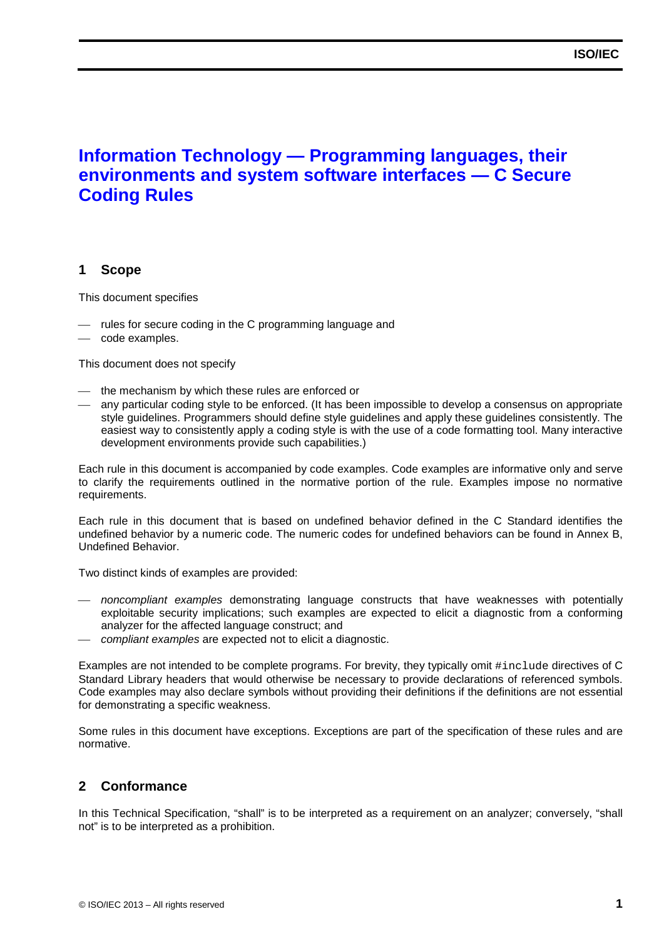## **Information Technology — Programming languages, their environments and system software interfaces — C Secure Coding Rules**

## <span id="page-10-0"></span>**1 Scope**

This document specifies

- rules for secure coding in the C programming language and
- code examples.

This document does not specify

- the mechanism by which these rules are enforced or
- any particular coding style to be enforced. (It has been impossible to develop a consensus on appropriate style guidelines. Programmers should define style guidelines and apply these guidelines consistently. The easiest way to consistently apply a coding style is with the use of a code formatting tool. Many interactive development environments provide such capabilities.)

Each rule in this document is accompanied by code examples. Code examples are informative only and serve to clarify the requirements outlined in the normative portion of the rule. Examples impose no normative requirements.

Each rule in this document that is based on undefined behavior defined in the C Standard identifies the undefined behavior by a numeric code. The numeric codes for undefined behaviors can be found in Annex B, Undefined Behavior.

Two distinct kinds of examples are provided:

- *noncompliant examples* demonstrating language constructs that have weaknesses with potentially exploitable security implications; such examples are expected to elicit a diagnostic from a conforming analyzer for the affected language construct; and
- *compliant examples* are expected not to elicit a diagnostic.

Examples are not intended to be complete programs. For brevity, they typically omit #include directives of C Standard Library headers that would otherwise be necessary to provide declarations of referenced symbols. Code examples may also declare symbols without providing their definitions if the definitions are not essential for demonstrating a specific weakness.

Some rules in this document have exceptions. Exceptions are part of the specification of these rules and are normative.

## <span id="page-10-1"></span>**2 Conformance**

In this Technical Specification, "shall" is to be interpreted as a requirement on an analyzer; conversely, "shall not" is to be interpreted as a prohibition.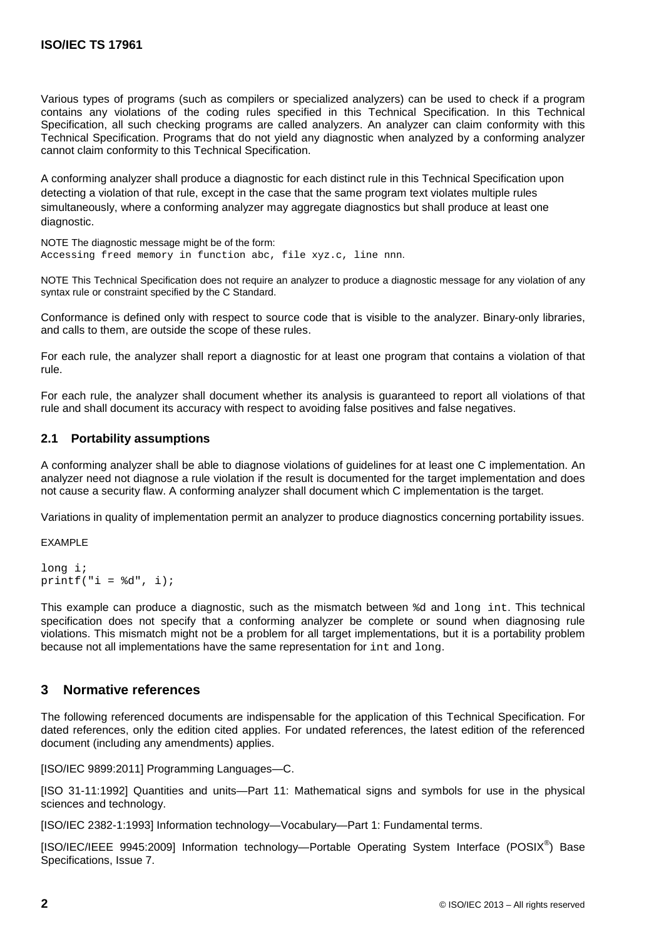Various types of programs (such as compilers or specialized analyzers) can be used to check if a program contains any violations of the coding rules specified in this Technical Specification. In this Technical Specification, all such checking programs are called analyzers. An analyzer can claim conformity with this Technical Specification. Programs that do not yield any diagnostic when analyzed by a conforming analyzer cannot claim conformity to this Technical Specification.

A conforming analyzer shall produce a diagnostic for each distinct rule in this Technical Specification upon detecting a violation of that rule, except in the case that the same program text violates multiple rules simultaneously, where a conforming analyzer may aggregate diagnostics but shall produce at least one diagnostic.

NOTE The diagnostic message might be of the form: Accessing freed memory in function abc, file xyz.c, line nnn.

NOTE This Technical Specification does not require an analyzer to produce a diagnostic message for any violation of any syntax rule or constraint specified by the C Standard.

Conformance is defined only with respect to source code that is visible to the analyzer. Binary-only libraries, and calls to them, are outside the scope of these rules.

For each rule, the analyzer shall report a diagnostic for at least one program that contains a violation of that rule.

For each rule, the analyzer shall document whether its analysis is guaranteed to report all violations of that rule and shall document its accuracy with respect to avoiding false positives and false negatives.

## <span id="page-11-0"></span>**2.1 Portability assumptions**

A conforming analyzer shall be able to diagnose violations of guidelines for at least one C implementation. An analyzer need not diagnose a rule violation if the result is documented for the target implementation and does not cause a security flaw. A conforming analyzer shall document which C implementation is the target.

Variations in quality of implementation permit an analyzer to produce diagnostics concerning portability issues.

EXAMPLE

```
long i;
printf("i = %d", i);
```
This example can produce a diagnostic, such as the mismatch between %d and long int. This technical specification does not specify that a conforming analyzer be complete or sound when diagnosing rule violations. This mismatch might not be a problem for all target implementations, but it is a portability problem because not all implementations have the same representation for int and long.

## <span id="page-11-1"></span>**3 Normative references**

The following referenced documents are indispensable for the application of this Technical Specification. For dated references, only the edition cited applies. For undated references, the latest edition of the referenced document (including any amendments) applies.

[ISO/IEC 9899:2011] Programming Languages—C.

[ISO 31-11:1992] Quantities and units—Part 11: Mathematical signs and symbols for use in the physical sciences and technology.

[ISO/IEC 2382-1:1993] Information technology—Vocabulary—Part 1: Fundamental terms.

[ISO/IEC/IEEE 9945:2009] Information technology—Portable Operating System Interface (POSIX<sup>®</sup>) Base Specifications, Issue 7.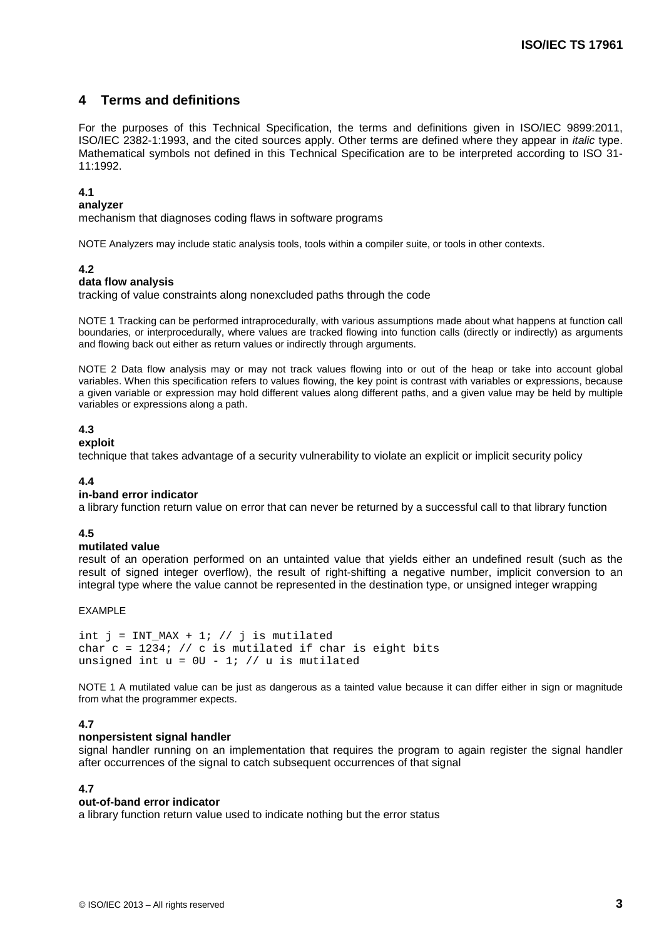## <span id="page-12-0"></span>**4 Terms and definitions**

For the purposes of this Technical Specification, the terms and definitions given in ISO/IEC 9899:2011, ISO/IEC 2382-1:1993, and the cited sources apply. Other terms are defined where they appear in *italic* type. Mathematical symbols not defined in this Technical Specification are to be interpreted according to ISO 31- 11:1992.

#### **4.1**

#### **analyzer**

mechanism that diagnoses coding flaws in software programs

NOTE Analyzers may include static analysis tools, tools within a compiler suite, or tools in other contexts.

#### **4.2**

#### **data flow analysis**

tracking of value constraints along nonexcluded paths through the code

NOTE 1 Tracking can be performed intraprocedurally, with various assumptions made about what happens at function call boundaries, or interprocedurally, where values are tracked flowing into function calls (directly or indirectly) as arguments and flowing back out either as return values or indirectly through arguments.

NOTE 2 Data flow analysis may or may not track values flowing into or out of the heap or take into account global variables. When this specification refers to values flowing, the key point is contrast with variables or expressions, because a given variable or expression may hold different values along different paths, and a given value may be held by multiple variables or expressions along a path.

## **4.3**

**exploit**

technique that takes advantage of a security vulnerability to violate an explicit or implicit security policy

#### **4.4**

#### **in-band error indicator**

a library function return value on error that can never be returned by a successful call to that library function

#### **4.5**

#### **mutilated value**

result of an operation performed on an untainted value that yields either an undefined result (such as the result of signed integer overflow), the result of right-shifting a negative number, implicit conversion to an integral type where the value cannot be represented in the destination type, or unsigned integer wrapping

#### EXAMPLE

```
int j = INT_MAX + 1; // j is mutilated
char c = 1234; // c is mutilated if char is eight bits
unsigned int u = 0U - 1; // u is mutilated
```
NOTE 1 A mutilated value can be just as dangerous as a tainted value because it can differ either in sign or magnitude from what the programmer expects.

## **4.7**

#### **nonpersistent signal handler**

signal handler running on an implementation that requires the program to again register the signal handler after occurrences of the signal to catch subsequent occurrences of that signal

#### **4.7**

#### **out-of-band error indicator**

a library function return value used to indicate nothing but the error status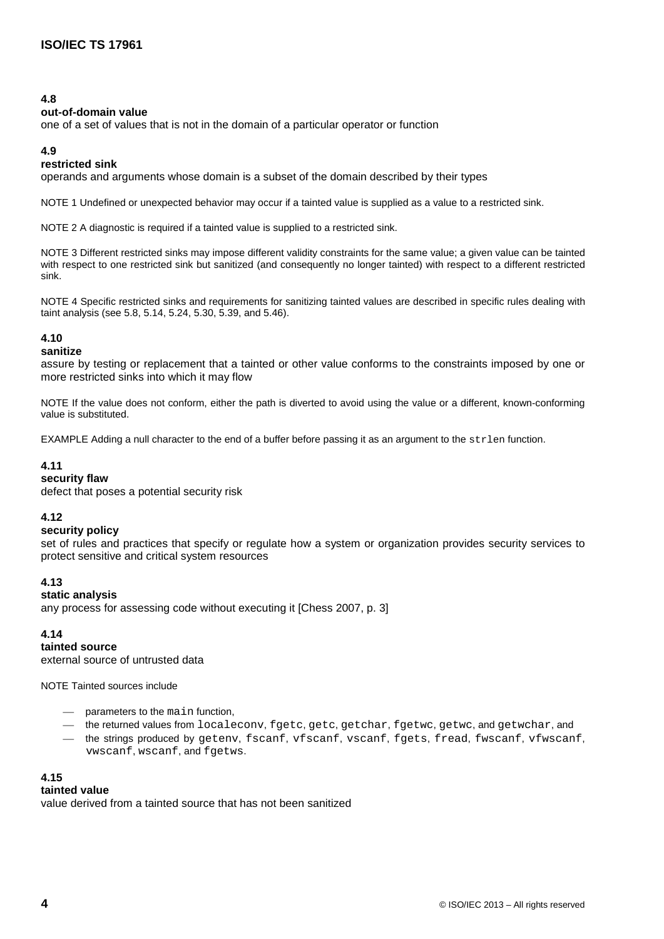### **4.8**

#### **out-of-domain value**

one of a set of values that is not in the domain of a particular operator or function

### **4.9**

## **restricted sink**

operands and arguments whose domain is a subset of the domain described by their types

NOTE 1 Undefined or unexpected behavior may occur if a tainted value is supplied as a value to a restricted sink.

NOTE 2 A diagnostic is required if a tainted value is supplied to a restricted sink.

NOTE 3 Different restricted sinks may impose different validity constraints for the same value; a given value can be tainted with respect to one restricted sink but sanitized (and consequently no longer tainted) with respect to a different restricted sink.

NOTE 4 Specific restricted sinks and requirements for sanitizing tainted values are described in specific rules dealing with taint analysis (see 5.8, 5.14, 5.24, 5.30, 5.39, and 5.46).

## **4.10**

### **sanitize**

assure by testing or replacement that a tainted or other value conforms to the constraints imposed by one or more restricted sinks into which it may flow

NOTE If the value does not conform, either the path is diverted to avoid using the value or a different, known-conforming value is substituted.

EXAMPLE Adding a null character to the end of a buffer before passing it as an argument to the strlen function.

## **4.11**

## **security flaw**

defect that poses a potential security risk

## **4.12**

#### **security policy**

set of rules and practices that specify or regulate how a system or organization provides security services to protect sensitive and critical system resources

## **4.13**

## **static analysis**

any process for assessing code without executing it [\[Chess 2007,](#page-95-1) p. 3]

## **4.14**

**tainted source** external source of untrusted data

NOTE Tainted sources include

- parameters to the main function,
- the returned values from localeconv, fgetc, getc, getchar, fgetwc, getwc, and getwchar, and
- the strings produced by getenv, fscanf, vfscanf, vscanf, fgets, fread, fwscanf, vfwscanf, vwscanf, wscanf, and fgetws.

## **4.15**

## **tainted value**

value derived from a tainted source that has not been sanitized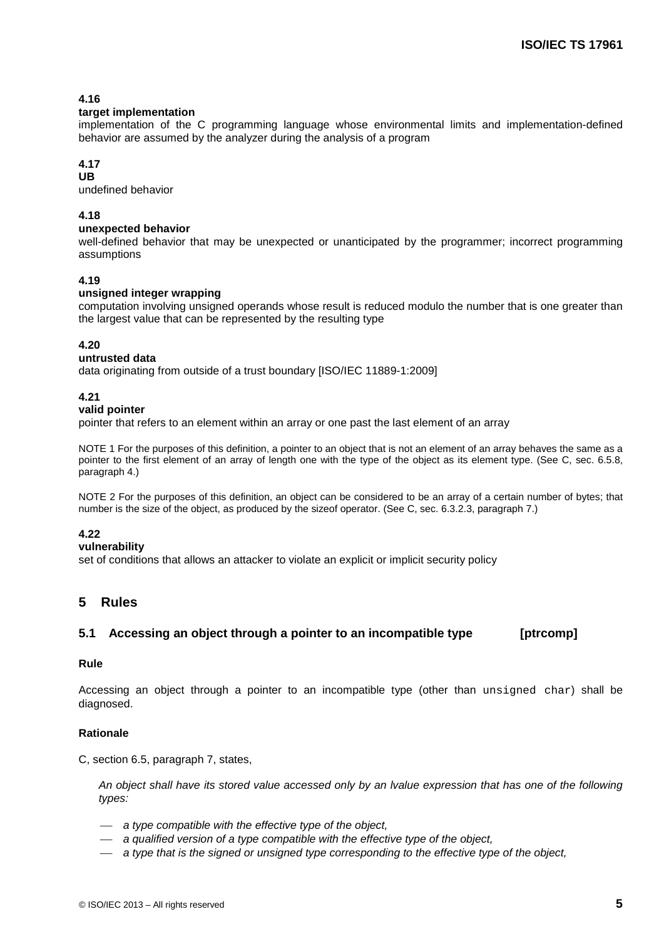## **4.16**

### **target implementation**

implementation of the C programming language whose environmental limits and implementation-defined behavior are assumed by the analyzer during the analysis of a program

## **4.17**

**UB** undefined behavior

## **4.18**

## **unexpected behavior**

well-defined behavior that may be unexpected or unanticipated by the programmer; incorrect programming assumptions

## **4.19**

### **unsigned integer wrapping**

computation involving unsigned operands whose result is reduced modulo the number that is one greater than the largest value that can be represented by the resulting type

## **4.20**

#### **untrusted data**

data originating from outside of a trust boundary [ISO/IEC 11889-1:2009]

### **4.21**

### <span id="page-14-2"></span>**valid pointer**

pointer that refers to an element within an array or one past the last element of an array

NOTE 1 For the purposes of this definition, a pointer to an object that is not an element of an array behaves the same as a pointer to the first element of an array of length one with the type of the object as its element type. (See C, sec. 6.5.8, paragraph 4.)

NOTE 2 For the purposes of this definition, an object can be considered to be an array of a certain number of bytes; that number is the size of the object, as produced by the sizeof operator. (See C, sec. 6.3.2.3, paragraph 7.)

#### **4.22**

#### **vulnerability**

set of conditions that allows an attacker to violate an explicit or implicit security policy

## <span id="page-14-0"></span>**5 Rules**

## <span id="page-14-1"></span>**5.1 Accessing an object through a pointer to an incompatible type [ptrcomp]**

#### **Rule**

Accessing an object through a pointer to an incompatible type (other than unsigned char) shall be diagnosed.

## **Rationale**

C, section 6.5, paragraph 7, states,

*An object shall have its stored value accessed only by an lvalue expression that has one of the following types:*

- *a type compatible with the effective type of the object,*
- *a qualified version of a type compatible with the effective type of the object,*
- *a type that is the signed or unsigned type corresponding to the effective type of the object,*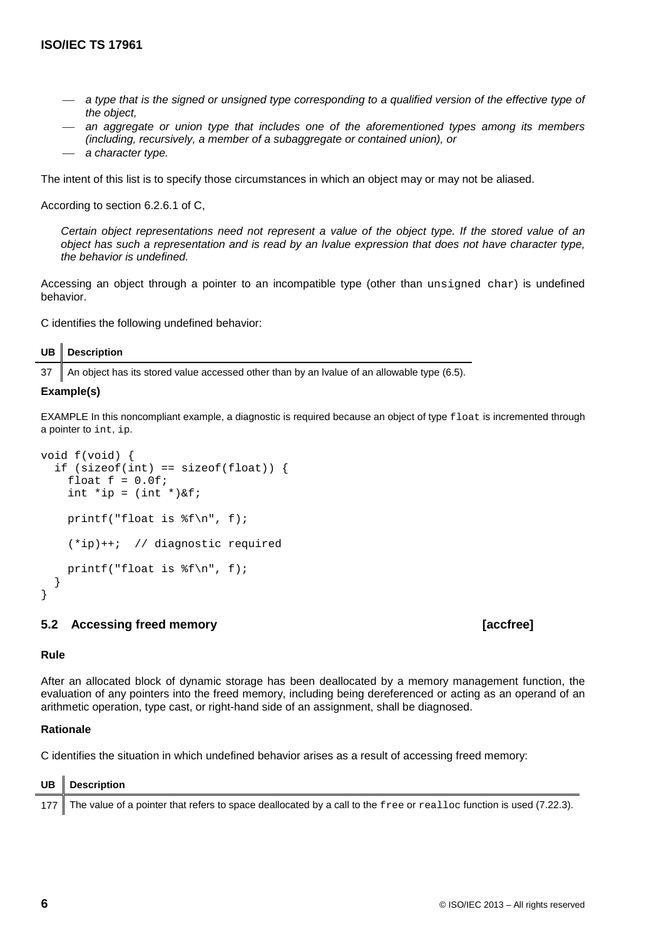- *a type that is the signed or unsigned type corresponding to a qualified version of the effective type of the object,*
- *an aggregate or union type that includes one of the aforementioned types among its members (including, recursively, a member of a subaggregate or contained union), or*
- *a character type.*

The intent of this list is to specify those circumstances in which an object may or may not be aliased.

According to section 6.2.6.1 of C,

*Certain object representations need not represent a value of the object type. If the stored value of an object has such a representation and is read by an lvalue expression that does not have character type, the behavior is undefined.*

Accessing an object through a pointer to an incompatible type (other than unsigned char) is undefined behavior.

C identifies the following undefined behavior:

| <b>UB</b> Description |  |
|-----------------------|--|
|-----------------------|--|

37 An object has its stored value accessed other than by an lvalue of an allowable type (6.5).

#### **Example(s)**

EXAMPLE In this noncompliant example, a diagnostic is required because an object of type float is incremented through a pointer to int, ip.

```
void f(void) {
  if (sizeof(int) == sizeof(float)) {
    float f = 0.0f;
    int *ip = (int *)\&f; printf("float is %f\n", f);
     (*ip)++; // diagnostic required
     printf("float is %f\n", f);
   }
}
```
#### <span id="page-15-0"></span>**5.2 Accessing freed memory [accfree]**

## **Rule**

After an allocated block of dynamic storage has been deallocated by a memory management function, the evaluation of any pointers into the freed memory, including being dereferenced or acting as an operand of an arithmetic operation, type cast, or right-hand side of an assignment, shall be diagnosed.

#### **Rationale**

C identifies the situation in which undefined behavior arises as a result of accessing freed memory:

| $UB$ Description                                                                                                        |
|-------------------------------------------------------------------------------------------------------------------------|
| 177 The value of a pointer that refers to space deallocated by a call to the free or realloc function is used (7.22.3). |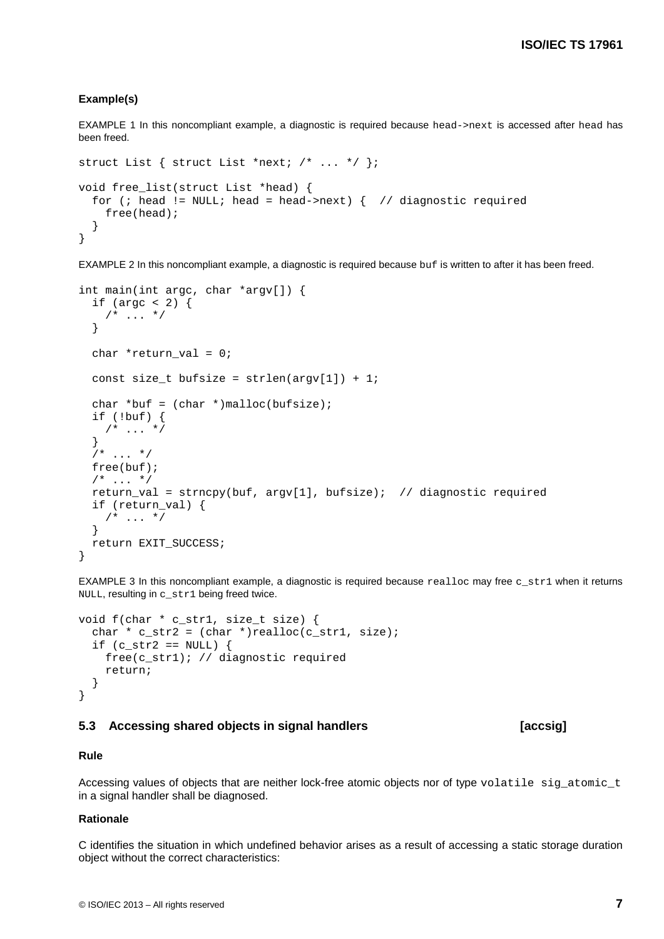#### **Example(s)**

EXAMPLE 1 In this noncompliant example, a diagnostic is required because head->next is accessed after head has been freed.

```
struct List { struct List *next; /* ... */ };
void free_list(struct List *head) {
  for (; head != NULL; head = head->next) { // diagnostic required
     free(head);
   }
}
```
EXAMPLE 2 In this noncompliant example, a diagnostic is required because buf is written to after it has been freed.

```
int main(int argc, char *argv[]) {
 if (argc < 2) {
   /* ... */
   }
 char *return val = 0;
 const size_t bufsize = strlen(argv[1]) + 1;
 char *buf = (char *)malloc(bufsize);
  if (!buf) {
   /* ... */
   }
 7* ... */ free(buf);
 /* ... */
  return_val = strncpy(buf, argv[1], bufsize); // diagnostic required
  if (return_val) {
   /* ... */
   }
  return EXIT_SUCCESS;
}
```
EXAMPLE 3 In this noncompliant example, a diagnostic is required because realloc may free  $c$  str1 when it returns NULL, resulting in c\_str1 being freed twice.

```
void f(char * c_str1, size_t size) {
  char * c_str2 = (char *)realloc(c_str1, size);
  if (c_str2 == NULL) {
     free(c_str1); // diagnostic required
     return;
   }
}
```
#### <span id="page-16-0"></span>**5.3 Accessing shared objects in signal handlers [accsig]**

#### **Rule**

Accessing values of objects that are neither lock-free atomic objects nor of type volatile sig\_atomic\_t in a signal handler shall be diagnosed.

#### **Rationale**

C identifies the situation in which undefined behavior arises as a result of accessing a static storage duration object without the correct characteristics: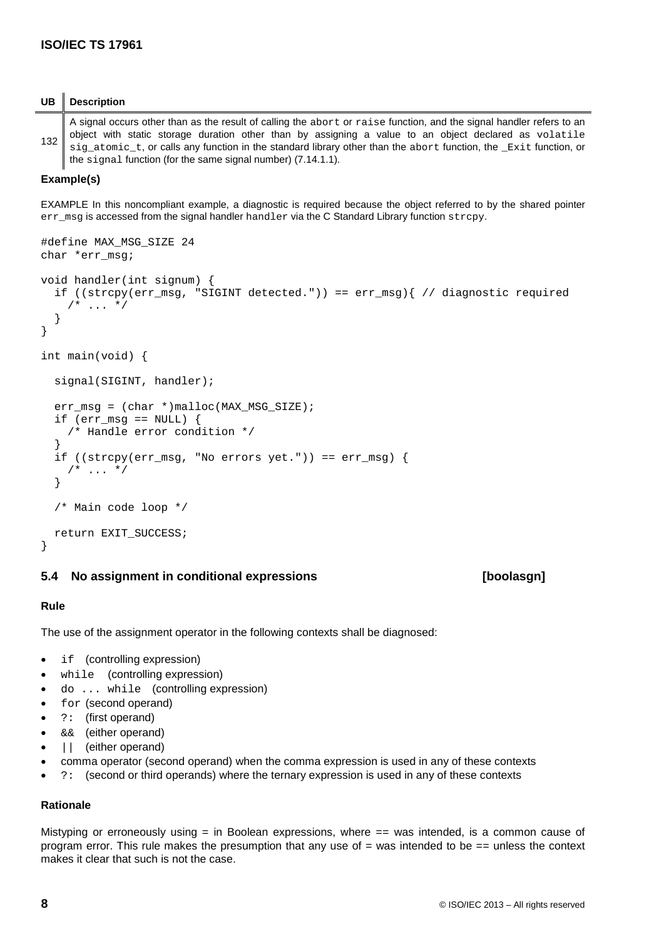## **UB Description**

132 A signal occurs other than as the result of calling the abort or raise function, and the signal handler refers to an object with static storage duration other than by assigning a value to an object declared as volatile sig atomic t, or calls any function in the standard library other than the abort function, the Exit function, or the signal function (for the same signal number) (7.14.1.1).

## **Example(s)**

EXAMPLE In this noncompliant example, a diagnostic is required because the object referred to by the shared pointer err\_msg is accessed from the signal handler handler via the C Standard Library function strcpy.

```
#define MAX_MSG_SIZE 24
char *err_msg;
void handler(int signum) {
   if ((strcpy(err_msg, "SIGINT detected.")) == err_msg){ // diagnostic required
    /* ... */
 }
}
int main(void) {
  signal(SIGINT, handler);
   err_msg = (char *)malloc(MAX_MSG_SIZE);
  if (err_msg == NULL) {
     /* Handle error condition */
 }
  if ((\text{strong/err_msg}, \text{ "No errors yet."})) == \text{err_msg}) {
    /* \ldots */
   }
   /* Main code loop */
   return EXIT_SUCCESS;
}
```
## <span id="page-17-0"></span>**5.4 No assignment in conditional expressions [boolasgn]**

## **Rule**

The use of the assignment operator in the following contexts shall be diagnosed:

- if (controlling expression)
- while (controlling expression)
- do ... while (controlling expression)
- for (second operand)
- ?: (first operand)
- && (either operand)
- | (either operand)
- comma operator (second operand) when the comma expression is used in any of these contexts
- ?: (second or third operands) where the ternary expression is used in any of these contexts

## **Rationale**

Mistyping or erroneously using = in Boolean expressions, where == was intended, is a common cause of program error. This rule makes the presumption that any use of = was intended to be == unless the context makes it clear that such is not the case.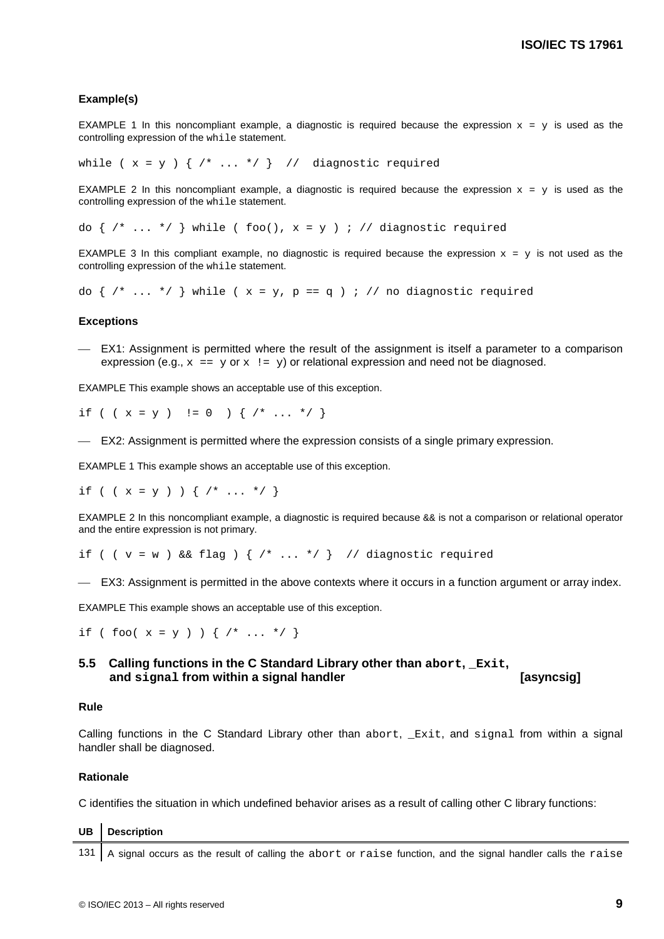#### **Example(s)**

EXAMPLE 1 In this noncompliant example, a diagnostic is required because the expression  $x = y$  is used as the controlling expression of the while statement.

while (  $x = y$  ) {  $/* \ldots * /$  } // diagnostic required

EXAMPLE 2 In this noncompliant example, a diagnostic is required because the expression  $x = y$  is used as the controlling expression of the while statement.

do {  $/* \ldots */$  } while ( foo(),  $x = y$  ) ; // diagnostic required

EXAMPLE 3 In this compliant example, no diagnostic is required because the expression  $x = y$  is not used as the controlling expression of the while statement.

do  $\{ / * ... * / \}$  while ( x = y, p == q ) ; // no diagnostic required

#### **Exceptions**

 EX1: Assignment is permitted where the result of the assignment is itself a parameter to a comparison expression (e.g.,  $x == y$  or  $x != y$ ) or relational expression and need not be diagnosed.

EXAMPLE This example shows an acceptable use of this exception.

if ( (  $x = y$  )  $:= 0$  ) {  $/* \ldots * /$  }

EX2: Assignment is permitted where the expression consists of a single primary expression.

EXAMPLE 1 This example shows an acceptable use of this exception.

if (  $(x = y )$  )  $\{ / * ... * / \}$ 

EXAMPLE 2 In this noncompliant example, a diagnostic is required because  $\&&\&&$  is not a comparison or relational operator and the entire expression is not primary.

if (  $(v = w)$  & flag )  $\{$  /\* ... \*/  $\}$  // diagnostic required

EX3: Assignment is permitted in the above contexts where it occurs in a function argument or array index.

EXAMPLE This example shows an acceptable use of this exception.

if ( foo(  $x = y$  ) ) {  $/* \ldots * /$  }

## <span id="page-18-0"></span>**5.5 Calling functions in the C Standard Library other than abort, \_Exit, and signal from within a signal handler [asyncsig]**

#### **Rule**

Calling functions in the C Standard Library other than abort, \_Exit, and signal from within a signal handler shall be diagnosed.

#### **Rationale**

C identifies the situation in which undefined behavior arises as a result of calling other C library functions:

| UB Description                                                                                                   |
|------------------------------------------------------------------------------------------------------------------|
| 131 A signal occurs as the result of calling the abort or raise function, and the signal handler calls the raise |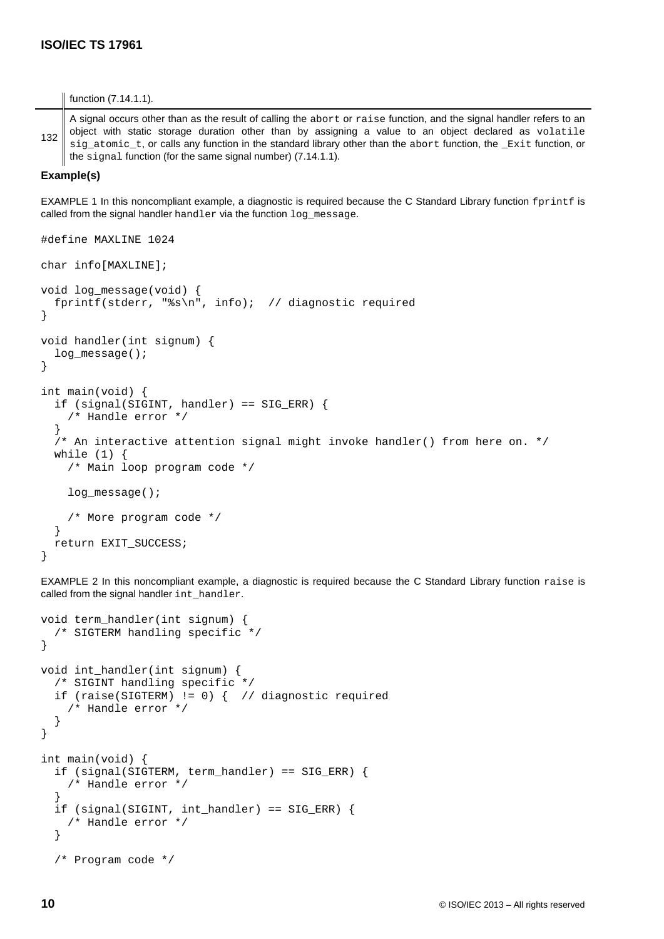#### function (7.14.1.1).

132 A signal occurs other than as the result of calling the abort or raise function, and the signal handler refers to an object with static storage duration other than by assigning a value to an object declared as volatile sig atomic t, or calls any function in the standard library other than the abort function, the Exit function, or the signal function (for the same signal number) (7.14.1.1).

#### **Example(s)**

EXAMPLE 1 In this noncompliant example, a diagnostic is required because the C Standard Library function fprintf is called from the signal handler handler via the function log\_message.

```
#define MAXLINE 1024
char info[MAXLINE];
void log message(void) {
   fprintf(stderr, "%s\n", info); // diagnostic required
}
void handler(int signum) {
   log_message();
}
int main(void) {
   if (signal(SIGINT, handler) == SIG_ERR) {
     /* Handle error */
   }
   /* An interactive attention signal might invoke handler() from here on. */
   while (1) {
     /* Main loop program code */
     log_message();
     /* More program code */
   }
   return EXIT_SUCCESS;
}
```
EXAMPLE 2 In this noncompliant example, a diagnostic is required because the C Standard Library function raise is called from the signal handler int\_handler.

```
void term_handler(int signum) {
   /* SIGTERM handling specific */
}
void int_handler(int signum) {
   /* SIGINT handling specific */
   if (raise(SIGTERM) != 0) { // diagnostic required
     /* Handle error */
   }
}
int main(void) {
   if (signal(SIGTERM, term_handler) == SIG_ERR) {
     /* Handle error */
 }
   if (signal(SIGINT, int_handler) == SIG_ERR) {
     /* Handle error */
   }
   /* Program code */
```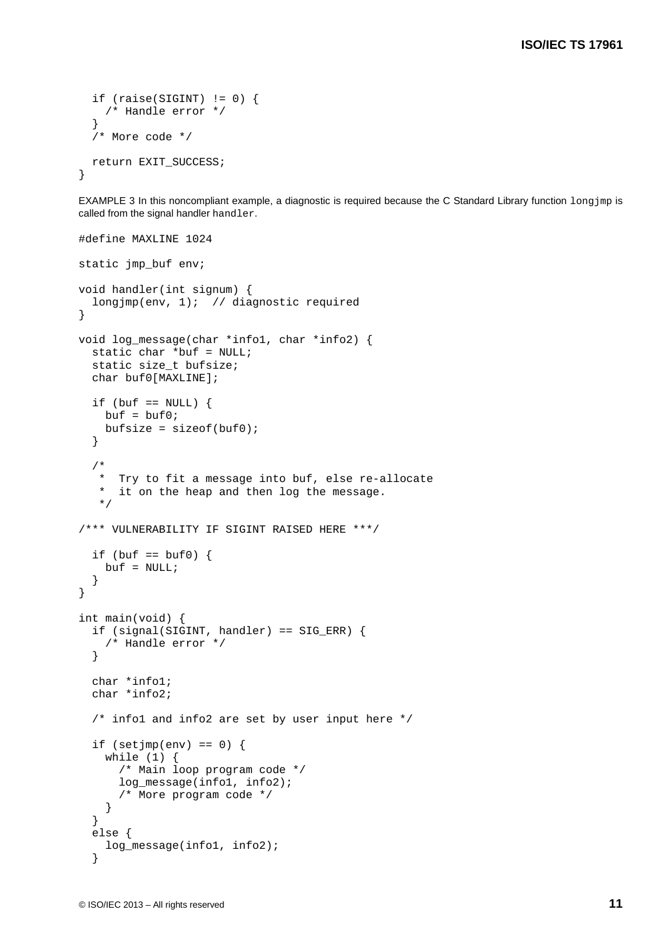```
if (raise(SIGHT) != 0) {
     /* Handle error */
   }
   /* More code */
  return EXIT_SUCCESS;
}
```
EXAMPLE 3 In this noncompliant example, a diagnostic is required because the C Standard Library function  $long\gamma_{mp}$  is called from the signal handler handler.

```
#define MAXLINE 1024
static jmp_buf env;
void handler(int signum) {
  longjmp(env, 1); // diagnostic required
}
void log_message(char *info1, char *info2) {
   static char *buf = NULL;
   static size_t bufsize;
   char buf0[MAXLINE];
  if (buf == NULL) {
    buf = buf0;bufsize = sizeof(buf0); }
   /*
    * Try to fit a message into buf, else re-allocate
    * it on the heap and then log the message.
    */
/*** VULNERABILITY IF SIGINT RAISED HERE ***/
  if (buf == buf0) {
    buf = NULL; }
}
int main(void) {
   if (signal(SIGINT, handler) == SIG_ERR) {
     /* Handle error */
   }
   char *info1;
   char *info2;
  /* infol and info2 are set by user input here */if (setjmp(env) == 0) {
     while (1) {
       /* Main loop program code */
       log_message(info1, info2);
       /* More program code */
     }
   }
   else {
     log_message(info1, info2);
   }
```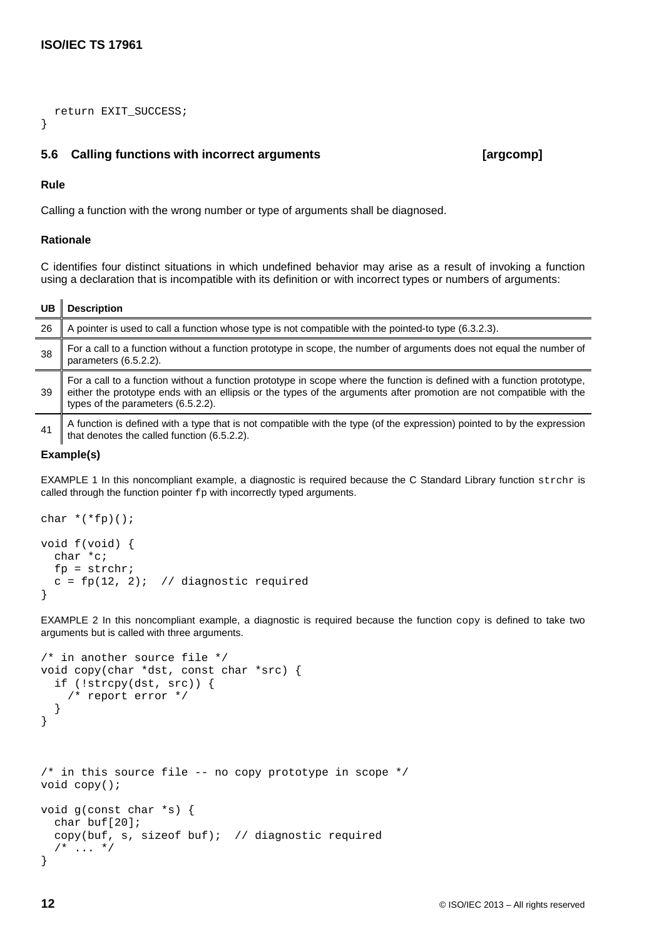return EXIT\_SUCCESS;

## <span id="page-21-0"></span>**5.6 Calling functions with incorrect arguments [argcomp]**

### **Rule**

}

Calling a function with the wrong number or type of arguments shall be diagnosed.

### **Rationale**

C identifies four distinct situations in which undefined behavior may arise as a result of invoking a function using a declaration that is incompatible with its definition or with incorrect types or numbers of arguments:

## **UB Description**

| 26  | A pointer is used to call a function whose type is not compatible with the pointed-to type (6.3.2.3).                                                                                                                                                                                 |
|-----|---------------------------------------------------------------------------------------------------------------------------------------------------------------------------------------------------------------------------------------------------------------------------------------|
| 38  | For a call to a function without a function prototype in scope, the number of arguments does not equal the number of<br>parameters (6.5.2.2).                                                                                                                                         |
| -39 | For a call to a function without a function prototype in scope where the function is defined with a function prototype,<br>either the prototype ends with an ellipsis or the types of the arguments after promotion are not compatible with the<br>types of the parameters (6.5.2.2). |
| 41  | A function is defined with a type that is not compatible with the type (of the expression) pointed to by the expression<br>that denotes the called function (6.5.2.2).                                                                                                                |

### **Example(s)**

EXAMPLE 1 In this noncompliant example, a diagnostic is required because the C Standard Library function strchr is called through the function pointer  $f_{\rm P}$  with incorrectly typed arguments.

```
char *(*fp)();
void f(void) {
   char *c;
  fp = structhr;c = fp(12, 2); // diagnostic required
}
```
EXAMPLE 2 In this noncompliant example, a diagnostic is required because the function copy is defined to take two arguments but is called with three arguments.

```
/* in another source file */
void copy(char *dst, const char *src) {
   if (!strcpy(dst, src)) {
     /* report error */
   }
}
/* in this source file -- no copy prototype in scope */
void copy();
void g(const char *s) {
   char buf[20];
   copy(buf, s, sizeof buf); // diagnostic required
  /* ... */
}
```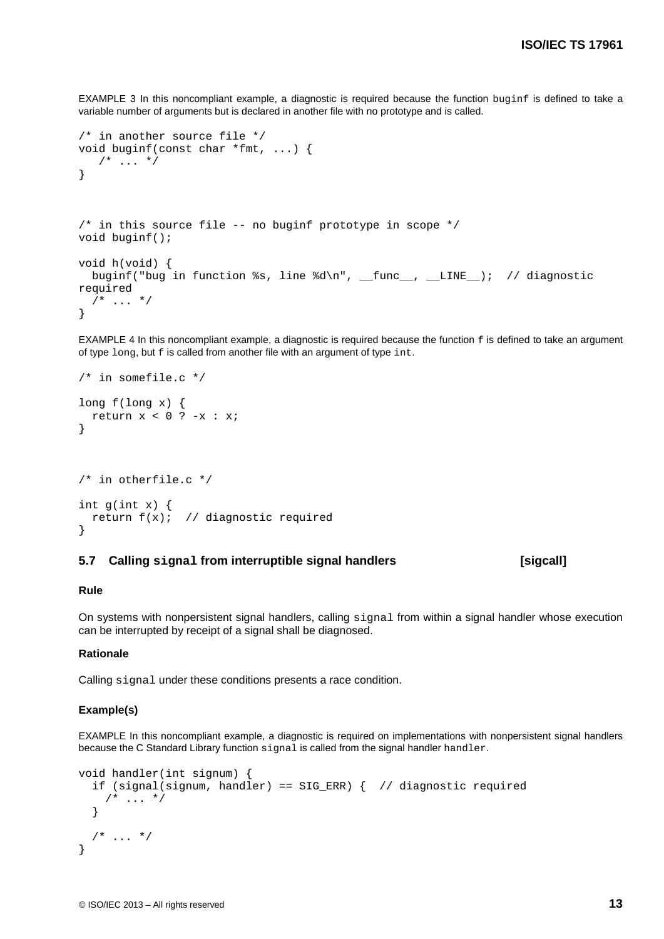EXAMPLE 3 In this noncompliant example, a diagnostic is required because the function buginf is defined to take a variable number of arguments but is declared in another file with no prototype and is called.

```
/* in another source file */
void buginf(const char *fmt, ...) {
  /* ... */
}
/* in this source file -- no buginf prototype in scope */
void buginf();
void h(void) {
 buginf("bug in function %s, line %d\n", __func__, __LINE__); // diagnostic
required
  /* ... */
}
```
EXAMPLE 4 In this noncompliant example, a diagnostic is required because the function  $f$  is defined to take an argument of type long, but f is called from another file with an argument of type int.

```
/* in somefile.c */
long f(long x) {
 return x < 0 ? -x : x;
}
/* in otherfile.c */
int g(int x) {
 return f(x); // diagnostic required
```
#### <span id="page-22-0"></span>**5.7 Calling signal from interruptible signal handlers [sigcall]**

#### **Rule**

}

On systems with nonpersistent signal handlers, calling signal from within a signal handler whose execution can be interrupted by receipt of a signal shall be diagnosed.

#### **Rationale**

Calling signal under these conditions presents a race condition.

#### **Example(s)**

EXAMPLE In this noncompliant example, a diagnostic is required on implementations with nonpersistent signal handlers because the C Standard Library function signal is called from the signal handler handler.

```
void handler(int signum) {
   if (signal(signum, handler) == SIG_ERR) { // diagnostic required
   /* ... */
   }
 /* \dots */
}
```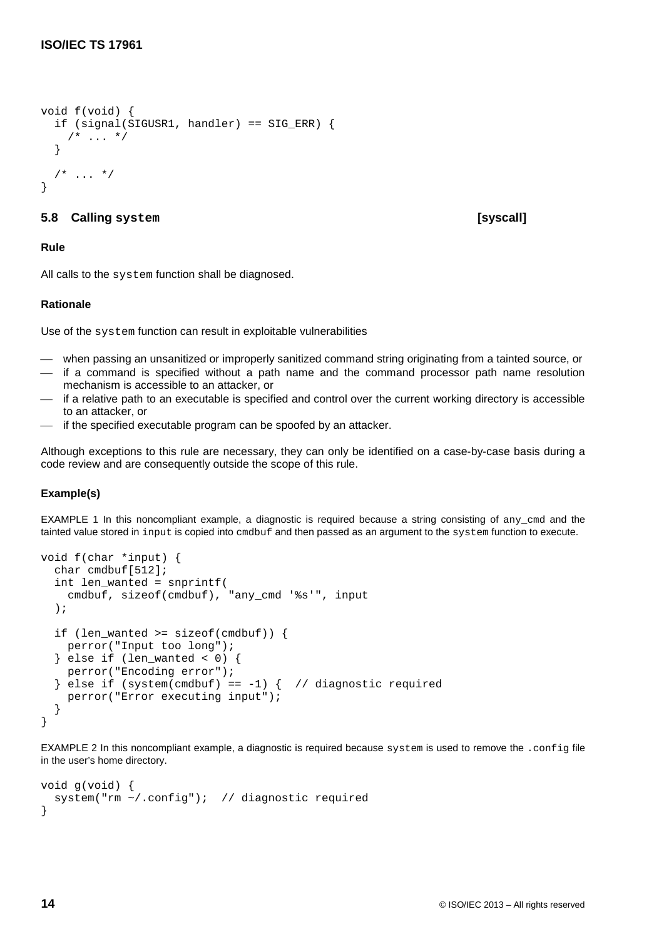```
void f(void) {
   if (signal(SIGUSR1, handler) == SIG_ERR) {
    /* ... */
   }
  /* ... */
}
```
## <span id="page-23-0"></span>**5.8 Calling system [syscall]**

## **Rule**

All calls to the system function shall be diagnosed.

## **Rationale**

Use of the system function can result in exploitable vulnerabilities

- when passing an unsanitized or improperly sanitized command string originating from a tainted source, or
- $-$  if a command is specified without a path name and the command processor path name resolution mechanism is accessible to an attacker, or
- if a relative path to an executable is specified and control over the current working directory is accessible to an attacker, or
- if the specified executable program can be spoofed by an attacker.

Although exceptions to this rule are necessary, they can only be identified on a case-by-case basis during a code review and are consequently outside the scope of this rule.

## **Example(s)**

EXAMPLE 1 In this noncompliant example, a diagnostic is required because a string consisting of any\_cmd and the tainted value stored in input is copied into emdbuf and then passed as an argument to the system function to execute.

```
void f(char *input) {
   char cmdbuf[512];
   int len_wanted = snprintf(
     cmdbuf, sizeof(cmdbuf), "any_cmd '%s'", input
   );
   if (len_wanted >= sizeof(cmdbuf)) {
    perror("Input too long");
   } else if (len_wanted < 0) {
    perror("Encoding error");
  \} else if (system(cmdbuf) == -1) { // diagnostic required
     perror("Error executing input");
   }
}
```
EXAMPLE 2 In this noncompliant example, a diagnostic is required because system is used to remove the .config file in the user's home directory.

```
void g(void) {
   system("rm ~/.config"); // diagnostic required
}
```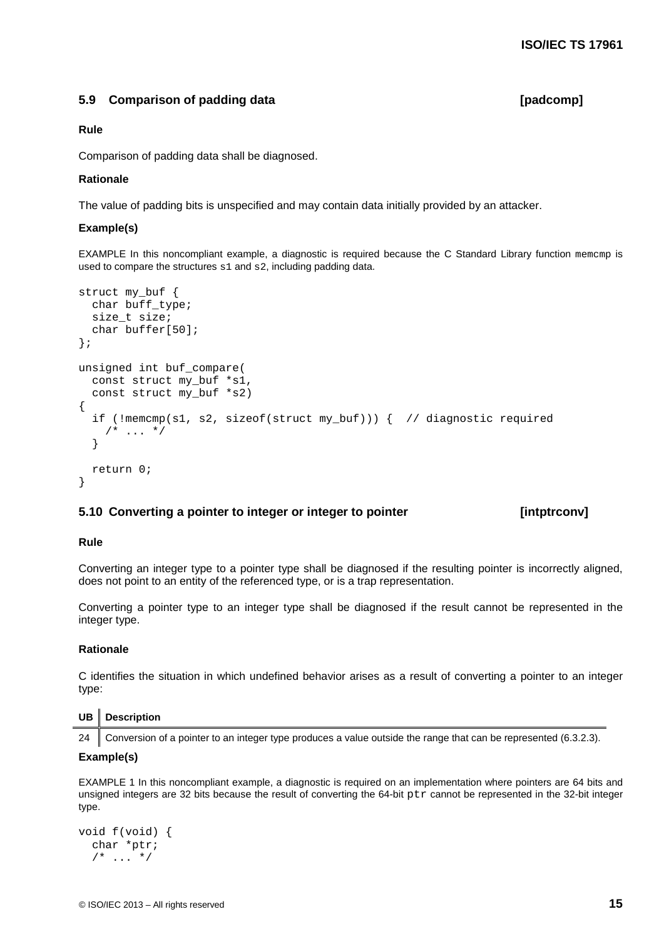## <span id="page-24-0"></span>**5.9 Comparison of padding data [padcomp]**

#### **Rule**

Comparison of padding data shall be diagnosed.

#### **Rationale**

The value of padding bits is unspecified and may contain data initially provided by an attacker.

#### **Example(s)**

EXAMPLE In this noncompliant example, a diagnostic is required because the C Standard Library function memcmp is used to compare the structures s1 and s2, including padding data.

```
struct my_buf {
   char buff_type;
   size_t size;
   char buffer[50];
};
unsigned int buf_compare(
   const struct my_buf *s1,
  const struct my buf *s2)
{
   if (!memcmp(s1, s2, sizeof(struct my_buf))) { // diagnostic required
    /* ... */
   }
   return 0;
}
```
## <span id="page-24-1"></span>**5.10 Converting a pointer to integer or integer to pointer [intptrconv]**

#### **Rule**

Converting an integer type to a pointer type shall be diagnosed if the resulting pointer is incorrectly aligned, does not point to an entity of the referenced type, or is a trap representation.

Converting a pointer type to an integer type shall be diagnosed if the result cannot be represented in the integer type.

#### **Rationale**

C identifies the situation in which undefined behavior arises as a result of converting a pointer to an integer type:

#### **UB Description**

24 Conversion of a pointer to an integer type produces a value outside the range that can be represented (6.3.2.3).

#### **Example(s)**

EXAMPLE 1 In this noncompliant example, a diagnostic is required on an implementation where pointers are 64 bits and unsigned integers are 32 bits because the result of converting the 64-bit ptr cannot be represented in the 32-bit integer type.

```
void f(void) {
   char *ptr;
  /* ... */
```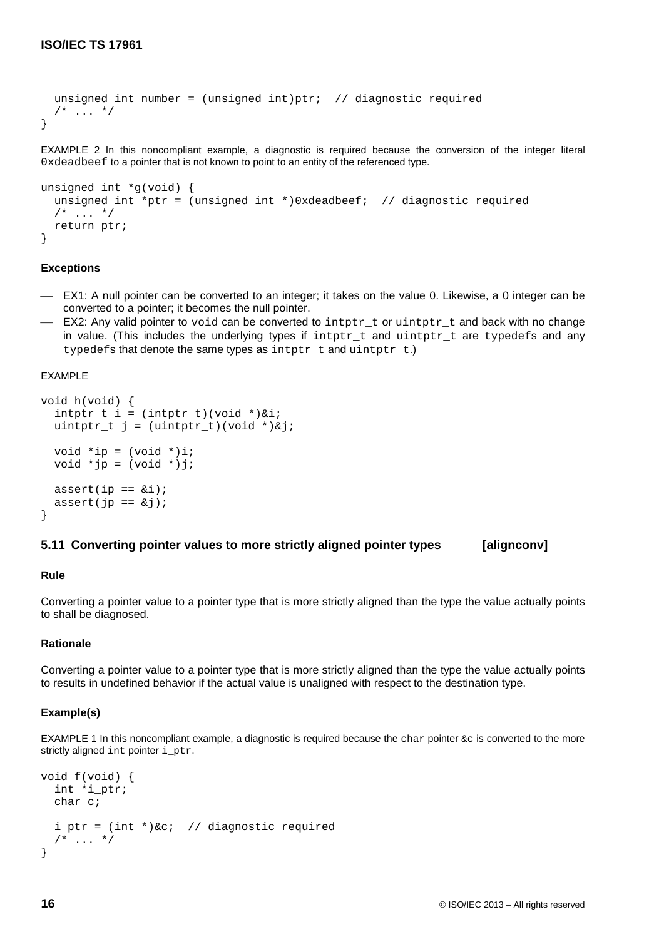```
unsigned int number = (unsigned int)ptr; // diagnostic required
  /* ... */
}
```
EXAMPLE 2 In this noncompliant example, a diagnostic is required because the conversion of the integer literal 0xdeadbeef to a pointer that is not known to point to an entity of the referenced type.

```
unsigned int *g(void) {
  unsigned int *ptr = (unsigned int *)0xdeadbeef; // diagnostic required
  /* ... */
   return ptr;
}
```
#### **Exceptions**

- EX1: A null pointer can be converted to an integer; it takes on the value 0. Likewise, a 0 integer can be converted to a pointer; it becomes the null pointer.
- EX2: Any [valid pointer](#page-14-2) to void can be converted to intptr\_t or uintptr\_t and back with no change in value. (This includes the underlying types if intptr t and uintptr t are typedefs and any typedefs that denote the same types as intptr  $t$  and uintptr  $t$ .)

#### EXAMPLE

```
void h(void) {
  intptr_t i = (intptr_t)(void *)*i;uintptr_t j = (uintptr_t)(void *)\&jivoid *ip = (void *)i;
  void *jp = (void *)j;
  assert(ip == &ii);assert(jp == \&j);
}
```
### <span id="page-25-0"></span>**5.11 Converting pointer values to more strictly aligned pointer types [alignconv]**

## **Rule**

Converting a pointer value to a pointer type that is more strictly aligned than the type the value actually points to shall be diagnosed.

## **Rationale**

Converting a pointer value to a pointer type that is more strictly aligned than the type the value actually points to results in undefined behavior if the actual value is unaligned with respect to the destination type.

#### **Example(s)**

EXAMPLE 1 In this noncompliant example, a diagnostic is required because the char pointer  $\&c$  is converted to the more strictly aligned int pointer i\_ptr.

```
void f(void) {
   int *i_ptr;
   char c;
  i ptr = (int *)&c; // diagnostic required
  /* ... */
}
```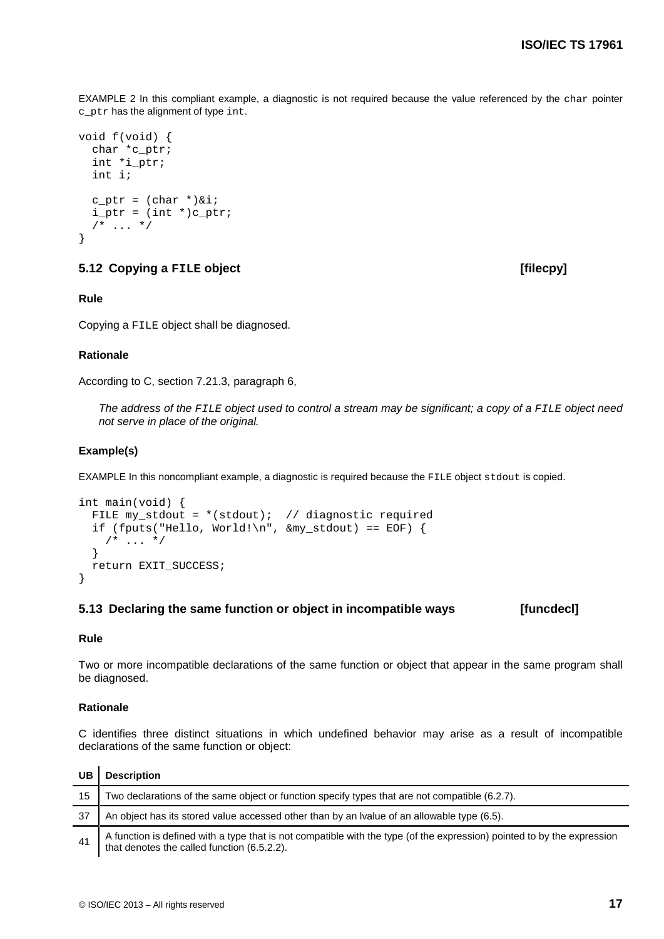EXAMPLE 2 In this compliant example, a diagnostic is not required because the value referenced by the char pointer c\_ptr has the alignment of type int.

```
void f(void) {
  char *c_ptr;
   int *i_ptr;
   int i;
  c_ptr = (char *)&i;
  i_{ptr} = (int * )c_{ptr};/* ... */
}
```
### <span id="page-26-0"></span>**5.12 Copying a FILE object [filecpy]**

### **Rule**

Copying a FILE object shall be diagnosed.

#### **Rationale**

According to C, section 7.21.3, paragraph 6,

*The address of the FILE object used to control a stream may be significant; a copy of a FILE object need not serve in place of the original.*

#### **Example(s)**

EXAMPLE In this noncompliant example, a diagnostic is required because the FILE object stdout is copied.

```
int main(void) {
 FILE my_stdout = *(stdout); // diagnostic required
 if (fputs("Hello, World!\n", \omegamy_stdout) == EOF) {
    /* ... */
   }
  return EXIT_SUCCESS;
}
```
### <span id="page-26-1"></span>**5.13 Declaring the same function or object in incompatible ways [funcdecl]**

## **Rule**

Two or more incompatible declarations of the same function or object that appear in the same program shall be diagnosed.

#### **Rationale**

C identifies three distinct situations in which undefined behavior may arise as a result of incompatible declarations of the same function or object:

| UB  | <b>Description</b>                                                                                                                                                     |
|-----|------------------------------------------------------------------------------------------------------------------------------------------------------------------------|
| 15  | Two declarations of the same object or function specify types that are not compatible (6.2.7).                                                                         |
| -37 | An object has its stored value accessed other than by an Ivalue of an allowable type (6.5).                                                                            |
| 41  | A function is defined with a type that is not compatible with the type (of the expression) pointed to by the expression<br>that denotes the called function (6.5.2.2). |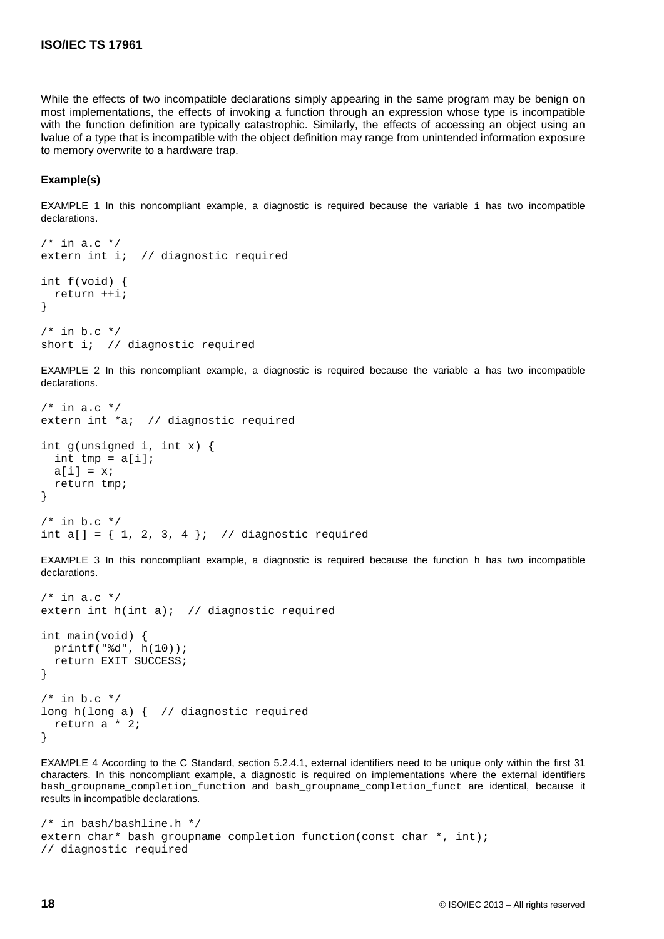While the effects of two incompatible declarations simply appearing in the same program may be benign on most implementations, the effects of invoking a function through an expression whose type is incompatible with the function definition are typically catastrophic. Similarly, the effects of accessing an object using an lvalue of a type that is incompatible with the object definition may range from unintended information exposure to memory overwrite to a hardware trap.

### **Example(s)**

EXAMPLE 1 In this noncompliant example, a diagnostic is required because the variable i has two incompatible declarations.

```
/* in a.c */extern int i; // diagnostic required
int f(void) {
   return ++i;
}
/* in b.c */short i; // diagnostic required
```
EXAMPLE 2 In this noncompliant example, a diagnostic is required because the variable a has two incompatible declarations.

```
/* in a.c */extern int *a; // diagnostic required
int g(unsigned i, int x) {
 int tmp = a[i];
  a[i] = xi return tmp;
}
/* in b.c */int a[] = \{ 1, 2, 3, 4 \}; // diagnostic required
```
EXAMPLE 3 In this noncompliant example, a diagnostic is required because the function h has two incompatible declarations.

```
/* in a.c */extern int h(int a); // diagnostic required
int main(void) {
  printf("%d", h(10));
   return EXIT_SUCCESS;
}
/* in b.c */long h(long a) { // diagnostic required
   return a * 2;
}
```
EXAMPLE 4 According to the C Standard, section 5.2.4.1, external identifiers need to be unique only within the first 31 characters. In this noncompliant example, a diagnostic is required on implementations where the external identifiers bash\_groupname\_completion\_function and bash\_groupname\_completion\_funct are identical, because it results in incompatible declarations.

```
/* in bash/bashline.h */
extern char* bash_groupname_completion_function(const char *, int); 
// diagnostic required
```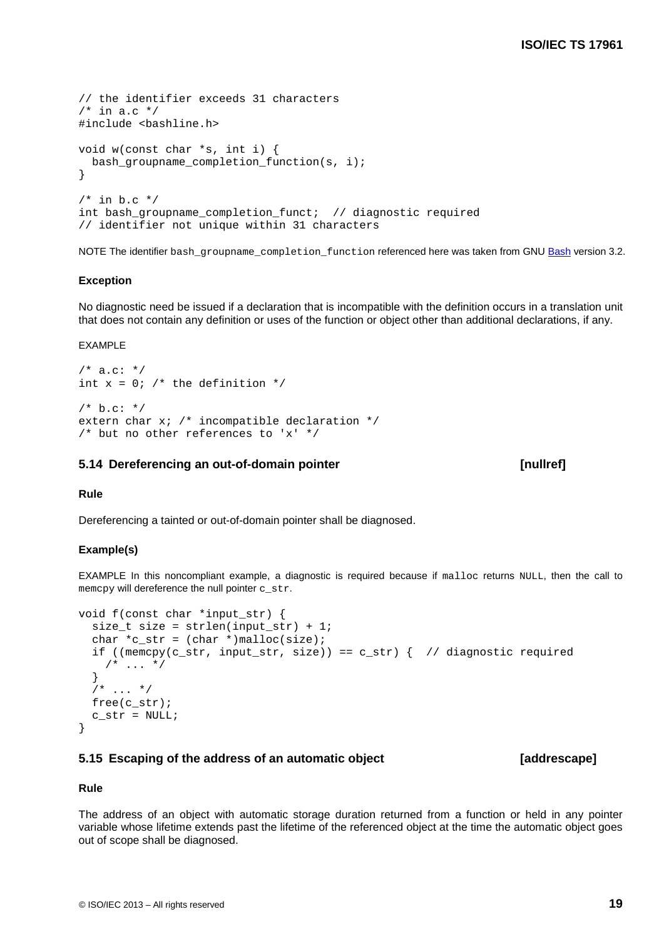```
© ISO/IEC 2013 – All rights reserved 19
```

```
// the identifier exceeds 31 characters
/* in a.c */#include <bashline.h>
void w(const char *s, int i) {
  bash_groupname_completion_function(s, i);
}
/* in b.c */int bash_groupname_completion_funct; // diagnostic required
// identifier not unique within 31 characters
```
NOTE The identifier bash\_groupname\_completion\_function referenced here was taken from GNU [Bash](http://www.gnu.org/software/bash/) version 3.2.

## **Exception**

No diagnostic need be issued if a declaration that is incompatible with the definition occurs in a translation unit that does not contain any definition or uses of the function or object other than additional declarations, if any.

#### EXAMPLE

```
/* a.c: */
int x = 0; /* the definition */
/* b.c: */
extern char x; /* incompatible declaration */
/* but no other references to 'x' */
```
## <span id="page-28-0"></span>**5.14 Dereferencing an out-of-domain pointer [nullref]**

#### **Rule**

Dereferencing a tainted or out-of-domain pointer shall be diagnosed.

## **Example(s)**

EXAMPLE In this noncompliant example, a diagnostic is required because if malloc returns NULL, then the call to memcpy will dereference the null pointer c\_str.

```
void f(const char *input_str) {
  size_t size = strlen(input\_str) + 1;char *c\_str = (char *)malloc(size);if ((memcpy(c_str, input_str, size)) == c_str) { // diagnostic required
    /* ... */
   }
  7* ... */ free(c_str);
  c_str = NULL;
}
```
## <span id="page-28-1"></span>**5.15 Escaping of the address of an automatic object [addrescape]**

## **Rule**

The address of an object with automatic storage duration returned from a function or held in any pointer variable whose lifetime extends past the lifetime of the referenced object at the time the automatic object goes out of scope shall be diagnosed.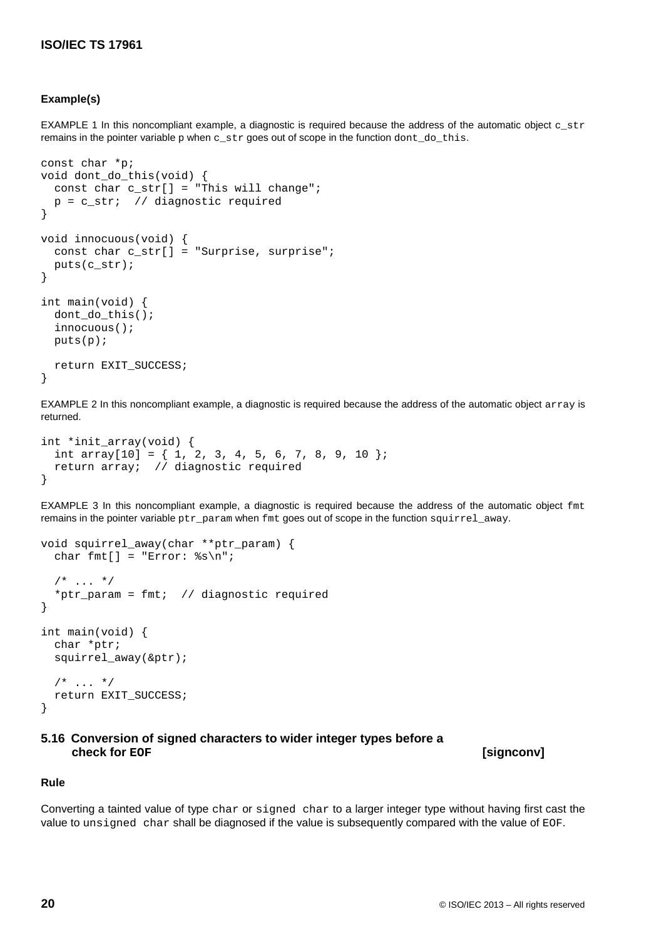## **Example(s)**

EXAMPLE 1 In this noncompliant example, a diagnostic is required because the address of the automatic object c\_str remains in the pointer variable p when c\_str goes out of scope in the function dont\_do\_this.

```
const char *p;
void dont_do_this(void) {
  const char c_str[] = "This will change";
   p = c_str; // diagnostic required
}
void innocuous(void) {
  const char c str[] = "Surprise, surprise";
   puts(c_str);
}
int main(void) {
   dont_do_this();
   innocuous();
  puts(p);
   return EXIT_SUCCESS;
}
```
EXAMPLE 2 In this noncompliant example, a diagnostic is required because the address of the automatic object array is returned.

```
int *init_array(void) {
 int array[10] = \{ 1, 2, 3, 4, 5, 6, 7, 8, 9, 10 \};
  return array; // diagnostic required
}
```
EXAMPLE 3 In this noncompliant example, a diagnostic is required because the address of the automatic object fmt remains in the pointer variable ptr\_param when fmt goes out of scope in the function squirrel\_away.

```
void squirrel_away(char **ptr_param) {
  char fmt[] = "Error: s\s\n";
  /* ... */
  *ptr param = fmt; // diagnostic required
}
int main(void) {
   char *ptr;
   squirrel_away(&ptr);
  /* ... */
   return EXIT_SUCCESS;
}
```
# <span id="page-29-0"></span>**5.16 Conversion of signed characters to wider integer types before a**

 $[signconv]$ 

#### **Rule**

Converting a tainted value of type char or signed char to a larger integer type without having first cast the value to unsigned char shall be diagnosed if the value is subsequently compared with the value of EOF.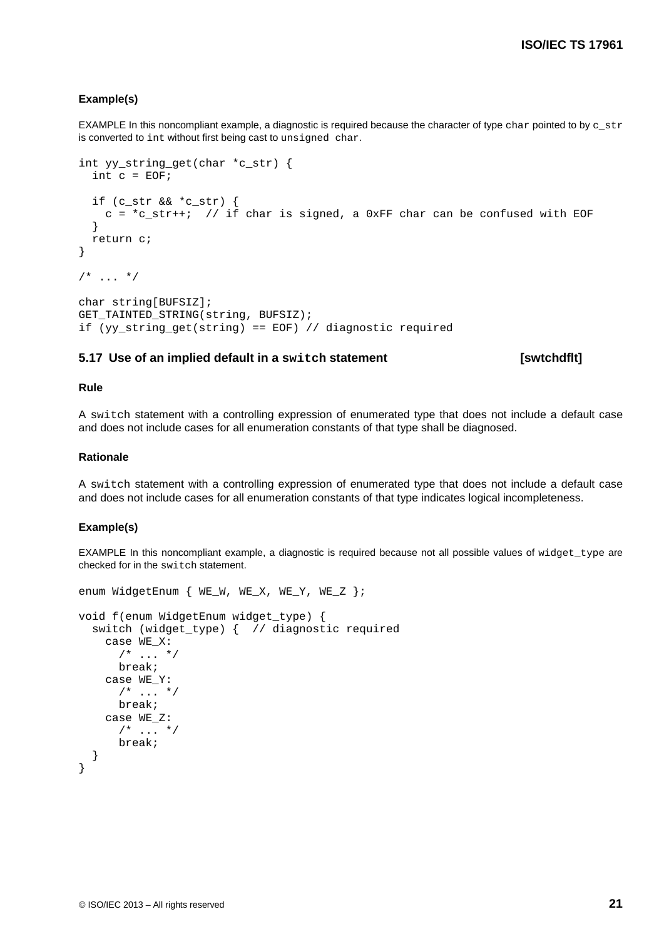#### **Example(s)**

EXAMPLE In this noncompliant example, a diagnostic is required because the character of type char pointed to by  $c$ \_str is converted to int without first being cast to unsigned char.

```
int yy_string_get(char *c_str) {
  int c = EOF;
   if (c_str && *c_str) {
    c = *c_str++; // if char is signed, a 0xFF char can be confused with EOF
   }
   return c;
}
/* ... */
char string[BUFSIZ];
GET_TAINTED_STRING(string, BUFSIZ);
if (yy_string_get(string) == EOF) // diagnostic required
```
### <span id="page-30-0"></span>**5.17 Use of an implied default in a switch statement [swtchdflt]**

#### **Rule**

A switch statement with a controlling expression of enumerated type that does not include a default case and does not include cases for all enumeration constants of that type shall be diagnosed.

### **Rationale**

A switch statement with a controlling expression of enumerated type that does not include a default case and does not include cases for all enumeration constants of that type indicates logical incompleteness.

#### **Example(s)**

EXAMPLE In this noncompliant example, a diagnostic is required because not all possible values of widget\_type are checked for in the switch statement.

```
enum WidgetEnum { WE_W, WE_X, WE_Y, WE_Z };
void f(enum WidgetEnum widget_type) {
   switch (widget_type) { // diagnostic required
     case WE_X:
       /* ... */
       break;
     case WE_Y:
      /* ... */
       break;
     case WE_Z:
      /* ... */
       break;
   }
}
```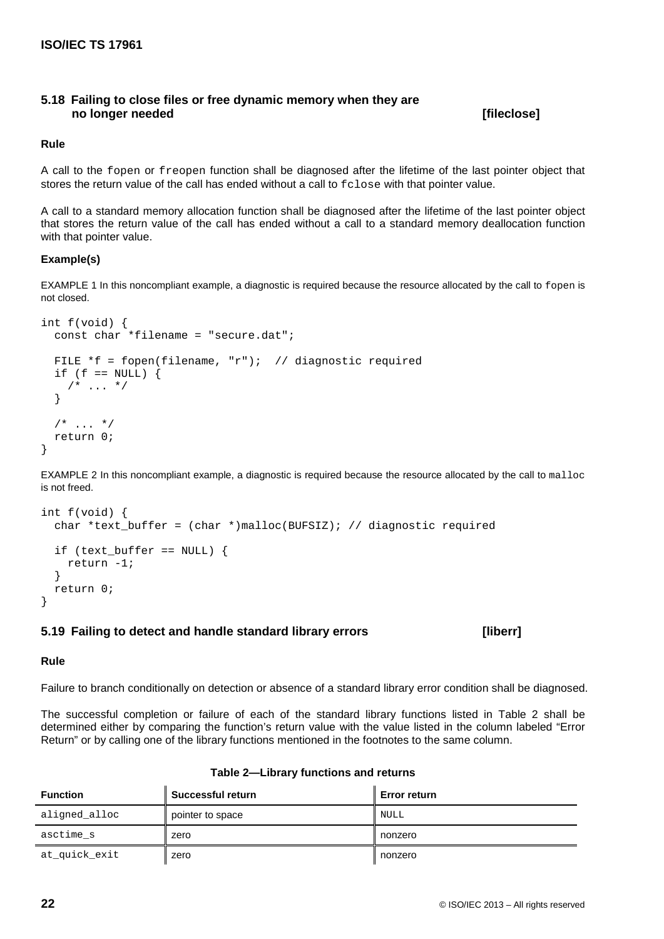## <span id="page-31-0"></span>**5.18 Failing to close files or free dynamic memory when they are no longer needed [fileclose]**

### **Rule**

A call to the fopen or freopen function shall be diagnosed after the lifetime of the last pointer object that stores the return value of the call has ended without a call to fclose with that pointer value.

A call to a standard memory allocation function shall be diagnosed after the lifetime of the last pointer object that stores the return value of the call has ended without a call to a standard memory deallocation function with that pointer value.

### **Example(s)**

EXAMPLE 1 In this noncompliant example, a diagnostic is required because the resource allocated by the call to fopen is not closed.

```
int f(void) {
 const char *filename = "secure.dat";
  FILE *f = fopen(filename, "r"); // diagnostic required
  if (f == NULL) {
   /* ... */
   }
  /* \dots */ return 0;
}
```
EXAMPLE 2 In this noncompliant example, a diagnostic is required because the resource allocated by the call to malloc is not freed.

```
int f(void) {
   char *text_buffer = (char *)malloc(BUFSIZ); // diagnostic required
   if (text_buffer == NULL) {
    return -1;
   }
   return 0;
}
```
## <span id="page-31-1"></span>**5.19 Failing to detect and handle standard library errors [liberr]**

#### **Rule**

Failure to branch conditionally on detection or absence of a standard library error condition shall be diagnosed.

The successful completion or failure of each of the standard library functions listed in Table 2 shall be determined either by comparing the function's return value with the value listed in the column labeled "Error Return" or by calling one of the library functions mentioned in the footnotes to the same column.

<span id="page-31-2"></span>

| <b>Function</b> | <b>Successful return</b> | <b>Error return</b> |
|-----------------|--------------------------|---------------------|
| aligned_alloc   | pointer to space         | NULL                |
| asctime s       | zero                     | nonzero             |
| at_quick_exit   | zero                     | nonzero             |

#### **Table 2—Library functions and returns**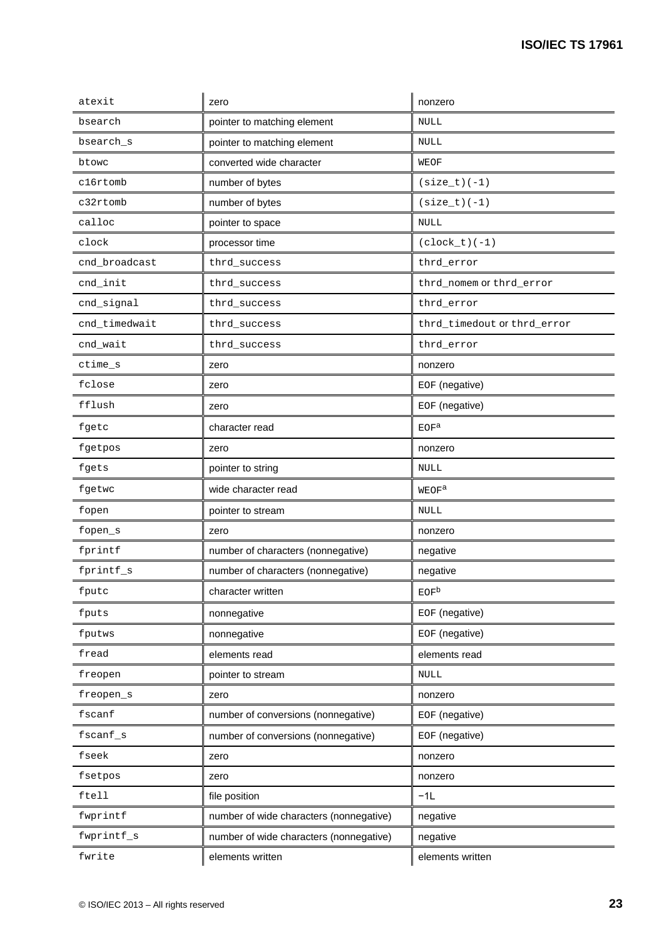| atexit        | zero                                    | nonzero                     |
|---------------|-----------------------------------------|-----------------------------|
| bsearch       | pointer to matching element             | <b>NULL</b>                 |
| bsearch_s     | pointer to matching element             | NULL                        |
| btowc         | converted wide character                | WEOF                        |
| c16rtomb      | number of bytes                         | $(size_t)(-1)$              |
| c32rtomb      | number of bytes                         | $(size_t)(-1)$              |
| calloc        | pointer to space                        | <b>NULL</b>                 |
| clock         | processor time                          | $(clock_t) (-1)$            |
| cnd broadcast | thrd_success                            | thrd_error                  |
| cnd_init      | thrd_success                            | thrd_nomem Of thrd_error    |
| cnd_signal    | thrd_success                            | thrd_error                  |
| cnd_timedwait | thrd_success                            | thrd_timedout or thrd_error |
| cnd_wait      | thrd_success                            | thrd_error                  |
| ctime_s       | zero                                    | nonzero                     |
| fclose        | zero                                    | EOF (negative)              |
| fflush        | zero                                    | EOF (negative)              |
| fgetc         | character read                          | EOF <sup>a</sup>            |
| fgetpos       | zero                                    | nonzero                     |
| fgets         | pointer to string                       | NULL                        |
| fgetwc        | wide character read                     | WEOF <sup>a</sup>           |
| fopen         | pointer to stream                       | <b>NULL</b>                 |
| fopen_s       | zero                                    | nonzero                     |
| fprintf       | number of characters (nonnegative)      | negative                    |
| fprintf_s     | number of characters (nonnegative)      | negative                    |
| fputc         | character written                       | EOF <sup>b</sup>            |
| fputs         | nonnegative                             | EOF (negative)              |
| fputws        | nonnegative                             | EOF (negative)              |
| fread         | elements read                           | elements read               |
| freopen       | pointer to stream                       | NULL                        |
| freopen_s     | zero                                    | nonzero                     |
| fscanf        | number of conversions (nonnegative)     | EOF (negative)              |
| fscanf_s      | number of conversions (nonnegative)     | EOF (negative)              |
| fseek         | zero                                    | nonzero                     |
| fsetpos       | zero                                    | nonzero                     |
| ftell         | file position                           | $-1L$                       |
| fwprintf      | number of wide characters (nonnegative) | negative                    |
| fwprintf_s    | number of wide characters (nonnegative) | negative                    |
| fwrite        | elements written                        | elements written            |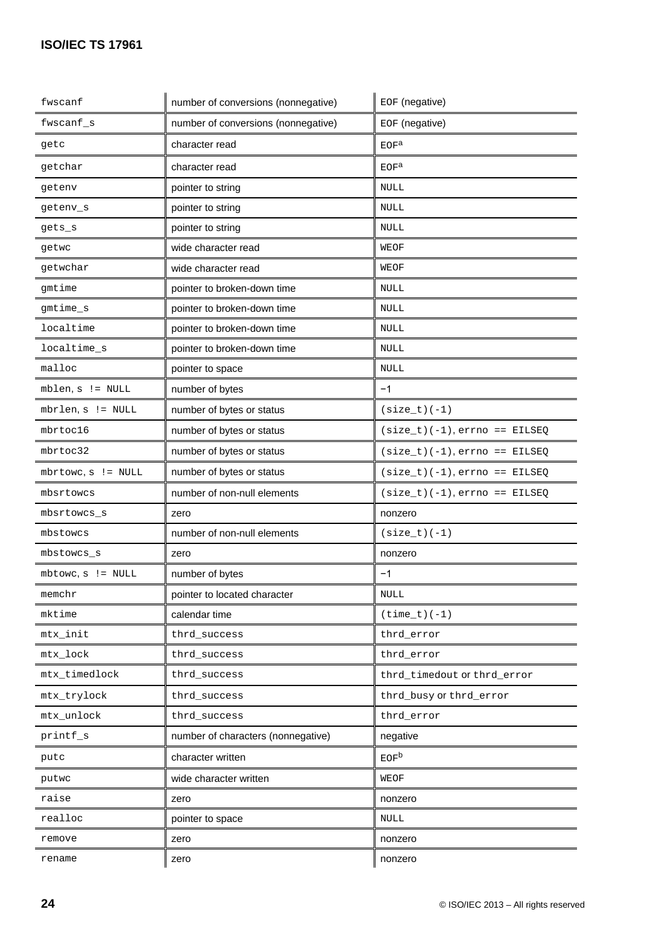| fwscanf               | number of conversions (nonnegative) | EOF (negative)                  |
|-----------------------|-------------------------------------|---------------------------------|
| $fwscanf_s$           | number of conversions (nonnegative) | EOF (negative)                  |
| getc                  | character read                      | EOF <sup>a</sup>                |
| getchar               | character read                      | EOF <sup>a</sup>                |
| getenv                | pointer to string                   | <b>NULL</b>                     |
| getenv_s              | pointer to string                   | <b>NULL</b>                     |
| gets_s                | pointer to string                   | <b>NULL</b>                     |
| getwc                 | wide character read                 | <b>WEOF</b>                     |
| getwchar              | wide character read                 | <b>WEOF</b>                     |
| gmtime                | pointer to broken-down time         | <b>NULL</b>                     |
| gmtime_s              | pointer to broken-down time         | <b>NULL</b>                     |
| localtime             | pointer to broken-down time         | <b>NULL</b>                     |
| localtime_s           | pointer to broken-down time         | <b>NULL</b>                     |
| malloc                | pointer to space                    | <b>NULL</b>                     |
| $mblen, s := NULL$    | number of bytes                     | $-1$                            |
| mbrlen, s != NULL     | number of bytes or status           | $(size_t)(-1)$                  |
| mbrtoc16              | number of bytes or status           | $(size_t)(-1), errno == EILSEQ$ |
| mbrtoc32              | number of bytes or status           | $(size_t)(-1), errno == EILSEQ$ |
| $mbrtowc, s$ != NULL  | number of bytes or status           | $(size_t)(-1), errno == EILSEQ$ |
| mbsrtowcs             | number of non-null elements         | $(size_t)(-1), errno == EILSEQ$ |
| mbsrtowcs_s           | zero                                | nonzero                         |
| mbstowcs              | number of non-null elements         | $(size_t)(-1)$                  |
| mbstowcs_s            | zero                                | nonzero                         |
| $mbtowc, s$ != $NULL$ | number of bytes                     | $-1$                            |
| memchr                | pointer to located character        | $\textsc{NULL}$                 |
| mktime                | calendar time                       | $(time_t) (-1)$                 |
| mtx_init              | thrd_success                        | thrd_error                      |
| mtx_lock              | thrd_success                        | thrd_error                      |
| mtx_timedlock         | thrd_success                        | thrd_timedout or thrd_error     |
| mtx_trylock           | thrd_success                        | thrd_busy Or thrd_error         |
| mtx_unlock            | thrd_success                        | thrd_error                      |
| printf_s              | number of characters (nonnegative)  | negative                        |
| putc                  | character written                   | EOF <sub>b</sub>                |
| putwc                 | wide character written              | WEOF                            |
| raise                 | zero                                | nonzero                         |
| realloc               | pointer to space                    | NULL                            |
| remove                | zero                                | nonzero                         |
| rename                | zero                                | nonzero                         |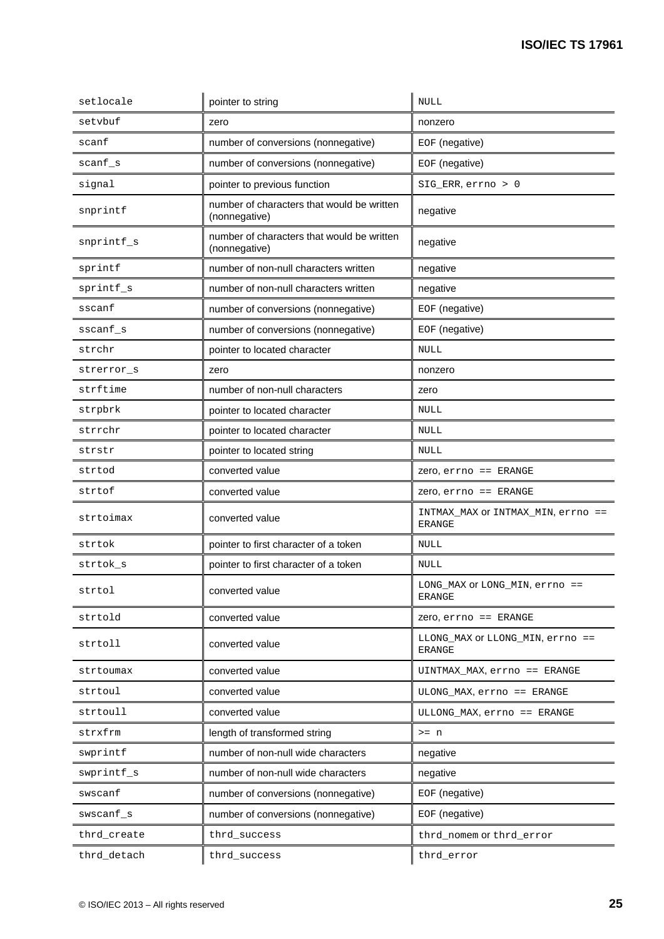| setlocale   | pointer to string                                           | <b>NULL</b>                                         |
|-------------|-------------------------------------------------------------|-----------------------------------------------------|
| setvbuf     | zero                                                        | nonzero                                             |
| scanf       | number of conversions (nonnegative)                         | EOF (negative)                                      |
| scanf_s     | number of conversions (nonnegative)                         | EOF (negative)                                      |
| signal      | pointer to previous function                                | SIG_ERR, errno > 0                                  |
| snprintf    | number of characters that would be written<br>(nonnegative) | negative                                            |
| snprintf_s  | number of characters that would be written<br>(nonnegative) | negative                                            |
| sprintf     | number of non-null characters written                       | negative                                            |
| sprintf_s   | number of non-null characters written                       | negative                                            |
| sscanf      | number of conversions (nonnegative)                         | EOF (negative)                                      |
| sscanf_s    | number of conversions (nonnegative)                         | EOF (negative)                                      |
| strchr      | pointer to located character                                | <b>NULL</b>                                         |
| strerror s  | zero                                                        | nonzero                                             |
| strftime    | number of non-null characters                               | zero                                                |
| strpbrk     | pointer to located character                                | NULL                                                |
| strrchr     | pointer to located character                                | <b>NULL</b>                                         |
| strstr      | pointer to located string                                   | <b>NULL</b>                                         |
| strtod      | converted value                                             | Zero, errno == ERANGE                               |
| strtof      | converted value                                             | $Zero, error == ERANGE$                             |
| strtoimax   | converted value                                             | INTMAX_MAX OF INTMAX_MIN, errno ==<br><b>ERANGE</b> |
| strtok      | pointer to first character of a token                       | <b>NULL</b>                                         |
| strtok_s    | pointer to first character of a token                       | <b>NULL</b>                                         |
| strtol      | converted value                                             | LONG_MAX OF LONG_MIN, errno ==<br>ERANGE            |
| strtold     | converted value                                             | $Zero$ , $errno$ == $ERANGE$                        |
| strtoll     | converted value                                             | LLONG MAX OF LLONG MIN, errno ==<br><b>ERANGE</b>   |
| strtoumax   | converted value                                             | UINTMAX_MAX, errno == ERANGE                        |
| strtoul     | converted value                                             | ULONG_MAX, errno == ERANGE                          |
| strtoull    | converted value                                             | ULLONG MAX, errno == ERANGE                         |
| strxfrm     | length of transformed string                                | $>= n$                                              |
| swprintf    | number of non-null wide characters                          | negative                                            |
| swprintf_s  | number of non-null wide characters                          | negative                                            |
| swscanf     | number of conversions (nonnegative)                         | EOF (negative)                                      |
| swscanf_s   | number of conversions (nonnegative)                         | EOF (negative)                                      |
| thrd_create | thrd_success                                                | thrd_nomem Of thrd_error                            |
| thrd_detach | thrd_success                                                | thrd_error                                          |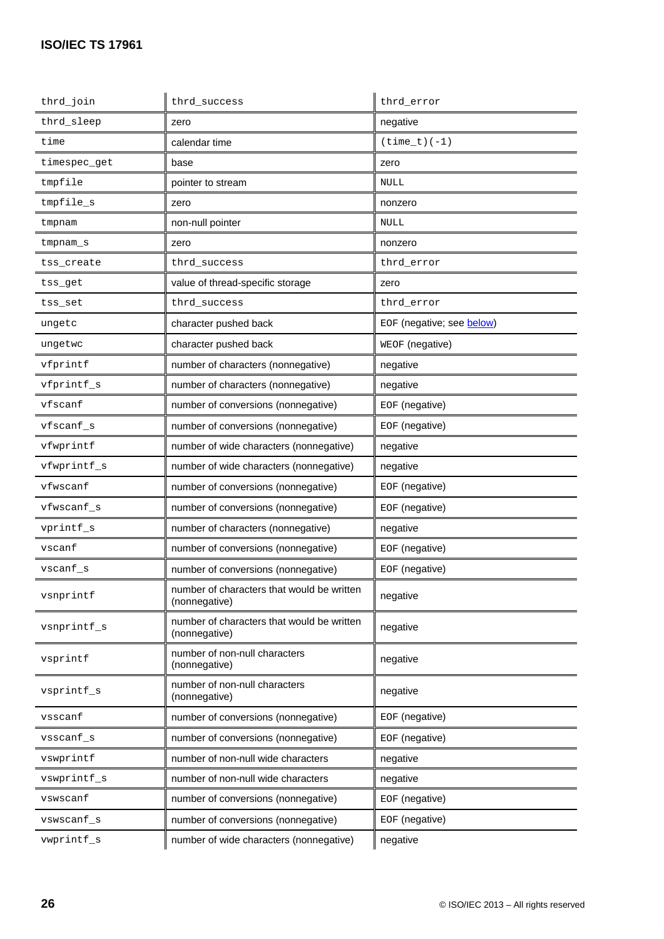| thrd_join    | thrd_success                                                | thrd error                |
|--------------|-------------------------------------------------------------|---------------------------|
| thrd_sleep   | zero                                                        | negative                  |
| time         | calendar time                                               | $(time_t) (-1)$           |
| timespec_get | base                                                        | zero                      |
| tmpfile      | pointer to stream                                           | NULL                      |
| tmpfile_s    | zero                                                        | nonzero                   |
| tmpnam       | non-null pointer                                            | <b>NULL</b>               |
| tmpnam_s     | zero                                                        | nonzero                   |
| tss_create   | thrd success                                                | thrd error                |
| tss_get      | value of thread-specific storage                            | zero                      |
| tss_set      | thrd_success                                                | thrd error                |
| ungetc       | character pushed back                                       | EOF (negative; see below) |
| ungetwc      | character pushed back                                       | WEOF (negative)           |
| vfprintf     | number of characters (nonnegative)                          | negative                  |
| vfprintf_s   | number of characters (nonnegative)                          | negative                  |
| vfscanf      | number of conversions (nonnegative)                         | EOF (negative)            |
| vfscanf_s    | number of conversions (nonnegative)                         | EOF (negative)            |
| vfwprintf    | number of wide characters (nonnegative)                     | negative                  |
| vfwprintf_s  | number of wide characters (nonnegative)                     | negative                  |
| vfwscanf     | number of conversions (nonnegative)                         | EOF (negative)            |
| vfwscanf_s   | number of conversions (nonnegative)                         | EOF (negative)            |
| vprintf_s    | number of characters (nonnegative)                          | negative                  |
| vscanf       | number of conversions (nonnegative)                         | EOF (negative)            |
| $vscanf_s$   | number of conversions (nonnegative)                         | EOF (negative)            |
| vsnprintf    | number of characters that would be written<br>(nonnegative) | negative                  |
| vsnprintf_s  | number of characters that would be written<br>(nonnegative) | negative                  |
| vsprintf     | number of non-null characters<br>(nonnegative)              | negative                  |
| vsprintf_s   | number of non-null characters<br>(nonnegative)              | negative                  |
| vsscanf      | number of conversions (nonnegative)                         | EOF (negative)            |
| vsscanf_s    | number of conversions (nonnegative)                         | EOF (negative)            |
| vswprintf    | number of non-null wide characters                          | negative                  |
| vswprintf_s  | number of non-null wide characters                          | negative                  |
| vswscanf     | number of conversions (nonnegative)                         | EOF (negative)            |
| vswscanf_s   | number of conversions (nonnegative)                         | EOF (negative)            |
| vwprintf_s   | number of wide characters (nonnegative)                     | negative                  |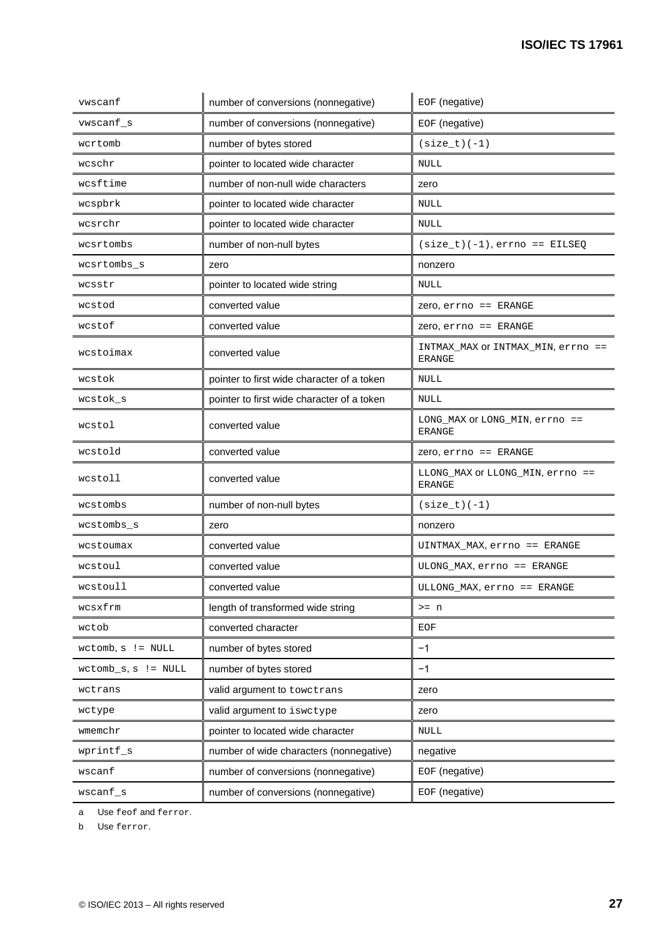| EOF (negative)<br>number of conversions (nonnegative)<br>vwscanf_s<br>number of bytes stored<br>$(size_t)(-1)$<br>wcrtomb<br>pointer to located wide character<br>wcschr<br><b>NULL</b><br>number of non-null wide characters<br>wcsftime<br>zero<br>pointer to located wide character<br>wcspbrk<br><b>NULL</b><br>wcsrchr<br>pointer to located wide character<br><b>NULL</b><br>number of non-null bytes<br>wcsrtombs<br>$(size_t)(-1), errno == EILSEQ$<br>wcsrtombs_s<br>zero<br>nonzero<br>pointer to located wide string<br><b>NULL</b><br>wcsstr<br>converted value<br>$Zero, error == ERANGE$<br>wcstod<br>wcstof<br>converted value<br>$Zero, error == ERANGE$<br>INTMAX MAX OF INTMAX MIN, errno ==<br>wcstoimax<br>converted value<br><b>ERANGE</b><br>wcstok<br>pointer to first wide character of a token<br><b>NULL</b><br>pointer to first wide character of a token<br>wcstok_s<br><b>NULL</b><br>LONG_MAX OF LONG_MIN, errno ==<br>converted value<br>wcstol<br><b>ERANGE</b><br>wcstold<br>converted value<br>$Zero, error == ERANGE$<br>LLONG_MAX OF LLONG_MIN, errno ==<br>wcstoll<br>converted value<br><b>ERANGE</b><br>wcstombs<br>number of non-null bytes<br>$(size_t)(-1)$<br>wcstombs_s<br>zero<br>nonzero<br>converted value<br>UINTMAX MAX, errno == ERANGE<br>wcstoumax<br>converted value<br>ULONG_MAX, errno == ERANGE<br>wcstoul<br>wcstoull<br>converted value<br>ULLONG MAX, errno == ERANGE<br>length of transformed wide string<br>wcsxfrm<br>$>= n$<br>converted character<br>wctob<br>EOF<br>$-1$<br>number of bytes stored<br>$wctomb, s$ != NULL<br>number of bytes stored<br>$-1$<br>$wctomb_s, s$ != $NULL$<br>valid argument to towctrans<br>wctrans<br>zero<br>valid argument to iswctype<br>wctype<br>zero<br>pointer to located wide character<br>wmemchr<br><b>NULL</b><br>wprintf_s<br>number of wide characters (nonnegative)<br>negative<br>EOF (negative)<br>number of conversions (nonnegative)<br>wscanf<br>$\texttt{wscanf\_s}$<br>number of conversions (nonnegative)<br>EOF (negative) | vwscanf | number of conversions (nonnegative) | EOF (negative) |
|--------------------------------------------------------------------------------------------------------------------------------------------------------------------------------------------------------------------------------------------------------------------------------------------------------------------------------------------------------------------------------------------------------------------------------------------------------------------------------------------------------------------------------------------------------------------------------------------------------------------------------------------------------------------------------------------------------------------------------------------------------------------------------------------------------------------------------------------------------------------------------------------------------------------------------------------------------------------------------------------------------------------------------------------------------------------------------------------------------------------------------------------------------------------------------------------------------------------------------------------------------------------------------------------------------------------------------------------------------------------------------------------------------------------------------------------------------------------------------------------------------------------------------------------------------------------------------------------------------------------------------------------------------------------------------------------------------------------------------------------------------------------------------------------------------------------------------------------------------------------------------------------------------------------------------------------------------------------------------------------------------------------------------------------------|---------|-------------------------------------|----------------|
|                                                                                                                                                                                                                                                                                                                                                                                                                                                                                                                                                                                                                                                                                                                                                                                                                                                                                                                                                                                                                                                                                                                                                                                                                                                                                                                                                                                                                                                                                                                                                                                                                                                                                                                                                                                                                                                                                                                                                                                                                                                  |         |                                     |                |
|                                                                                                                                                                                                                                                                                                                                                                                                                                                                                                                                                                                                                                                                                                                                                                                                                                                                                                                                                                                                                                                                                                                                                                                                                                                                                                                                                                                                                                                                                                                                                                                                                                                                                                                                                                                                                                                                                                                                                                                                                                                  |         |                                     |                |
|                                                                                                                                                                                                                                                                                                                                                                                                                                                                                                                                                                                                                                                                                                                                                                                                                                                                                                                                                                                                                                                                                                                                                                                                                                                                                                                                                                                                                                                                                                                                                                                                                                                                                                                                                                                                                                                                                                                                                                                                                                                  |         |                                     |                |
|                                                                                                                                                                                                                                                                                                                                                                                                                                                                                                                                                                                                                                                                                                                                                                                                                                                                                                                                                                                                                                                                                                                                                                                                                                                                                                                                                                                                                                                                                                                                                                                                                                                                                                                                                                                                                                                                                                                                                                                                                                                  |         |                                     |                |
|                                                                                                                                                                                                                                                                                                                                                                                                                                                                                                                                                                                                                                                                                                                                                                                                                                                                                                                                                                                                                                                                                                                                                                                                                                                                                                                                                                                                                                                                                                                                                                                                                                                                                                                                                                                                                                                                                                                                                                                                                                                  |         |                                     |                |
|                                                                                                                                                                                                                                                                                                                                                                                                                                                                                                                                                                                                                                                                                                                                                                                                                                                                                                                                                                                                                                                                                                                                                                                                                                                                                                                                                                                                                                                                                                                                                                                                                                                                                                                                                                                                                                                                                                                                                                                                                                                  |         |                                     |                |
|                                                                                                                                                                                                                                                                                                                                                                                                                                                                                                                                                                                                                                                                                                                                                                                                                                                                                                                                                                                                                                                                                                                                                                                                                                                                                                                                                                                                                                                                                                                                                                                                                                                                                                                                                                                                                                                                                                                                                                                                                                                  |         |                                     |                |
|                                                                                                                                                                                                                                                                                                                                                                                                                                                                                                                                                                                                                                                                                                                                                                                                                                                                                                                                                                                                                                                                                                                                                                                                                                                                                                                                                                                                                                                                                                                                                                                                                                                                                                                                                                                                                                                                                                                                                                                                                                                  |         |                                     |                |
|                                                                                                                                                                                                                                                                                                                                                                                                                                                                                                                                                                                                                                                                                                                                                                                                                                                                                                                                                                                                                                                                                                                                                                                                                                                                                                                                                                                                                                                                                                                                                                                                                                                                                                                                                                                                                                                                                                                                                                                                                                                  |         |                                     |                |
|                                                                                                                                                                                                                                                                                                                                                                                                                                                                                                                                                                                                                                                                                                                                                                                                                                                                                                                                                                                                                                                                                                                                                                                                                                                                                                                                                                                                                                                                                                                                                                                                                                                                                                                                                                                                                                                                                                                                                                                                                                                  |         |                                     |                |
|                                                                                                                                                                                                                                                                                                                                                                                                                                                                                                                                                                                                                                                                                                                                                                                                                                                                                                                                                                                                                                                                                                                                                                                                                                                                                                                                                                                                                                                                                                                                                                                                                                                                                                                                                                                                                                                                                                                                                                                                                                                  |         |                                     |                |
|                                                                                                                                                                                                                                                                                                                                                                                                                                                                                                                                                                                                                                                                                                                                                                                                                                                                                                                                                                                                                                                                                                                                                                                                                                                                                                                                                                                                                                                                                                                                                                                                                                                                                                                                                                                                                                                                                                                                                                                                                                                  |         |                                     |                |
|                                                                                                                                                                                                                                                                                                                                                                                                                                                                                                                                                                                                                                                                                                                                                                                                                                                                                                                                                                                                                                                                                                                                                                                                                                                                                                                                                                                                                                                                                                                                                                                                                                                                                                                                                                                                                                                                                                                                                                                                                                                  |         |                                     |                |
|                                                                                                                                                                                                                                                                                                                                                                                                                                                                                                                                                                                                                                                                                                                                                                                                                                                                                                                                                                                                                                                                                                                                                                                                                                                                                                                                                                                                                                                                                                                                                                                                                                                                                                                                                                                                                                                                                                                                                                                                                                                  |         |                                     |                |
|                                                                                                                                                                                                                                                                                                                                                                                                                                                                                                                                                                                                                                                                                                                                                                                                                                                                                                                                                                                                                                                                                                                                                                                                                                                                                                                                                                                                                                                                                                                                                                                                                                                                                                                                                                                                                                                                                                                                                                                                                                                  |         |                                     |                |
|                                                                                                                                                                                                                                                                                                                                                                                                                                                                                                                                                                                                                                                                                                                                                                                                                                                                                                                                                                                                                                                                                                                                                                                                                                                                                                                                                                                                                                                                                                                                                                                                                                                                                                                                                                                                                                                                                                                                                                                                                                                  |         |                                     |                |
|                                                                                                                                                                                                                                                                                                                                                                                                                                                                                                                                                                                                                                                                                                                                                                                                                                                                                                                                                                                                                                                                                                                                                                                                                                                                                                                                                                                                                                                                                                                                                                                                                                                                                                                                                                                                                                                                                                                                                                                                                                                  |         |                                     |                |
|                                                                                                                                                                                                                                                                                                                                                                                                                                                                                                                                                                                                                                                                                                                                                                                                                                                                                                                                                                                                                                                                                                                                                                                                                                                                                                                                                                                                                                                                                                                                                                                                                                                                                                                                                                                                                                                                                                                                                                                                                                                  |         |                                     |                |
|                                                                                                                                                                                                                                                                                                                                                                                                                                                                                                                                                                                                                                                                                                                                                                                                                                                                                                                                                                                                                                                                                                                                                                                                                                                                                                                                                                                                                                                                                                                                                                                                                                                                                                                                                                                                                                                                                                                                                                                                                                                  |         |                                     |                |
|                                                                                                                                                                                                                                                                                                                                                                                                                                                                                                                                                                                                                                                                                                                                                                                                                                                                                                                                                                                                                                                                                                                                                                                                                                                                                                                                                                                                                                                                                                                                                                                                                                                                                                                                                                                                                                                                                                                                                                                                                                                  |         |                                     |                |
|                                                                                                                                                                                                                                                                                                                                                                                                                                                                                                                                                                                                                                                                                                                                                                                                                                                                                                                                                                                                                                                                                                                                                                                                                                                                                                                                                                                                                                                                                                                                                                                                                                                                                                                                                                                                                                                                                                                                                                                                                                                  |         |                                     |                |
|                                                                                                                                                                                                                                                                                                                                                                                                                                                                                                                                                                                                                                                                                                                                                                                                                                                                                                                                                                                                                                                                                                                                                                                                                                                                                                                                                                                                                                                                                                                                                                                                                                                                                                                                                                                                                                                                                                                                                                                                                                                  |         |                                     |                |
|                                                                                                                                                                                                                                                                                                                                                                                                                                                                                                                                                                                                                                                                                                                                                                                                                                                                                                                                                                                                                                                                                                                                                                                                                                                                                                                                                                                                                                                                                                                                                                                                                                                                                                                                                                                                                                                                                                                                                                                                                                                  |         |                                     |                |
|                                                                                                                                                                                                                                                                                                                                                                                                                                                                                                                                                                                                                                                                                                                                                                                                                                                                                                                                                                                                                                                                                                                                                                                                                                                                                                                                                                                                                                                                                                                                                                                                                                                                                                                                                                                                                                                                                                                                                                                                                                                  |         |                                     |                |
|                                                                                                                                                                                                                                                                                                                                                                                                                                                                                                                                                                                                                                                                                                                                                                                                                                                                                                                                                                                                                                                                                                                                                                                                                                                                                                                                                                                                                                                                                                                                                                                                                                                                                                                                                                                                                                                                                                                                                                                                                                                  |         |                                     |                |
|                                                                                                                                                                                                                                                                                                                                                                                                                                                                                                                                                                                                                                                                                                                                                                                                                                                                                                                                                                                                                                                                                                                                                                                                                                                                                                                                                                                                                                                                                                                                                                                                                                                                                                                                                                                                                                                                                                                                                                                                                                                  |         |                                     |                |
|                                                                                                                                                                                                                                                                                                                                                                                                                                                                                                                                                                                                                                                                                                                                                                                                                                                                                                                                                                                                                                                                                                                                                                                                                                                                                                                                                                                                                                                                                                                                                                                                                                                                                                                                                                                                                                                                                                                                                                                                                                                  |         |                                     |                |
|                                                                                                                                                                                                                                                                                                                                                                                                                                                                                                                                                                                                                                                                                                                                                                                                                                                                                                                                                                                                                                                                                                                                                                                                                                                                                                                                                                                                                                                                                                                                                                                                                                                                                                                                                                                                                                                                                                                                                                                                                                                  |         |                                     |                |
|                                                                                                                                                                                                                                                                                                                                                                                                                                                                                                                                                                                                                                                                                                                                                                                                                                                                                                                                                                                                                                                                                                                                                                                                                                                                                                                                                                                                                                                                                                                                                                                                                                                                                                                                                                                                                                                                                                                                                                                                                                                  |         |                                     |                |
|                                                                                                                                                                                                                                                                                                                                                                                                                                                                                                                                                                                                                                                                                                                                                                                                                                                                                                                                                                                                                                                                                                                                                                                                                                                                                                                                                                                                                                                                                                                                                                                                                                                                                                                                                                                                                                                                                                                                                                                                                                                  |         |                                     |                |
|                                                                                                                                                                                                                                                                                                                                                                                                                                                                                                                                                                                                                                                                                                                                                                                                                                                                                                                                                                                                                                                                                                                                                                                                                                                                                                                                                                                                                                                                                                                                                                                                                                                                                                                                                                                                                                                                                                                                                                                                                                                  |         |                                     |                |
|                                                                                                                                                                                                                                                                                                                                                                                                                                                                                                                                                                                                                                                                                                                                                                                                                                                                                                                                                                                                                                                                                                                                                                                                                                                                                                                                                                                                                                                                                                                                                                                                                                                                                                                                                                                                                                                                                                                                                                                                                                                  |         |                                     |                |

a Use feof and ferror.

b Use ferror.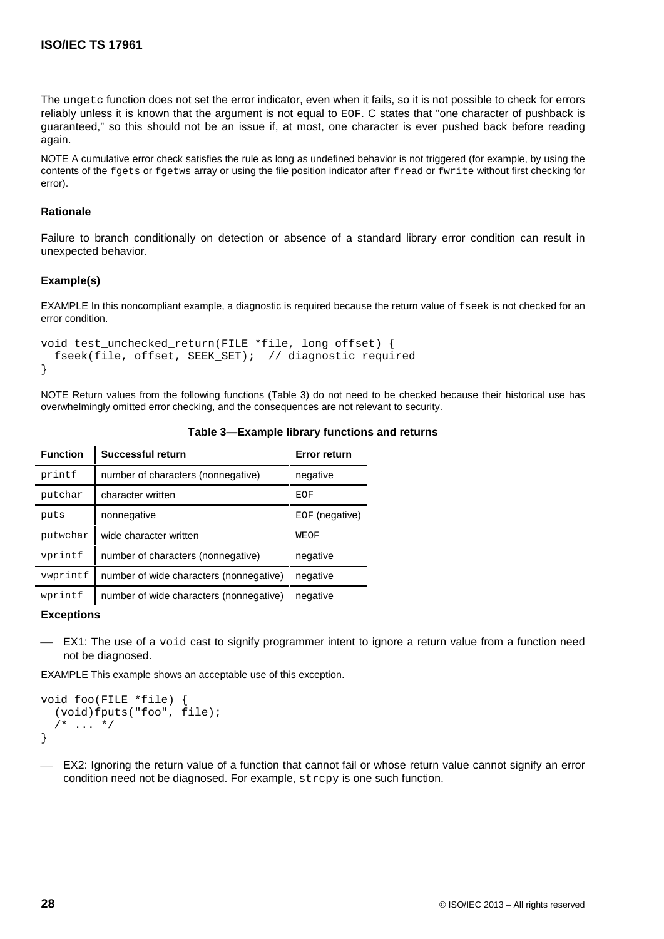The ungetc function does not set the error indicator, even when it fails, so it is not possible to check for errors reliably unless it is known that the argument is not equal to EOF. C states that "one character of pushback is guaranteed," so this should not be an issue if, at most, one character is ever pushed back before reading again.

NOTE A cumulative error check satisfies the rule as long as undefined behavior is not triggered (for example, by using the contents of the fgets or fgetws array or using the file position indicator after fread or fwrite without first checking for error).

# **Rationale**

Failure to branch conditionally on detection or absence of a standard library error condition can result in unexpected behavior.

# **Example(s)**

EXAMPLE In this noncompliant example, a diagnostic is required because the return value of fseek is not checked for an error condition.

```
void test_unchecked_return(FILE *file, long offset) {
   fseek(file, offset, SEEK_SET); // diagnostic required
}
```
NOTE Return values from the following functions (Table 3) do not need to be checked because their historical use has overwhelmingly omitted error checking, and the consequences are not relevant to security.

| <b>Function</b> | <b>Successful return</b>                | <b>Error return</b> |
|-----------------|-----------------------------------------|---------------------|
| printf          | number of characters (nonnegative)      | negative            |
| putchar         | character written                       | EOF                 |
| puts            | nonnegative                             | EOF (negative)      |
| putwchar        | wide character written                  | <b>WEOF</b>         |
| vprintf         | number of characters (nonnegative)      | negative            |
| vwprintf        | number of wide characters (nonnegative) | negative            |
| wprintf         | number of wide characters (nonnegative) | negative            |

# **Table 3—Example library functions and returns**

## **Exceptions**

 EX1: The use of a void cast to signify programmer intent to ignore a return value from a function need not be diagnosed.

EXAMPLE This example shows an acceptable use of this exception.

```
void foo(FILE *file) {
   (void)fputs("foo", file);
  /* ... */
}
```
 EX2: Ignoring the return value of a function that cannot fail or whose return value cannot signify an error condition need not be diagnosed. For example, strcpy is one such function.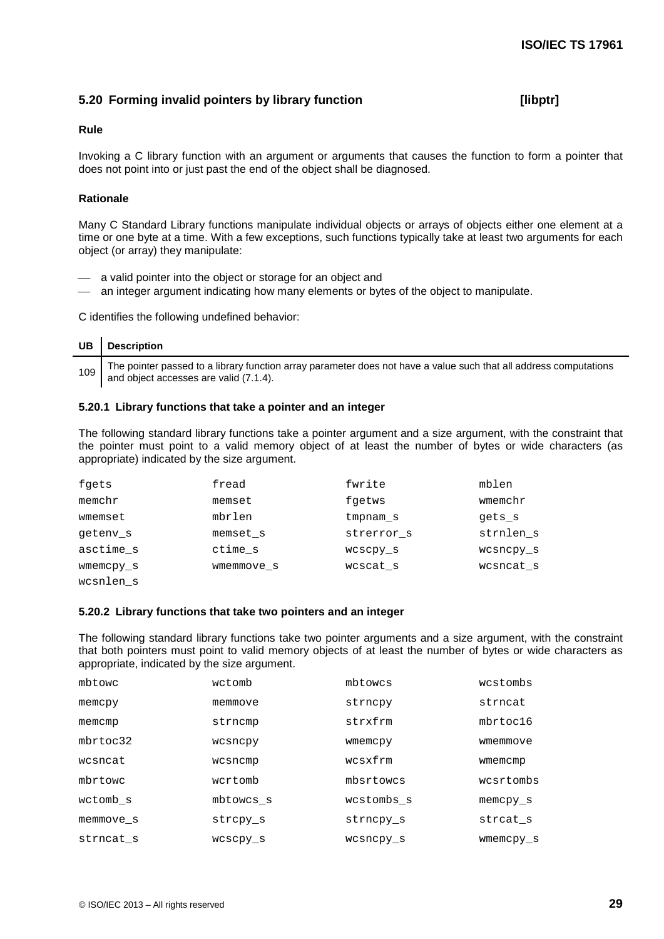# **5.20 Forming invalid pointers by library function [libptr]**

# **Rule**

Invoking a C library function with an argument or arguments that causes the function to form a pointer that does not point into or just past the end of the object shall be diagnosed.

# **Rationale**

Many C Standard Library functions manipulate individual objects or arrays of objects either one element at a time or one byte at a time. With a few exceptions, such functions typically take at least two arguments for each object (or array) they manipulate:

- a valid pointer into the object or storage for an object and
- an integer argument indicating how many elements or bytes of the object to manipulate.

C identifies the following undefined behavior:

| UB   Description                                                                                                                                             |
|--------------------------------------------------------------------------------------------------------------------------------------------------------------|
| 109 The pointer passed to a library function array parameter does not have a value such that all address computations and object accesses are valid (7.1.4). |

# **5.20.1 Library functions that take a pointer and an integer**

The following standard library functions take a pointer argument and a size argument, with the constraint that the pointer must point to a valid memory object of at least the number of bytes or wide characters (as appropriate) indicated by the size argument.

| fgets     | fread      | fwrite     | mblen     |
|-----------|------------|------------|-----------|
| memchr    | memset     | fgetws     | wmemchr   |
| wmemset   | mbrlen     | tmpnam s   | gets s    |
| geteny s  | memset s   | strerror s | strnlen s |
| asctime s | ctime s    | wcscpy s   | wcsncpy s |
| wmemcpy s | wmemmove s | wcscat s   | wcsncat s |
| wcsnlen s |            |            |           |

# **5.20.2 Library functions that take two pointers and an integer**

The following standard library functions take two pointer arguments and a size argument, with the constraint that both pointers must point to valid memory objects of at least the number of bytes or wide characters as appropriate, indicated by the size argument.

| mbtowc       | wctomb    | mbtowcs    | wcstombs   |
|--------------|-----------|------------|------------|
| memcpy       | memmove   | strncpy    | strncat    |
| memcmp       | strncmp   | strxfrm    | mhrtoc16   |
| $mhrt$ oc 32 | wcsncpy   | wmemcpy    | wmemmove   |
| wcsncat      | wcsncmp   | wcsxfrm    | wmemcmp    |
| mbrtowc      | wcrtomb   | mbsrtowcs  | wcsrtombs  |
| wctomb s     | mbtowcs s | wcstombs s | $memory_s$ |
| memmove s    | strcpy s  | strncpy s  | strcat s   |
| strncat s    | wcscpy s  | wcsncpy s  | wmemcpy s  |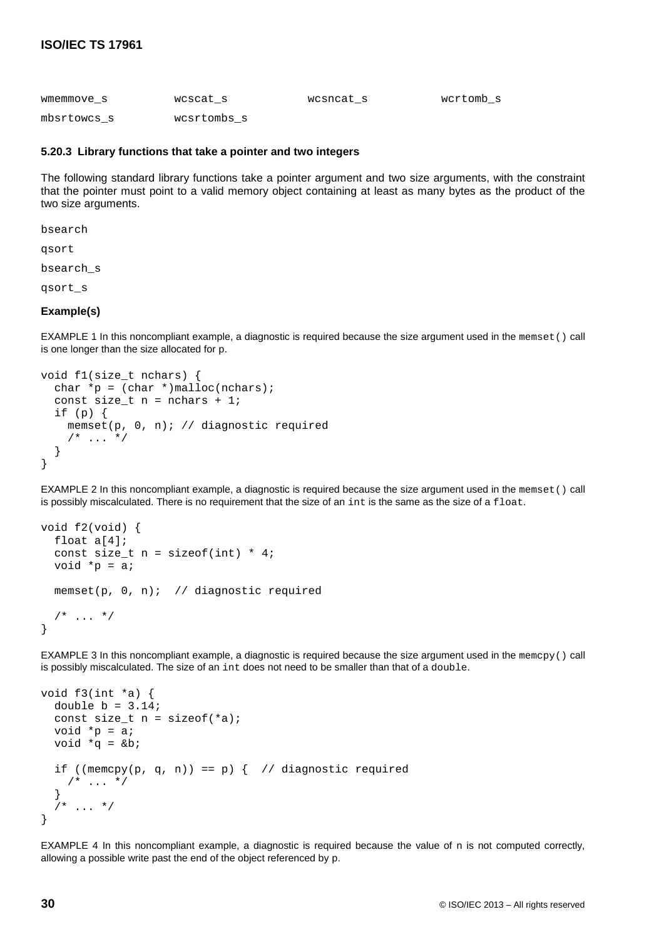| wmemmove s  | wcscat s    | wcsncat s | wcrtomb s |
|-------------|-------------|-----------|-----------|
| mbsrtowcs s | wcsrtombs s |           |           |

# **5.20.3 Library functions that take a pointer and two integers**

The following standard library functions take a pointer argument and two size arguments, with the constraint that the pointer must point to a valid memory object containing at least as many bytes as the product of the two size arguments.

bsearch

qsort

bsearch\_s

qsort\_s

# **Example(s)**

EXAMPLE 1 In this noncompliant example, a diagnostic is required because the size argument used in the memset() call is one longer than the size allocated for p.

```
void f1(size_t nchars) {
  char *p = (char *)malloc(nchars);
  const size_t n = nchars + 1;
  if (p) {
     memset(p, 0, n); // diagnostic required
    /* ... */
   }
}
```
EXAMPLE 2 In this noncompliant example, a diagnostic is required because the size argument used in the memset() call is possibly miscalculated. There is no requirement that the size of an int is the same as the size of a float.

```
void f2(void) {
   float a[4];
  const size_t n = sizeof(int) * 4;
  void *_{p} = a;
   memset(p, 0, n); // diagnostic required
  /* ... */
}
```
EXAMPLE 3 In this noncompliant example, a diagnostic is required because the size argument used in the memcpy() call is possibly miscalculated. The size of an int does not need to be smaller than that of a double.

```
void f3(int *a) {
  double b = 3.14;
  const size_t n = sizeof(*a);
  void *_{p} = a;
  void *q = \&biif ((memcpy(p, q, n)) == p) { // diagnostic required
    /* ... */
   }
     \ldots */
}
```
EXAMPLE 4 In this noncompliant example, a diagnostic is required because the value of n is not computed correctly, allowing a possible write past the end of the object referenced by p.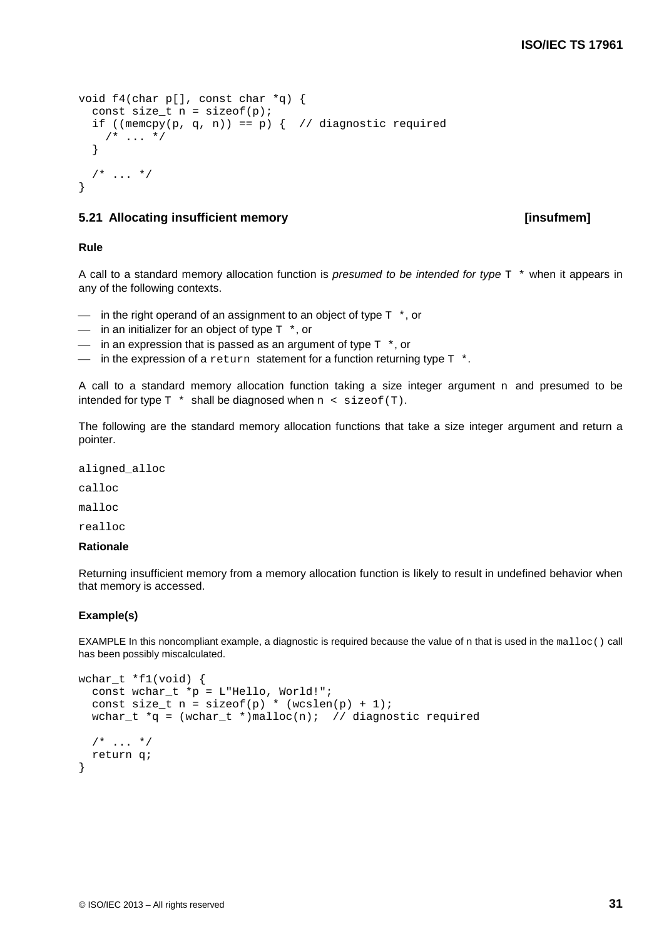```
void f4(char p[], const char *q) {
  const size_t n = sizeof(p);
  if ((memcpy(p, q, n)) == p) { // diagnostic required
   /* ... */
   }
  /* ... */
}
```
# **5.21 Allocating insufficient memory [insufmem]**

# **Rule**

A call to a standard memory allocation function is *presumed to be intended for type* T \* when it appears in any of the following contexts.

- $\equiv$  in the right operand of an assignment to an object of type  $T^*$ , or
- $\equiv$  in an initializer for an object of type  $T^*$ , or
- $\equiv$  in an expression that is passed as an argument of type  $T^*$ , or
- $\frac{1}{1}$  in the expression of a return statement for a function returning type  $\frac{1}{1}$  \*.

A call to a standard memory allocation function taking a size integer argument  $n$  and presumed to be intended for type  $T *$  shall be diagnosed when  $n <$  sizeof(T).

The following are the standard memory allocation functions that take a size integer argument and return a pointer.

aligned\_alloc

calloc

malloc

realloc

#### **Rationale**

Returning insufficient memory from a memory allocation function is likely to result in undefined behavior when that memory is accessed.

# **Example(s)**

EXAMPLE In this noncompliant example, a diagnostic is required because the value of n that is used in the malloc() call has been possibly miscalculated.

```
wchar t *f1(void) {
  const wchar t *p = L"Hello, World!";const size t n = sizeof(p) * (wcslen(p) + 1);
  wchar_t *q = (wchar_t *)malloc(n); // diagnostic required
  /* ... */
   return q;
}
```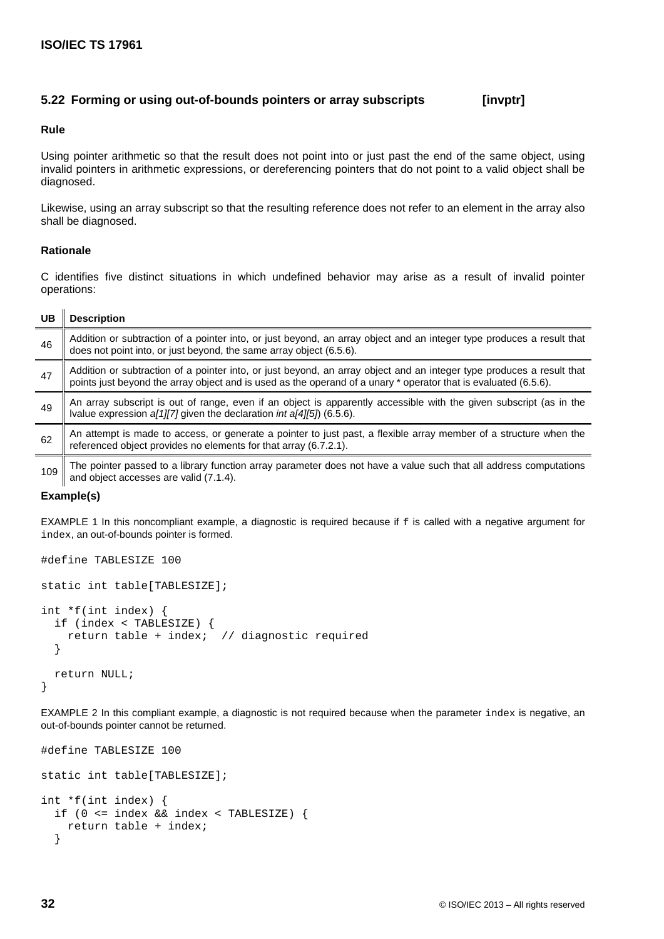# **5.22 Forming or using out-of-bounds pointers or array subscripts [invptr]**

## **Rule**

Using pointer arithmetic so that the result does not point into or just past the end of the same object, using invalid pointers in arithmetic expressions, or dereferencing pointers that do not point to a valid object shall be diagnosed.

Likewise, using an array subscript so that the resulting reference does not refer to an element in the array also shall be diagnosed.

# **Rationale**

C identifies five distinct situations in which undefined behavior may arise as a result of invalid pointer operations:

| UB  | <b>Description</b>                                                                                                                                                                                                                       |
|-----|------------------------------------------------------------------------------------------------------------------------------------------------------------------------------------------------------------------------------------------|
| 46  | Addition or subtraction of a pointer into, or just beyond, an array object and an integer type produces a result that<br>does not point into, or just beyond, the same array object (6.5.6).                                             |
| 47  | Addition or subtraction of a pointer into, or just beyond, an array object and an integer type produces a result that<br>points just beyond the array object and is used as the operand of a unary * operator that is evaluated (6.5.6). |
| 49  | An array subscript is out of range, even if an object is apparently accessible with the given subscript (as in the<br>Ivalue expression $a[1][7]$ given the declaration int $a[4][5]$ (6.5.6).                                           |
| 62  | An attempt is made to access, or generate a pointer to just past, a flexible array member of a structure when the<br>referenced object provides no elements for that array (6.7.2.1).                                                    |
| 109 | The pointer passed to a library function array parameter does not have a value such that all address computations<br>and object accesses are valid (7.1.4).                                                                              |

# **Example(s)**

EXAMPLE 1 In this noncompliant example, a diagnostic is required because if f is called with a negative argument for index, an out-of-bounds pointer is formed.

```
#define TABLESIZE 100
static int table[TABLESIZE];
int *f(int index) {
   if (index < TABLESIZE) {
     return table + index; // diagnostic required
   }
   return NULL;
}
```
EXAMPLE 2 In this compliant example, a diagnostic is not required because when the parameter index is negative, an out-of-bounds pointer cannot be returned.

```
#define TABLESIZE 100
static int table[TABLESIZE];
int *f(int index) {
  if (0 <= index && index < TABLESIZE) {
     return table + index;
   }
```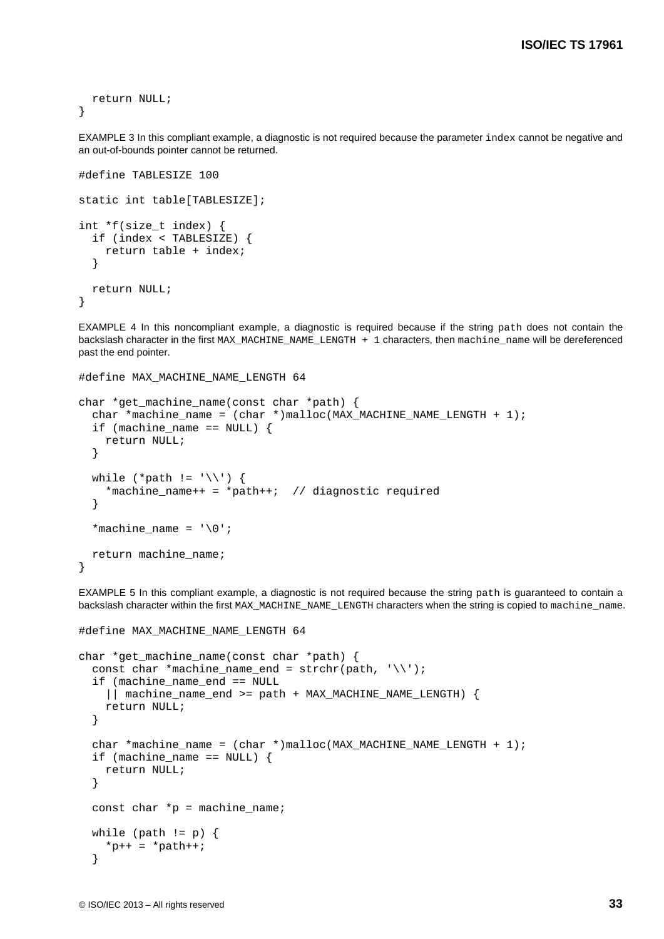```
 return NULL;
}
```
EXAMPLE 3 In this compliant example, a diagnostic is not required because the parameter index cannot be negative and an out-of-bounds pointer cannot be returned.

```
#define TABLESIZE 100
static int table[TABLESIZE];
int *f(size_t index) {
   if (index < TABLESIZE) {
     return table + index;
   }
   return NULL;
}
```
EXAMPLE 4 In this noncompliant example, a diagnostic is required because if the string path does not contain the backslash character in the first MAX\_MACHINE\_NAME\_LENGTH + 1 characters, then machine\_name will be dereferenced past the end pointer.

```
#define MAX_MACHINE_NAME_LENGTH 64
```
#define MAX MACHINE NAME LENGTH 64

```
char *get_machine_name(const char *path) {
  char *machine_name = (char *)malloc(MAX_MACHINE_NAME_LENGTH + 1);
 if (machine_name == NULL) {
     return NULL;
   }
 while (*path != \sqrt{\ }) {
     *machine_name++ = *path++; // diagnostic required
   }
  *machine name = '\0;
  return machine_name;
}
```
EXAMPLE 5 In this compliant example, a diagnostic is not required because the string path is guaranteed to contain a backslash character within the first MAX\_MACHINE\_NAME\_LENGTH characters when the string is copied to machine\_name.

```
char *get machine name(const char *path) {
 const char *machine name end = strchr(path, '\\');
   if (machine_name_end == NULL
     || machine_name_end >= path + MAX_MACHINE_NAME_LENGTH) {
     return NULL;
   }
  char *machine_name = (char *)malloc(MAX_MACHINE_NAME_LENGTH + 1);
  if (machine name == NULL) {
     return NULL;
   }
 const char *p = machine_name;while (path != p) {
    *p++ = *path++; }
```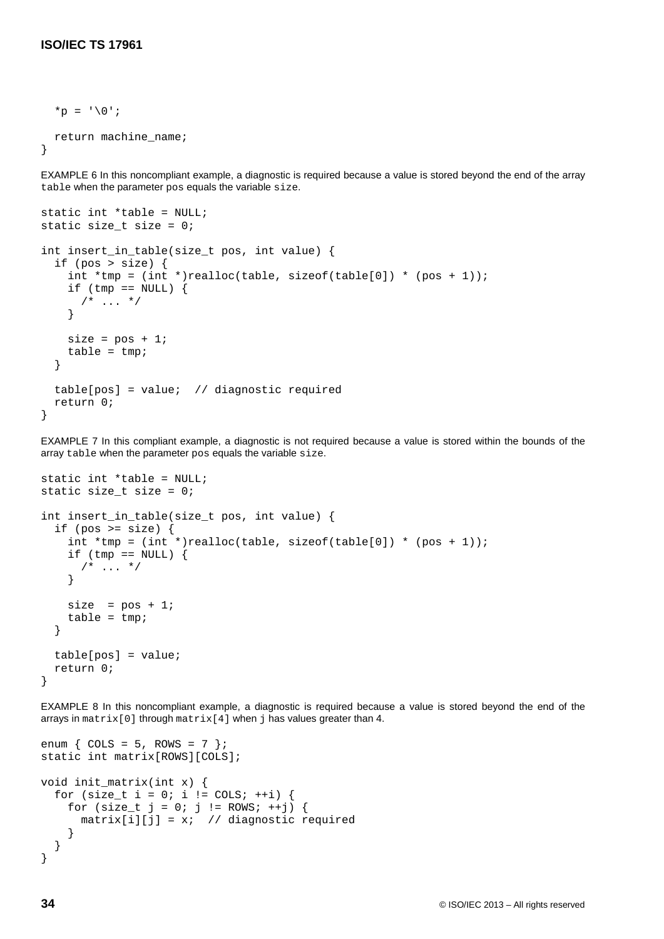```
*p = '0;
  return machine_name;
}
```
EXAMPLE 6 In this noncompliant example, a diagnostic is required because a value is stored beyond the end of the array table when the parameter pos equals the variable size.

```
static int *table = NULL;
static size_t size = 0;
int insert in table(size t pos, int value) {
   if (pos > size) {
    int *tmp = (int *)realloc(table, sizeof(table[0]) * (pos + 1));if (tmp == NULL) {
      /* ... */
     }
    size = pos + 1;table = tmp; }
   table[pos] = value; // diagnostic required
   return 0;
}
```
EXAMPLE 7 In this compliant example, a diagnostic is not required because a value is stored within the bounds of the array table when the parameter pos equals the variable size.

```
static int *table = NULL;
static size t size = 0;
int insert_in_table(size_t pos, int value) {
  if (pos >= size) {
    int *tmp = (int *)realloc(table, sizeof(table[0]) * (pos + 1));
    if (tmp == NULL) {
      /* ... */
     }
    size = pos + 1;table = tmp; }
   table[pos] = value;
   return 0;
}
```
EXAMPLE 8 In this noncompliant example, a diagnostic is required because a value is stored beyond the end of the arrays in matrix[0] through matrix[4] when j has values greater than 4.

```
enum \{COLS = 5, ROWS = 7 };
static int matrix[ROWS][COLS];
void init_matrix(int x) {
  for (size_t i = 0; i != COLS; ++i) {
    for (size_t j = 0; j != ROWS; ++j)
    matrix[i][j] = x; // diagnostic required }
 }
  }
}
```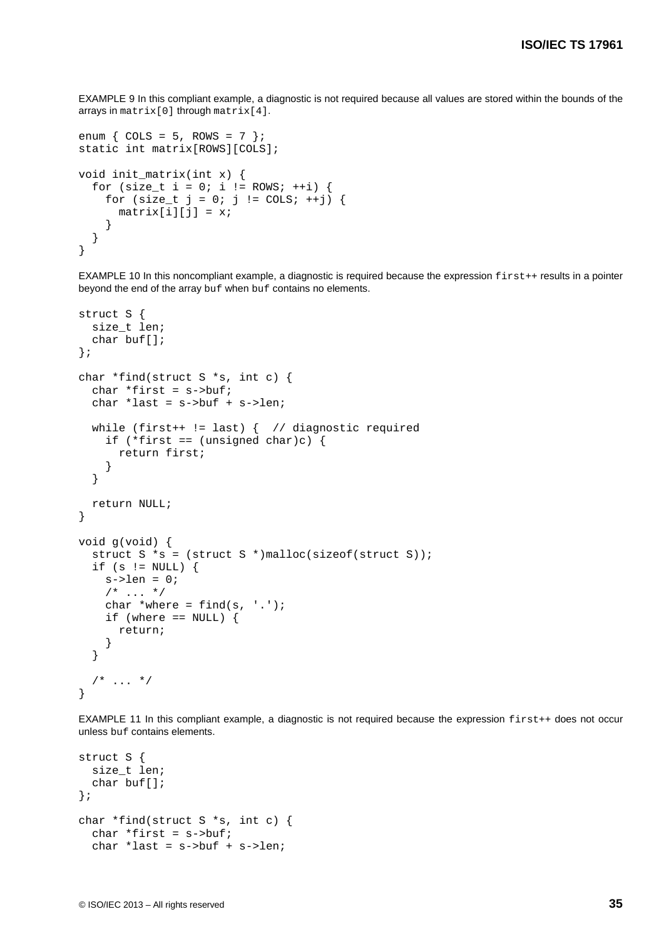EXAMPLE 9 In this compliant example, a diagnostic is not required because all values are stored within the bounds of the arrays in matrix[0] through matrix[4].

```
enum \{COLS = 5, ROWS = 7 };
static int matrix[ROWS][COLS];
void init_matrix(int x) {
  for (size_t i = 0; i != ROWS; ++i) {
    for (size_t j = 0; j := COLS; ++j) {
      matrix[i][j] = x; }
   }
}
```
EXAMPLE 10 In this noncompliant example, a diagnostic is required because the expression first++ results in a pointer beyond the end of the array buf when buf contains no elements.

```
struct S {
  size t len;
   char buf[];
};
char *find(struct S *s, int c) {
  char *first = s->buf; char *last = s->buf + s->len;
  while (first++ != last) { // diagnostic required
    if (*first == (unsigned char)c) {
       return first;
     }
   }
   return NULL;
}
void g(void) {
  struct S * s = (struct S * )malloc(sizeof(struct S));
  if (s != NULL) {
    s->len = 0;
    /* ... */
    char *where = find(s, '.'');
    if (where == NULL) {
       return;
     }
   }
  /* \ldots */
}
```
EXAMPLE 11 In this compliant example, a diagnostic is not required because the expression first++ does not occur unless buf contains elements.

```
struct S {
   size_t len;
   char buf[];
};
char *find(struct S *s, int c) {
   char *first = s->buf;
  char *last = s->buf + s->len;
```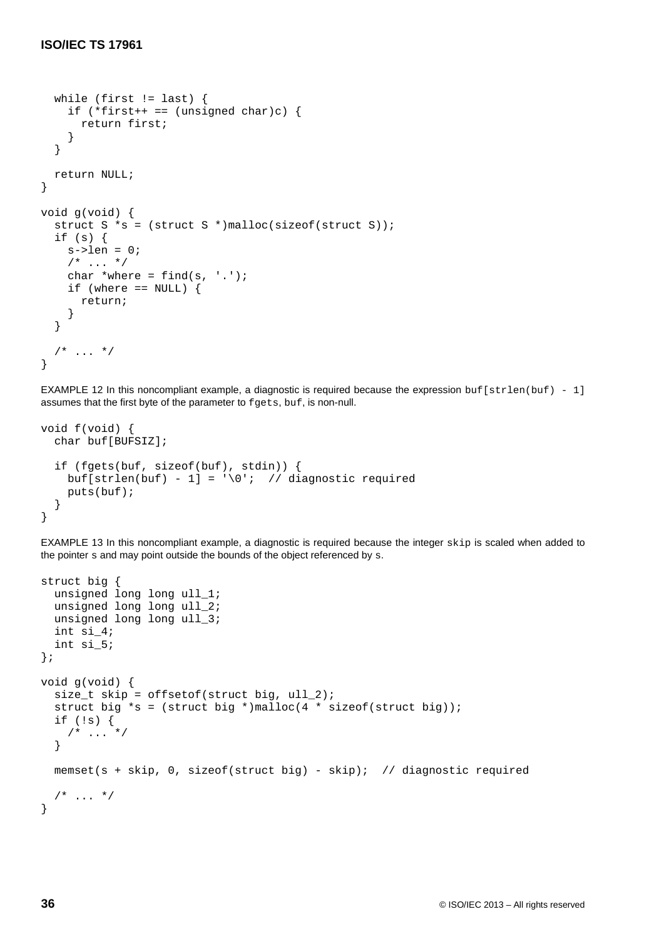```
 while (first != last) {
    if (*first++ == (unsigned char)c) {
       return first;
     }
   }
   return NULL;
}
void g(void) {
   struct S *s = (struct S *)malloc(sizeof(struct S));
   if (s) {
    s->len = 0;
    /* ... */
    char *where = find(s, '.'');
    if (where == NULL) {
       return;
     }
   }
  /* ... */
}
```
EXAMPLE 12 In this noncompliant example, a diagnostic is required because the expression buf[strlen(buf) - 1] assumes that the first byte of the parameter to fgets, buf, is non-null.

```
void f(void) {
   char buf[BUFSIZ];
   if (fgets(buf, sizeof(buf), stdin)) {
    buf[strlen(buf) - 1] = \sqrt{0}; // diagnostic required
     puts(buf);
   }
}
```
EXAMPLE 13 In this noncompliant example, a diagnostic is required because the integer skip is scaled when added to the pointer s and may point outside the bounds of the object referenced by s.

```
struct big {
   unsigned long long ull_1;
  unsigned long long ull 2;
  unsigned long long ull 3;
   int si_4;
   int si_5;
};
void g(void) {
   size_t skip = offsetof(struct big, ull_2);
  struct big *s = (struct big *)malloc(4 * sizeof(struct big));
   if (!s) {
    /* ... */
   }
  memset(s + skip, 0, sizeof(struct big) - skip); // diagnostic required
  /* ... */
}
```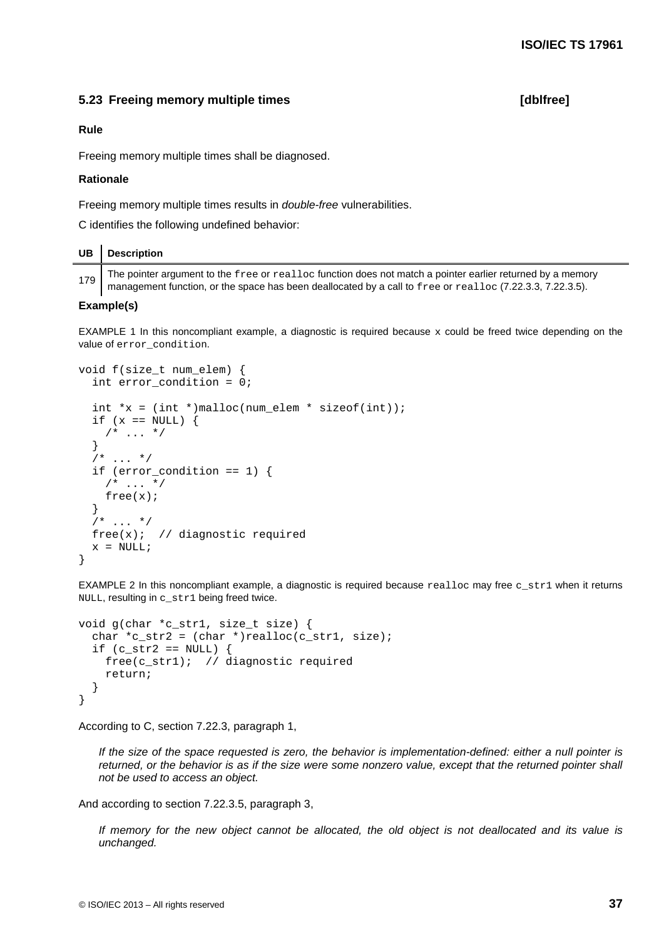# **5.23 Freeing memory multiple times [dblfree]**

### **Rule**

Freeing memory multiple times shall be diagnosed.

# **Rationale**

Freeing memory multiple times results in *double-free* vulnerabilities.

C identifies the following undefined behavior:

# **UB Description**

179 The pointer argument to the free or realloc function does not match a pointer earlier returned by a memory management function, or the space has been deallocated by a call to free or realloc (7.22.3.3, 7.22.3.5).

#### **Example(s)**

EXAMPLE 1 In this noncompliant example, a diagnostic is required because  $x$  could be freed twice depending on the value of error\_condition.

```
void f(size_t num_elem) {
   int error_condition = 0;
  int x = (int *)malloc(num_elem * sizeof(int));
  if (x == NULL) {
    /* ... */
   }
  /* ... */
   if (error_condition == 1) {
    /* ... */
    free(x); }
  7* ... */free(x); // diagnostic required
  x = NULL;}
```
EXAMPLE 2 In this noncompliant example, a diagnostic is required because  $reallog$  may free c\_str1 when it returns NULL, resulting in c\_str1 being freed twice.

```
void g(char *c_str1, size_t size) {
  char *c\_str2 = (char *)realloc(c\_str1, size);if (c_str2 == NULL) {
     free(c_str1); // diagnostic required
     return;
   }
}
```
According to C, section 7.22.3, paragraph 1,

*If the size of the space requested is zero, the behavior is implementation-defined: either a null pointer is returned, or the behavior is as if the size were some nonzero value, except that the returned pointer shall not be used to access an object.*

And according to section 7.22.3.5, paragraph 3,

*If memory for the new object cannot be allocated, the old object is not deallocated and its value is unchanged.*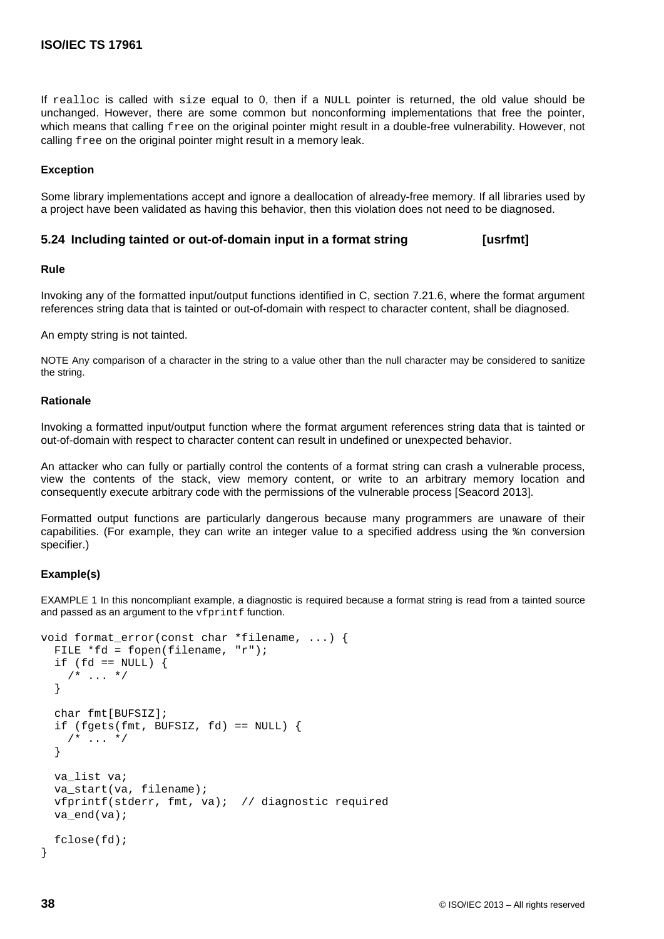If realloc is called with size equal to 0, then if a NULL pointer is returned, the old value should be unchanged. However, there are some common but nonconforming implementations that free the pointer, which means that calling free on the original pointer might result in a double-free vulnerability. However, not calling free on the original pointer might result in a memory leak.

## **Exception**

Some library implementations accept and ignore a deallocation of already-free memory. If all libraries used by a project have been validated as having this behavior, then this violation does not need to be diagnosed.

# **5.24 Including tainted or out-of-domain input in a format string [usrfmt]**

#### **Rule**

Invoking any of the formatted input/output functions identified in C, section 7.21.6, where the format argument references string data that is [tainted](#page-13-0) or out-of-domain with respect to character content, shall be diagnosed.

An empty string is not tainted.

NOTE Any comparison of a character in the string to a value other than the null character may be considered to sanitize the string.

### **Rationale**

Invoking a formatted input/output function where the format argument references string data that is [tainted](#page-13-0) or out-of-domain with respect to character content can result in undefined or unexpected behavior.

An attacker who can fully or partially control the contents of a format string can crash a vulnerable process, view the contents of the stack, view memory content, or write to an arbitrary memory location and consequently execute arbitrary code with the permissions of the vulnerable process [\[Seacord 2013\]](#page-97-0).

Formatted output functions are particularly dangerous because many programmers are unaware of their capabilities. (For example, they can write an integer value to a specified address using the %n conversion specifier.)

#### **Example(s)**

EXAMPLE 1 In this noncompliant example, a diagnostic is required because a format string is read from a tainted source and passed as an argument to the  $vfprint$  function.

```
void format_error(const char *filename, ...) {
   FILE *fd = fopen(filename, "r");
  if (fd == NULL) {
    /* ... */
   }
   char fmt[BUFSIZ];
  if (fgets(fmt, BUFSIZ, fd) == NULL) {
    /* ... */
   }
  va list va;
  va start(va, filename);
   vfprintf(stderr, fmt, va); // diagnostic required
   va_end(va);
   fclose(fd);
}
```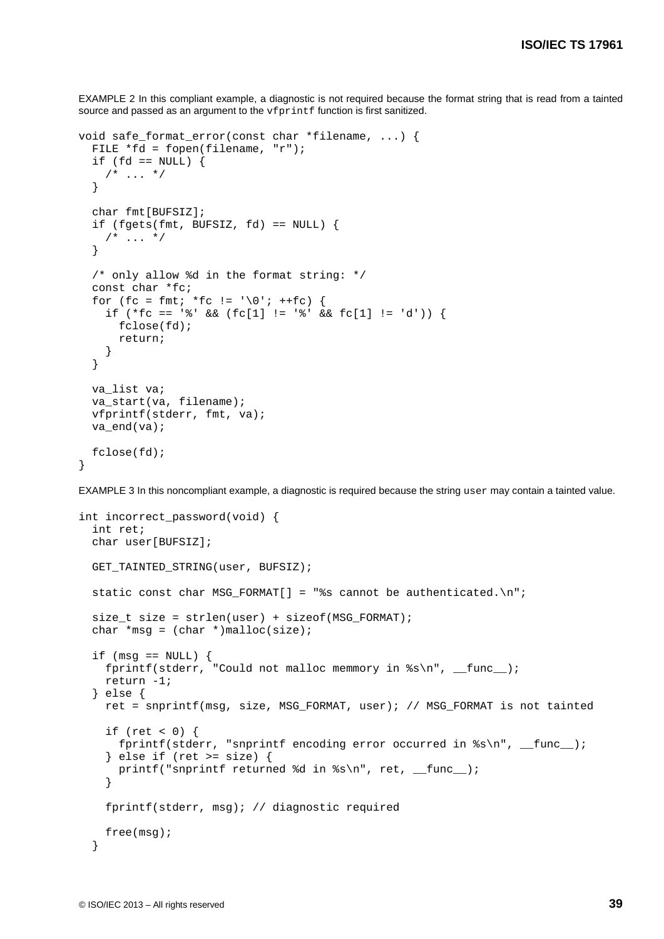EXAMPLE 2 In this compliant example, a diagnostic is not required because the format string that is read from a tainted source and passed as an argument to the vfprintf function is first sanitized.

```
void safe format error(const char *filename, ...) {
   FILE *fd = fopen(filename, "r");
  if (fd == NULL) {
    /* ... */
   }
   char fmt[BUFSIZ];
  if (fgets(fmt, BUFSIZ, fd) == NULL) {
   /* ... */
   }
   /* only allow %d in the format string: */
   const char *fc;
  for (fc = fmt; *fc != \sqrt{0}; ++fc) {
    if (*fc == ' & (cfc[1] != ' & fc[1] != 'd') {
       fclose(fd);
       return;
     }
   }
   va_list va;
   va_start(va, filename);
   vfprintf(stderr, fmt, va);
   va_end(va);
   fclose(fd);
}
```
EXAMPLE 3 In this noncompliant example, a diagnostic is required because the string user may contain a tainted value.

```
int incorrect_password(void) {
  int ret;
  char user[BUFSIZ];
  GET_TAINTED_STRING(user, BUFSIZ);
 static const char MSG_FORMAT[] = "%s cannot be authenticated.\ln";
  size_t size = strlen(user) + sizeof(MSG_FORMAT);
 char *msq = (char *)malloc(size);
  if (msg == NULL) {
    fprintf(stderr, "Could not malloc memmory in s\n", __func__);
     return -1;
   } else {
     ret = snprintf(msg, size, MSG_FORMAT, user); // MSG_FORMAT is not tainted
    if (ret < 0) \{fprintf(stderr, "snprintf encoding error occurred in s\<sup>n</sup>', __func__);
     } else if (ret >= size) {
      printf("snprintf returned %d in %s\n", ret, _func_);
     }
     fprintf(stderr, msg); // diagnostic required
     free(msg);
   }
```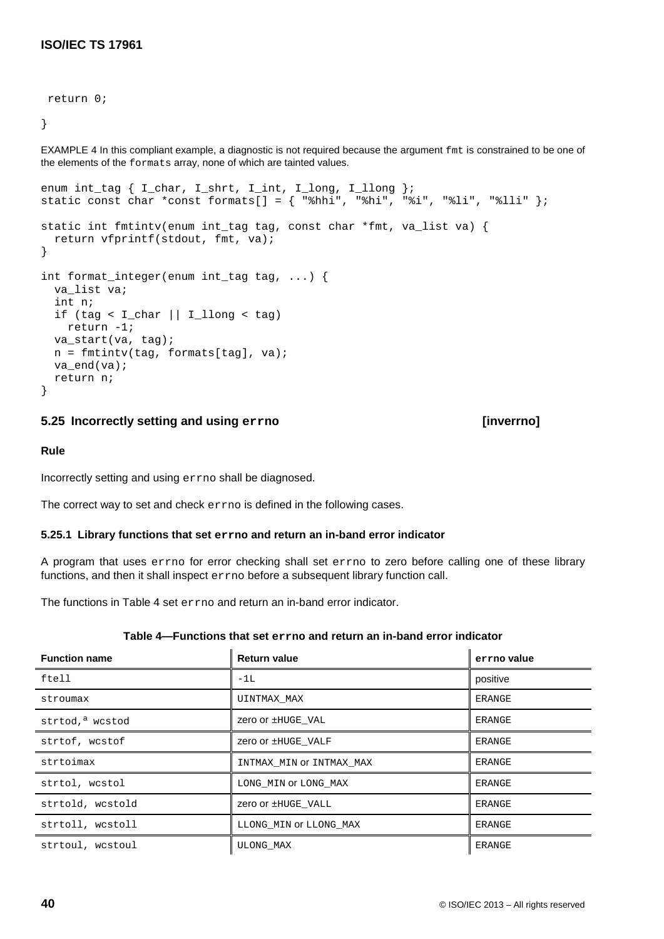## return 0;

}

EXAMPLE 4 In this compliant example, a diagnostic is not required because the argument fmt is constrained to be one of the elements of the formats array, none of which are tainted values.

```
enum int_tag { I_char, I_shrt, I_int, I_long, I_llong };
static const char *const formats[] = \{ "%hhi", "%hi", "%i", "%li", "%lli" };
static int fmtintv(enum int_tag tag, const char *fmt, va_list va) {
   return vfprintf(stdout, fmt, va);
}
int format_integer(enum int_tag tag, ...) {
 va list va;
   int n;
   if (tag < I_char || I_llong < tag)
    return -1;
   va_start(va, tag);
  n = fmtintv(tag, formats[tag], va);
   va_end(va);
   return n;
}
```
# **5.25 Incorrectly setting and using errno [inverrno]**

# **Rule**

Incorrectly setting and using errno shall be diagnosed.

The correct way to set and check errno is defined in the following cases.

# **5.25.1 Library functions that set errno and return an in-band error indicator**

A program that uses errno for error checking shall set errno to zero before calling one of these library functions, and then it shall inspect errno before a subsequent library function call.

The functions in Table 4 set errno and return an in-band error indicator.

| <b>Function name</b> | <b>Return value</b>      | errno value   |
|----------------------|--------------------------|---------------|
| ftell                | $-1L$                    | positive      |
| stroumax             | UINTMAX MAX              | ERANGE        |
| strtod, a wcstod     | Zero or ±HUGE VAL        | <b>ERANGE</b> |
| strtof, wcstof       | Zero or ±HUGE VALF       | ERANGE        |
| strtoimax            | INTMAX MIN OF INTMAX MAX | ERANGE        |
| strtol, wcstol       | LONG MIN OF LONG MAX     | <b>ERANGE</b> |
| strtold, wcstold     | Zero or ±HUGE VALL       | <b>ERANGE</b> |
| strtoll, wcstoll     | LLONG MIN OT LLONG MAX   | <b>ERANGE</b> |
| strtoul, wcstoul     | <b>ULONG MAX</b>         | <b>ERANGE</b> |

# **Table 4—Functions that set errno and return an in-band error indicator**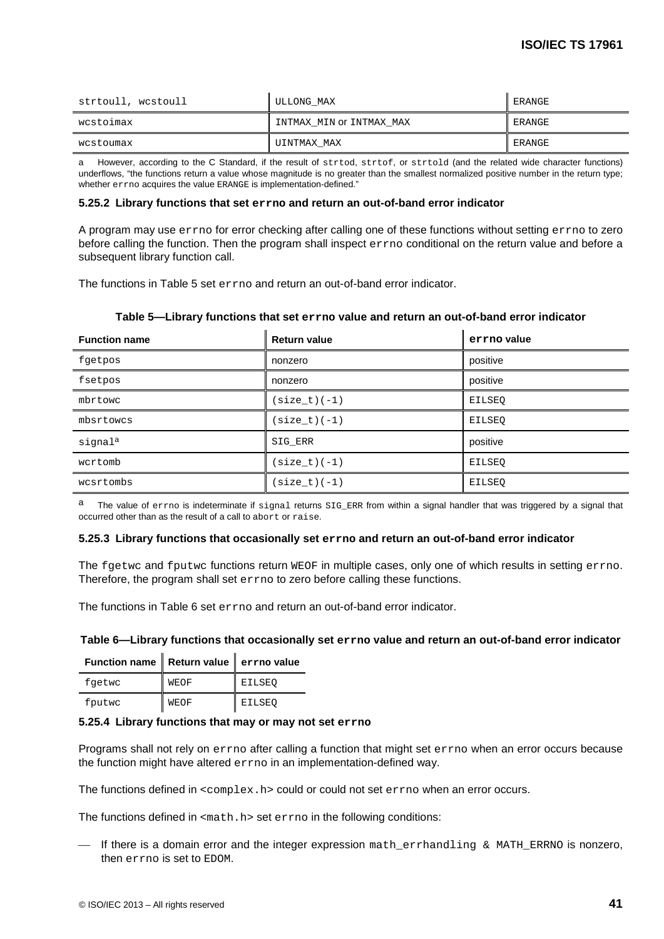| strtoull, wcstoull | ULLONG MAX               | ERANGE |
|--------------------|--------------------------|--------|
| wcstoimax          | INTMAX MIN OT INTMAX MAX | ERANGE |
| wcstoumax          | UINTMAX MAX              | ERANGE |

a However, according to the C Standard, if the result of strtod, strtof, or strtold (and the related wide character functions) underflows, "the functions return a value whose magnitude is no greater than the smallest normalized positive number in the return type; whether errno acquires the value ERANGE is implementation-defined."

## **5.25.2 Library functions that set errno and return an out-of-band error indicator**

A program may use errno for error checking after calling one of these functions without setting errno to zero before calling the function. Then the program shall inspect errno conditional on the return value and before a subsequent library function call.

The functions in Table 5 set errno and return an out-of-band error indicator.

| <b>Function name</b> | <b>Return value</b> | errno value   |
|----------------------|---------------------|---------------|
| fgetpos              | nonzero             | positive      |
| fsetpos              | nonzero             | positive      |
| mbrtowc              | $(size_t)(-1)$      | <b>EILSEO</b> |
| mbsrtowcs            | $(size_t)(-1)$      | EILSEO        |
| signal <sup>a</sup>  | SIG ERR             | positive      |
| wcrtomb              | $(size t)(-1)$      | EILSEO        |
| wcsrtombs            | $(size_t)(-1)$      | <b>EILSEO</b> |

# **Table 5—Library functions that set errno value and return an out-of-band error indicator**

The value of errno is indeterminate if signal returns SIG\_ERR from within a signal handler that was triggered by a signal that occurred other than as the result of a call to abort or raise.

# **5.25.3 Library functions that occasionally set errno and return an out-of-band error indicator**

The fgetwc and fputwc functions return WEOF in multiple cases, only one of which results in setting errno. Therefore, the program shall set errno to zero before calling these functions.

The functions in Table 6 set errno and return an out-of-band error indicator.

# **Table 6—Library functions that occasionally set errno value and return an out-of-band error indicator**

| Function name   Return value   errno value |             |        |
|--------------------------------------------|-------------|--------|
| fgetwc                                     | <b>WEOF</b> | EILSEO |
| fputwc                                     | <b>WEOF</b> | EILSEO |

 $\mathbf{r}$ 

# **5.25.4 Library functions that may or may not set errno**

Programs shall not rely on errno after calling a function that might set errno when an error occurs because the function might have altered errno in an implementation-defined way.

The functions defined in  $\langle$ complex.h> could or could not set errno when an error occurs.

The functions defined in  $\text{<}$ math.h> set errno in the following conditions:

 $-$  If there is a domain error and the integer expression math\_errhandling & MATH\_ERRNO is nonzero, then errno is set to EDOM.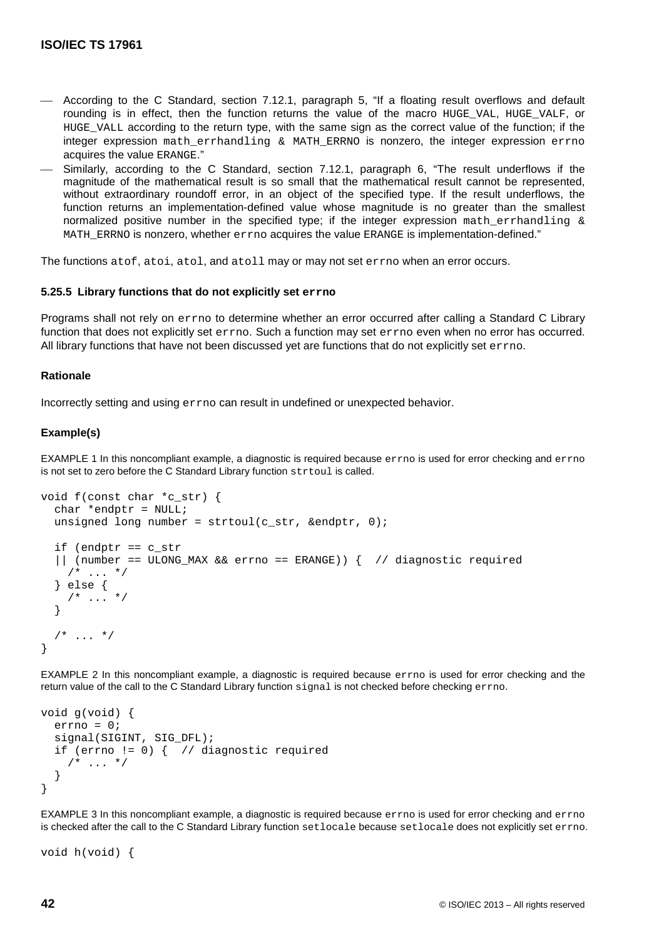- According to the C Standard, section 7.12.1, paragraph 5, "If a floating result overflows and default rounding is in effect, then the function returns the value of the macro HUGE\_VAL, HUGE\_VALF, or HUGE\_VALL according to the return type, with the same sign as the correct value of the function; if the integer expression math errhandling  $\&$  MATH ERRNO is nonzero, the integer expression errno acquires the value ERANGE."
- Similarly, according to the C Standard, section 7.12.1, paragraph 6, "The result underflows if the magnitude of the mathematical result is so small that the mathematical result cannot be represented, without extraordinary roundoff error, in an object of the specified type. If the result underflows, the function returns an implementation-defined value whose magnitude is no greater than the smallest normalized positive number in the specified type; if the integer expression math errhandling  $\&$ MATH\_ERRNO is nonzero, whether errno acquires the value ERANGE is implementation-defined."

The functions atof, atoi, atol, and atoll may or may not set errno when an error occurs.

## **5.25.5 Library functions that do not explicitly set errno**

Programs shall not rely on errno to determine whether an error occurred after calling a Standard C Library function that does not explicitly set errno. Such a function may set errno even when no error has occurred. All library functions that have not been discussed yet are functions that do not explicitly set errno.

#### **Rationale**

Incorrectly setting and using errno can result in undefined or unexpected behavior.

## **Example(s)**

EXAMPLE 1 In this noncompliant example, a diagnostic is required because errno is used for error checking and errno is not set to zero before the C Standard Library function strtoul is called.

```
void f(const char *c_str) {
  char *endptr = NULL;
   unsigned long number = strtoul(c_str, &endptr, 0);
   if (endptr == c_str
   || (number == ULONG_MAX && errno == ERANGE)) { // diagnostic required
    /* ... */
   } else {
    /* ... */
 }
    \ldots */
}
```
EXAMPLE 2 In this noncompliant example, a diagnostic is required because errno is used for error checking and the return value of the call to the C Standard Library function signal is not checked before checking errno.

```
void g(void) {
   errno = 0;
   signal(SIGINT, SIG_DFL);
  if (errno != 0) { // diagnostic required
    /* ... */
   }
}
```
EXAMPLE 3 In this noncompliant example, a diagnostic is required because errno is used for error checking and errno is checked after the call to the C Standard Library function setlocale because setlocale does not explicitly set errno.

```
void h(void) {
```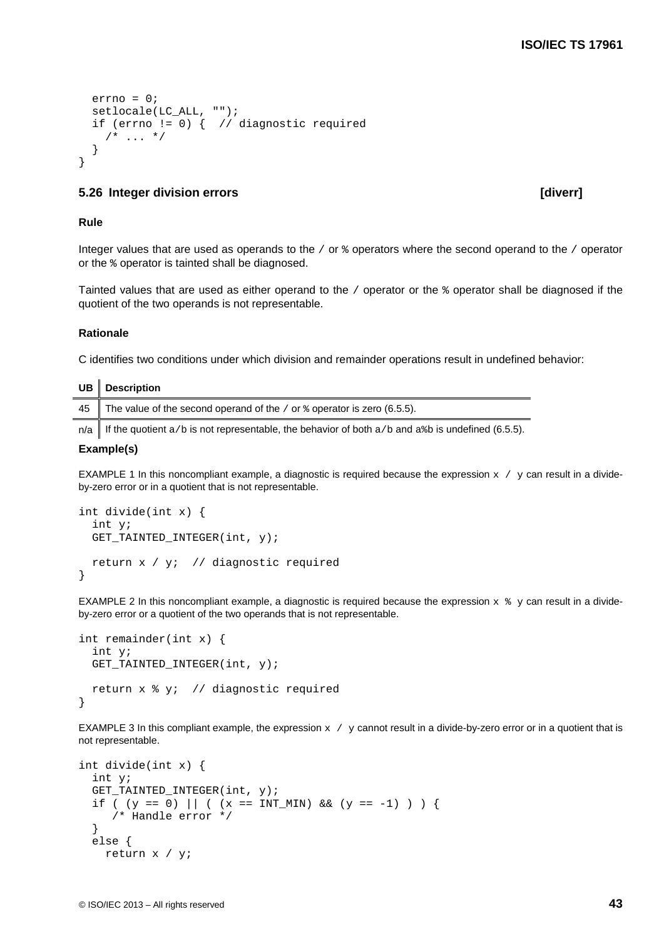```
 errno = 0;
 setlocale(LC_ALL, "");
 if (errno != 0) { // diagnostic required
  /* ... */
 }
```
# **5.26 Integer division errors [diverr]**

### **Rule**

}

Integer values that are used as operands to the / or % operators where the second operand to the / operator or the % operator is tainted shall be diagnosed.

Tainted values that are used as either operand to the / operator or the % operator shall be diagnosed if the quotient of the two operands is not representable.

#### **Rationale**

C identifies two conditions under which division and remainder operations result in undefined behavior:

| UB   Description                                                                       |
|----------------------------------------------------------------------------------------|
| 45 The value of the second operand of the / or $\frac{1}{2}$ operator is zero (6.5.5). |
| $\mathbf{r}$ , and the state of the state $\mathbf{r}$ , and the state of $\mathbf{r}$ |

 $n/a$  If the quotient a/b is not representable, the behavior of both a/b and a%b is undefined (6.5.5).

#### **Example(s)**

EXAMPLE 1 In this noncompliant example, a diagnostic is required because the expression  $x / y$  can result in a divideby-zero error or in a quotient that is not representable.

```
int divide(int x) {
  int y;
  GET_TAINTED_INTEGER(int, y);
  return x / y; // diagnostic required
}
```
EXAMPLE 2 In this noncompliant example, a diagnostic is required because the expression  $x * y$  can result in a divideby-zero error or a quotient of the two operands that is not representable.

```
int remainder(int x) {
  int y;
 GET_TAINTED_INTEGER(int, y);
  return x % y; // diagnostic required
}
```
EXAMPLE 3 In this compliant example, the expression  $x / y$  cannot result in a divide-by-zero error or in a quotient that is not representable.

```
int divide(int x) {
  int y;
  GET_TAINTED_INTEGER(int, y);
 if ( (y == 0) || ( (x == INT_MIN) & (y == -1) ) {
      /* Handle error */
   }
  else {
     return x / y;
```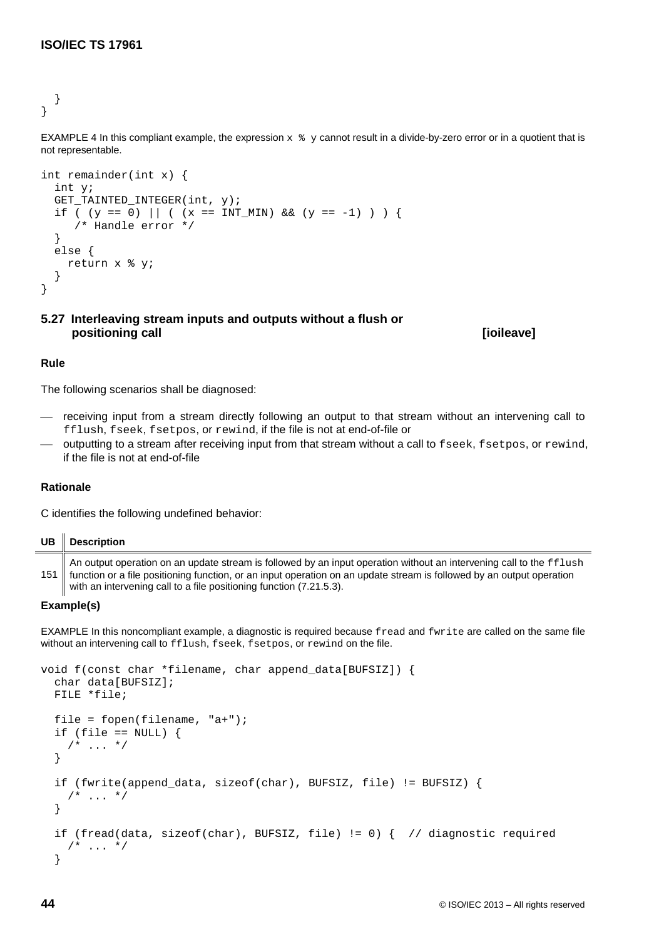} }

EXAMPLE 4 In this compliant example, the expression  $x * y$  cannot result in a divide-by-zero error or in a quotient that is not representable.

```
int remainder(int x) {
   int y;
   GET_TAINTED_INTEGER(int, y);
  if ( (y == 0) || ( (x == INT_MIN) & (y == -1) ) }
      /* Handle error */
   }
   else {
     return x % y; 
   }
}
```
# **5.27 Interleaving stream inputs and outputs without a flush or positioning call [ioileave]**

# **Rule**

The following scenarios shall be diagnosed:

- receiving input from a stream directly following an output to that stream without an intervening call to fflush, fseek, fsetpos, or rewind, if the file is not at end-of-file or
- outputting to a stream after receiving input from that stream without a call to fseek, fsetpos, or rewind, if the file is not at end-of-file

# **Rationale**

C identifies the following undefined behavior:

| UB  | <b>Description</b>                                                                                                                                                                                                                                                                                                  |
|-----|---------------------------------------------------------------------------------------------------------------------------------------------------------------------------------------------------------------------------------------------------------------------------------------------------------------------|
| 151 | An output operation on an update stream is followed by an input operation without an intervening call to the fflush<br>function or a file positioning function, or an input operation on an update stream is followed by an output operation<br>with an intervening call to a file positioning function (7.21.5.3). |

# **Example(s)**

EXAMPLE In this noncompliant example, a diagnostic is required because fread and fwrite are called on the same file without an intervening call to fflush, fseek, fsetpos, or rewind on the file.

```
void f(const char *filename, char append_data[BUFSIZ]) {
   char data[BUFSIZ];
   FILE *file;
  file = fopen(filename, "a+");
  if (file == NULL) {
    /* ... */
   }
   if (fwrite(append_data, sizeof(char), BUFSIZ, file) != BUFSIZ) {
    /* ... */
   }
  if (fread(data, sizeof(char), BUFSIZ, file) != 0) { // diagnostic required
    /* ... */
   }
```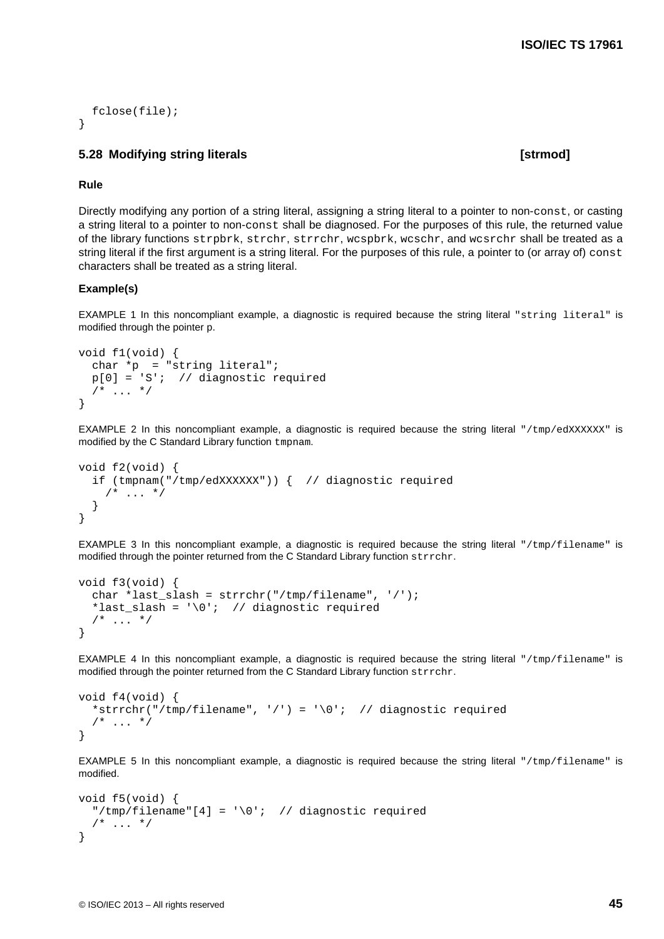```
 fclose(file);
}
```
# **5.28 Modifying string literals [strmod]**

### **Rule**

Directly modifying any portion of a string literal, assigning a string literal to a pointer to non-const, or casting a string literal to a pointer to non-const shall be diagnosed. For the purposes of this rule, the returned value of the library functions strpbrk, strchr, strrchr, wcspbrk, wcschr, and wcsrchr shall be treated as a string literal if the first argument is a string literal. For the purposes of this rule, a pointer to (or array of) const characters shall be treated as a string literal.

## **Example(s)**

EXAMPLE 1 In this noncompliant example, a diagnostic is required because the string literal "string literal" is modified through the pointer p.

```
void f1(void) {
  char *p = "string literal";
  p[0] = 'S'; // diagnostic required
  /* ... */
}
```
EXAMPLE 2 In this noncompliant example, a diagnostic is required because the string literal "/tmp/edXXXXXX" is modified by the C Standard Library function tmpnam.

```
void f2(void) {
   if (tmpnam("/tmp/edXXXXXX")) { // diagnostic required
    /* ... */
   }
}
```
EXAMPLE 3 In this noncompliant example, a diagnostic is required because the string literal "/tmp/filename" is modified through the pointer returned from the C Standard Library function strrchr.

```
void f3(void) {
   char *last_slash = strrchr("/tmp/filename", '/');
  *last_slash = '\0'; // diagnostic required
  /* ... */
}
```
EXAMPLE 4 In this noncompliant example, a diagnostic is required because the string literal "/tmp/filename" is modified through the pointer returned from the C Standard Library function strrchr.

```
void f4(void) {
   *strrchr("/tmp/filename", '/') = '\0'; // diagnostic required
  /* ... */
}
```
EXAMPLE 5 In this noncompliant example, a diagnostic is required because the string literal "/tmp/filename" is modified.

```
void f5(void) {
  "/tmp/filename"[4] = \sqrt{0}: // diagnostic required
  /* ... */
}
```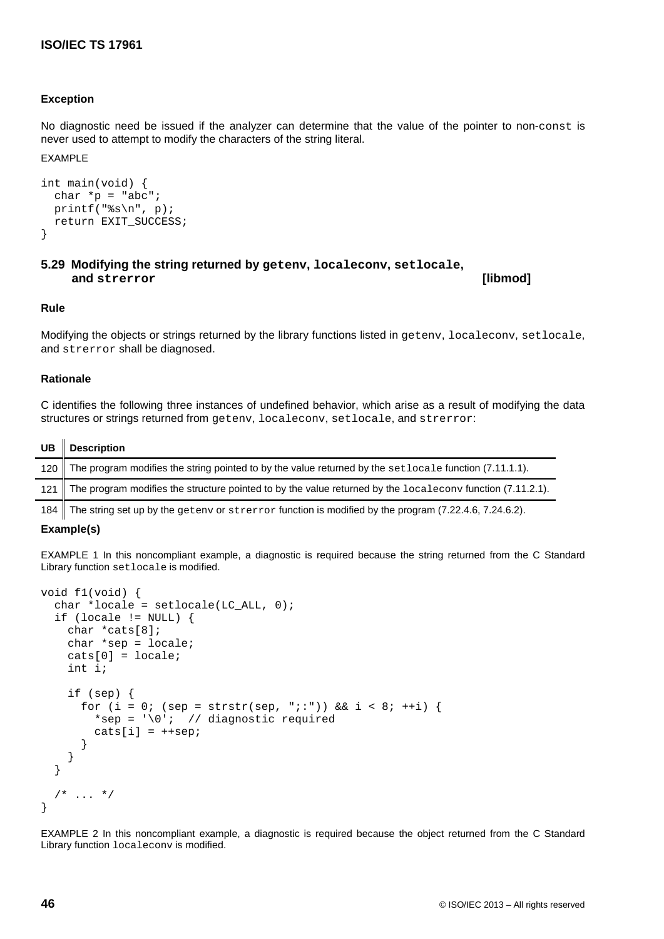# **Exception**

No diagnostic need be issued if the analyzer can determine that the value of the pointer to non-const is never used to attempt to modify the characters of the string literal.

### EXAMPLE

```
int main(void) {
  char *_{p} = "abc";
  printf("s\n\n\{n", p);
   return EXIT_SUCCESS;
}
```
# **5.29 Modifying the string returned by getenv, localeconv, setlocale, and strerror [libmod]**

## **Rule**

Modifying the objects or strings returned by the library functions listed in getenv, localeconv, setlocale, and strerror shall be diagnosed.

## **Rationale**

C identifies the following three instances of undefined behavior, which arise as a result of modifying the data structures or strings returned from getenv, localeconv, setlocale, and strerror:

| UB   Description                                                                                               |
|----------------------------------------------------------------------------------------------------------------|
| 120 The program modifies the string pointed to by the value returned by the set locale function (7.11.1.1).    |
| 121 The program modifies the structure pointed to by the value returned by the localecony function (7.11.2.1). |
|                                                                                                                |

184 The string set up by the getenv or strerror function is modified by the program (7.22.4.6, 7.24.6.2).

#### **Example(s)**

EXAMPLE 1 In this noncompliant example, a diagnostic is required because the string returned from the C Standard Library function setlocale is modified.

```
void f1(void) {
  char *locale = setlocated(C_ALL, 0);if (locale != NULL) {
     char *cats[8];
     char *sep = locale;
     cats[0] = locale;
     int i;
     if (sep) {
      for (i = 0; (sep = strstr(sep, ";:")) && i < 8; ++i) {
        *sep = \sqrt{0}: // diagnostic required
        \text{cats}[i] = +\text{sep}; }
     }
   }
  /* ... */
}
```
EXAMPLE 2 In this noncompliant example, a diagnostic is required because the object returned from the C Standard Library function localeconv is modified.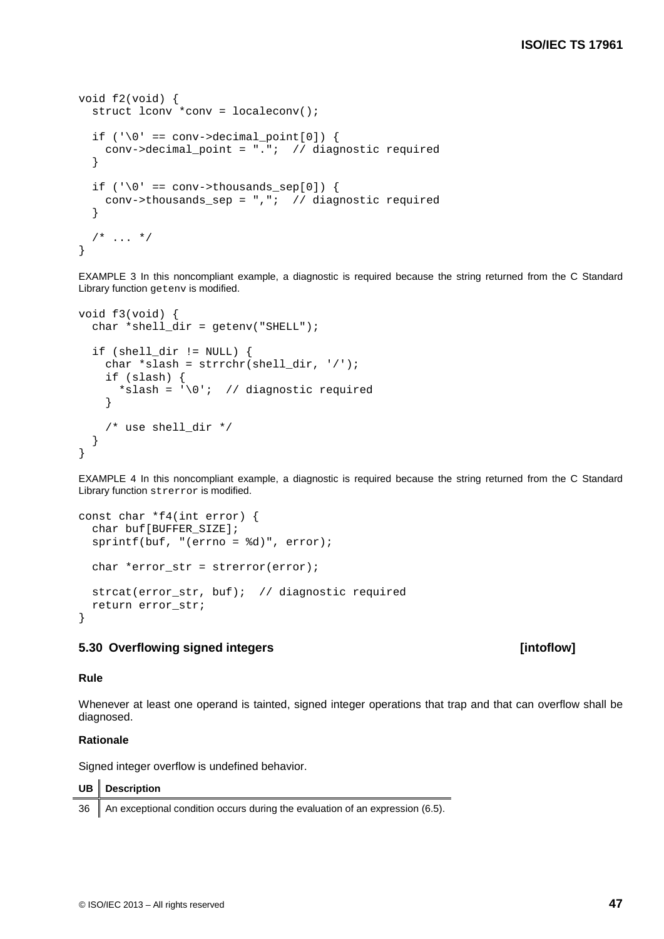```
void f2(void) {
  struct lconv *conv = localeconv();
   if ('\0' == conv-\lambda decimal\_point[0]) {
      conv->decimal_point = "."; // diagnostic required
    }
   if ('\0' == conv->thousands sep[0]) {
     conv->thousands sep = ", "; // diagram of the image is a set of <math>(x, y)</math> and <math>(y, z)</math> is a set of <math>(x, y)</math>. }
   /* ... */
}
```
EXAMPLE 3 In this noncompliant example, a diagnostic is required because the string returned from the C Standard Library function getenv is modified.

```
void f3(void) {
  char *shell_dir = getenv("SHEL");
   if (shell_dir != NULL) {
     char *slash = strrchr(shell_dir, '/');
     if (slash) {
      *slash = \sqrt{0'}; // diagnostic required
     }
     /* use shell_dir */
   }
}
```
EXAMPLE 4 In this noncompliant example, a diagnostic is required because the string returned from the C Standard Library function strerror is modified.

```
const char *f4(int error) {
 char buf[BUFFER SIZE];
  sprintf(buf, "(errno = %d)", error);
 char *error_str = strerror(error);
  strcat(error_str, buf); // diagnostic required
  return error_str;
}
```
# **5.30 Overflowing signed integers [intoflow]**

### **Rule**

Whenever at least one operand is tainted, signed integer operations that trap and that can overflow shall be diagnosed.

## **Rationale**

 $\blacksquare$ 

Signed integer overflow is undefined behavior.

| UB   Description                                                                   |
|------------------------------------------------------------------------------------|
| 36   An exceptional condition occurs during the evaluation of an expression (6.5). |

## © ISO/IEC 2013 – All rights reserved **47**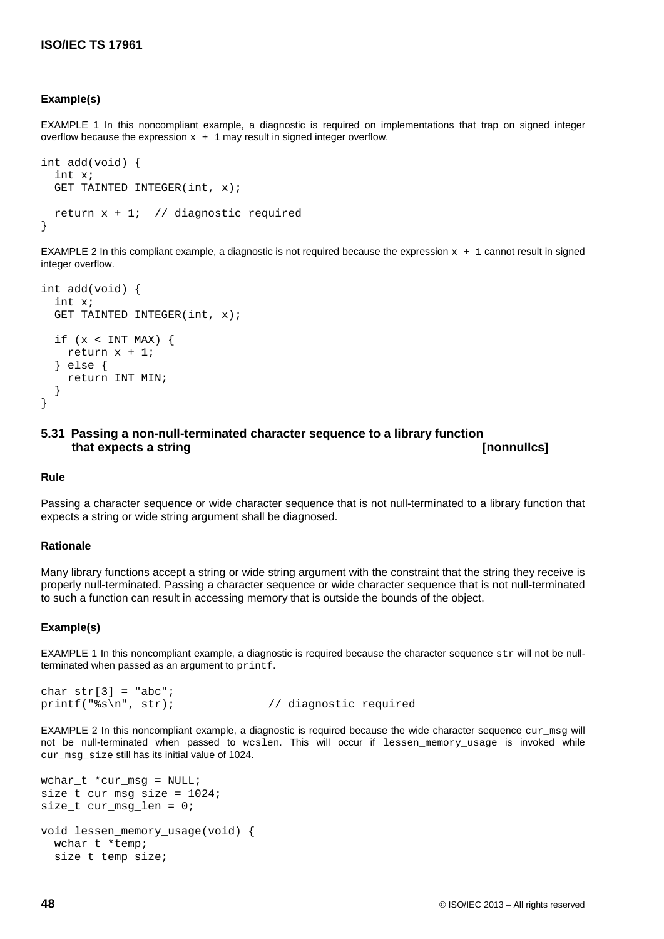# **Example(s)**

EXAMPLE 1 In this noncompliant example, a diagnostic is required on implementations that trap on signed integer overflow because the expression  $x + 1$  may result in signed integer overflow.

```
int add(void) {
  int x;
  GET_TAINTED_INTEGER(int, x);
 return x + 1; // diagnostic required
}
```
EXAMPLE 2 In this compliant example, a diagnostic is not required because the expression  $x + 1$  cannot result in signed integer overflow.

```
int add(void) {
   int x;
  GET TAINTED INTEGER(int, x);
  if (x < INT_MAX) {
     return x + 1;
   } else {
     return INT_MIN;
   }
}
```
# **5.31 Passing a non-null-terminated character sequence to a library function that expects a string [nonnullcs]**

#### **Rule**

Passing a character sequence or wide character sequence that is not null-terminated to a library function that expects a string or wide string argument shall be diagnosed.

#### **Rationale**

Many library functions accept a string or wide string argument with the constraint that the string they receive is properly null-terminated. Passing a character sequence or wide character sequence that is not null-terminated to such a function can result in accessing memory that is outside the bounds of the object.

#### **Example(s)**

EXAMPLE 1 In this noncompliant example, a diagnostic is required because the character sequence  $str$  will not be nullterminated when passed as an argument to printf.

```
char str[3] = "abc";<br>printf("s \nright", str);
```
// diagnostic required

EXAMPLE 2 In this noncompliant example, a diagnostic is required because the wide character sequence curams will not be null-terminated when passed to wcslen. This will occur if lessen memory usage is invoked while cur\_msg\_size still has its initial value of 1024.

```
wchar_t *cur_msg = NULL;
size_t cur_msg_size = 1024;
size_t cur_msg_len = 0;
void lessen_memory_usage(void) {
   wchar_t *temp;
   size_t temp_size;
```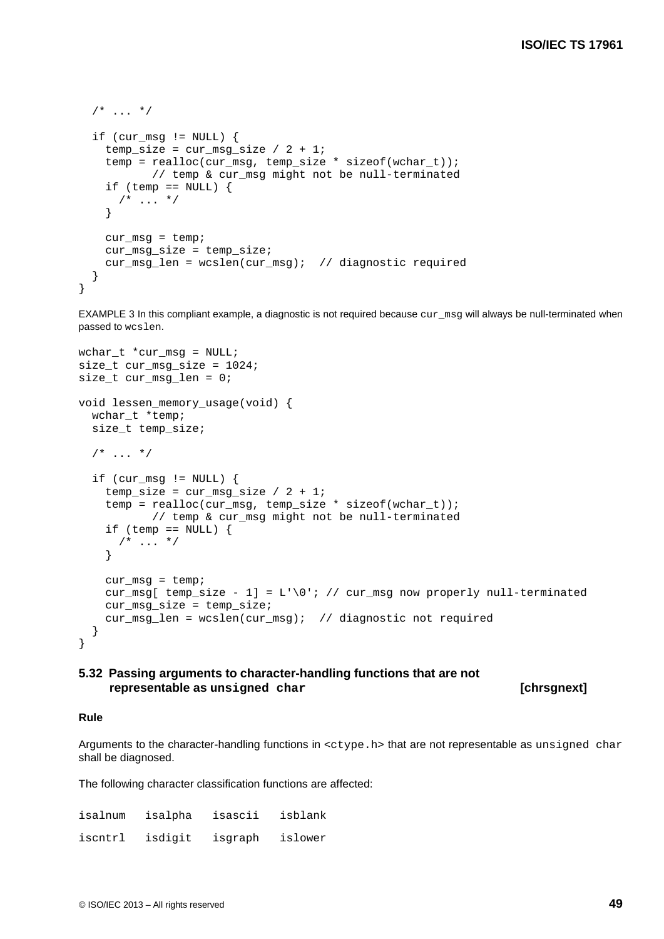```
/* ... */
  if (cur_msg != NULL) {
    temp\_size = cur\_msg\_size / 2 + 1; temp = realloc(cur_msg, temp_size * sizeof(wchar_t));
            // temp & cur_msg might not be null-terminated
    if (temp == NULL) {
     /* ... */
     }
   cur_m s g = temp; cur_msg_size = temp_size;
   cur_msg\_len = wcslen(cur_msg); // diagnostic required
   }
}
```
EXAMPLE 3 In this compliant example, a diagnostic is not required because cur\_msq will always be null-terminated when passed to wcslen.

```
wchar_t *cur_msg = NULL;
size_t cur_msg_size = 1024;
size_t cur_msg_len = 0;
void lessen_memory_usage(void) {
  wchar t *temp;
   size_t temp_size;
  /* ... */
  if (cur_msq != NULL) {
    temp size = cur msq size / 2 + 1;
    temp = realloc(cur_msq, temp_size * sizeof(wchar t));
            // temp & cur_msg might not be null-terminated
    if (temp == NULL) {
     /* \ldots */
     }
    cur_m s g = temp;
    cur_msg[ temp_size - 1] = L'\0'; // cur_msg now properly null-terminated
     cur_msg_size = temp_size;
    cur msg len = wcslen(cur msg); // diagnostic not required
   }
}
```
# **5.32 Passing arguments to character-handling functions that are not representable as unsigned char [chrsgnext]**

#### **Rule**

Arguments to the character-handling functions in  $\langle c, c \rangle$  that are not representable as unsigned char shall be diagnosed.

The following character classification functions are affected:

| isalnum | isalpha | isascii | isblank |
|---------|---------|---------|---------|
| iscntrl | isdigit | isgraph | islower |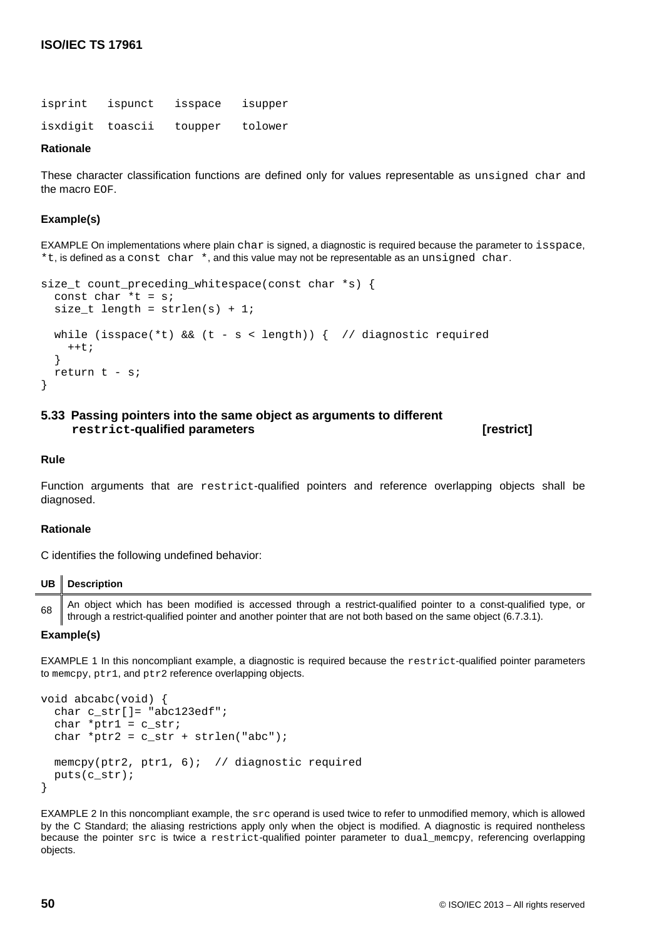isprint ispunct isspace isupper isxdigit toascii toupper tolower

# **Rationale**

These character classification functions are defined only for values representable as unsigned char and the macro EOF.

# **Example(s)**

EXAMPLE On implementations where plain char is signed, a diagnostic is required because the parameter to isspace,  $*t$ , is defined as a const char  $*$ , and this value may not be representable as an unsigned char.

```
size_t count_preceding_whitespace(const char *s) {
 const char *t = sisize_t length = strlen(s) + 1;
 while (isspace(*t) && (t - s < length)) { // diagnostic required
    ++t; }
  return t - s;
}
```
# **5.33 Passing pointers into the same object as arguments to different restrict-qualified parameters [restrict]**

#### **Rule**

Function arguments that are restrict-qualified pointers and reference overlapping objects shall be diagnosed.

#### **Rationale**

C identifies the following undefined behavior:

|    | UB   Description                                                                                                                                                                                                                   |
|----|------------------------------------------------------------------------------------------------------------------------------------------------------------------------------------------------------------------------------------|
| 68 | An object which has been modified is accessed through a restrict-qualified pointer to a const-qualified type, or<br>through a restrict-qualified pointer and another pointer that are not both based on the same object (6.7.3.1). |

#### **Example(s)**

EXAMPLE 1 In this noncompliant example, a diagnostic is required because the restrict-qualified pointer parameters to memcpy, ptr1, and ptr2 reference overlapping objects.

```
void abcabc(void) {
   char c_str[]= "abc123edf";
  char *ptr1 = c_strichar *ptr2 = c_str + strlen("abc");memcpy(ptr2, ptr1, 6); // diagnostic required
   puts(c_str);
}
```
EXAMPLE 2 In this noncompliant example, the src operand is used twice to refer to unmodified memory, which is allowed by the C Standard; the aliasing restrictions apply only when the object is modified. A diagnostic is required nontheless because the pointer src is twice a restrict-qualified pointer parameter to dual\_memcpy, referencing overlapping objects.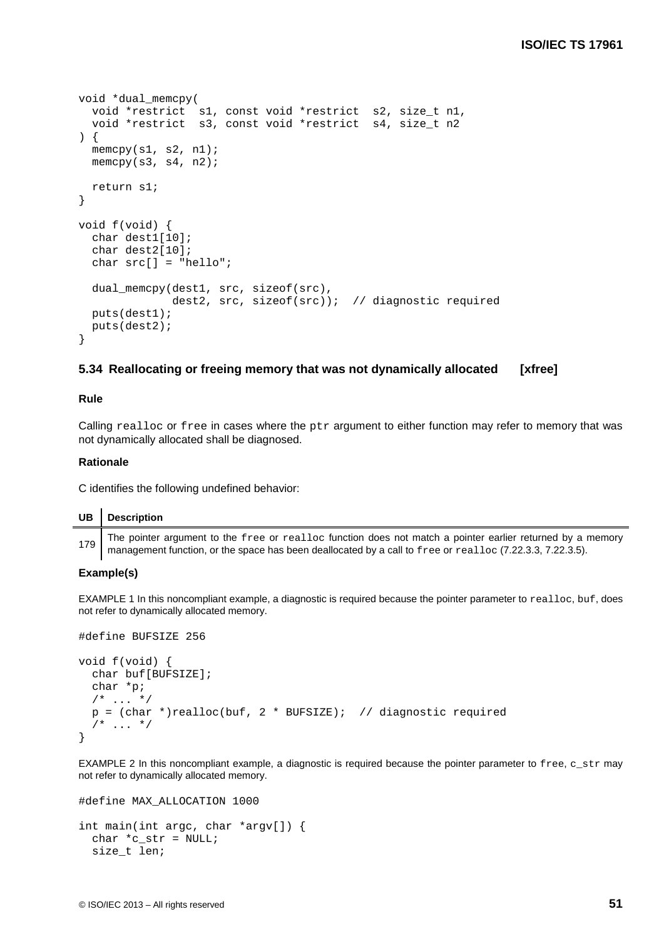```
void *dual_memcpy(
   void *restrict s1, const void *restrict s2, size_t n1,
   void *restrict s3, const void *restrict s4, size_t n2
) {
  memcpy(s1, s2, n1);memcpy(s3, s4, n2); return s1;
}
void f(void) {
   char dest1[10];
   char dest2[10];
   char src[] = "hello";
   dual_memcpy(dest1, src, sizeof(src),
               dest2, src, sizeof(src)); // diagnostic required
   puts(dest1);
   puts(dest2);
}
```
# **5.34 Reallocating or freeing memory that was not dynamically allocated [xfree]**

## **Rule**

Calling realloc or free in cases where the  $ptr$  argument to either function may refer to memory that was not dynamically allocated shall be diagnosed.

## **Rationale**

C identifies the following undefined behavior:

# **UB Description**

179 The pointer argument to the free or realloc function does not match a pointer earlier returned by a memory management function, or the space has been deallocated by a call to free or realloc (7.22.3.3, 7.22.3.5).

### **Example(s)**

EXAMPLE 1 In this noncompliant example, a diagnostic is required because the pointer parameter to realloc, buf, does not refer to dynamically allocated memory.

```
#define BUFSIZE 256
void f(void) {
  char buf[BUFSIZE];
  char *p;
  /* ... */
 p = (char *)realloc(buf, 2 * BUFSIZE); // diagonal/* ... */
}
```
EXAMPLE 2 In this noncompliant example, a diagnostic is required because the pointer parameter to free, c\_str may not refer to dynamically allocated memory.

```
#define MAX_ALLOCATION 1000
int main(int argc, char *argv[]) {
 char *c str = NULL;
  size_t len;
```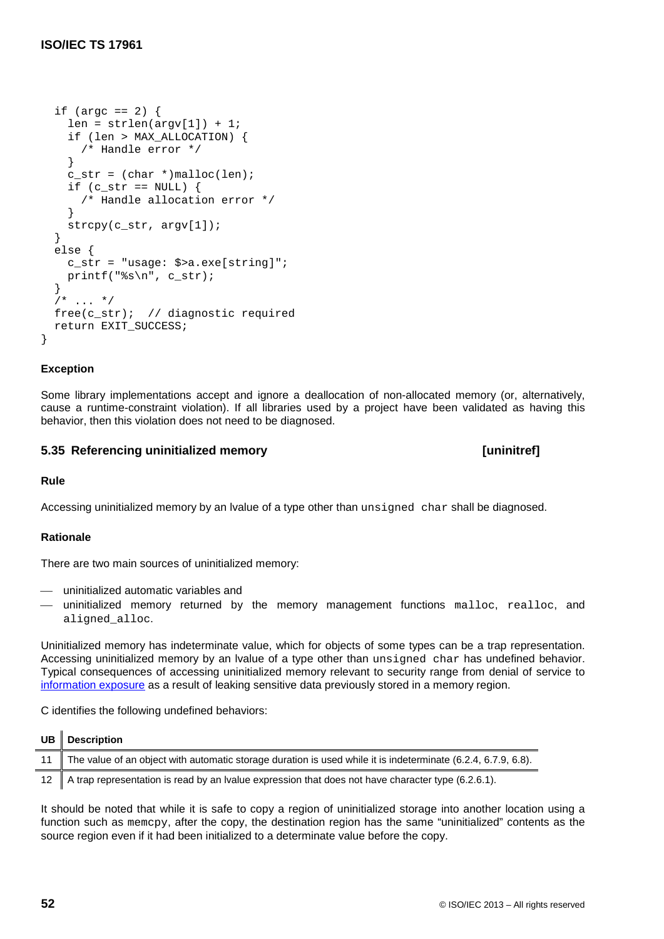```
if (argc == 2) {
    len = strlen(argv[1]) + 1; if (len > MAX_ALLOCATION) {
       /* Handle error */
     }
    c_ \text{str} = (\text{char } * ) malloc(len);
    if (c str == NULL) {
       /* Handle allocation error */
     }
     strcpy(c_str, argv[1]);
   }
  else {
    c str = "usage: $>a.exe[string]";
     printf("%s\n", c_str);
   }
  /* ... */
 free(c_str); // diagnostic required
  return EXIT_SUCCESS;
}
```
# **Exception**

Some library implementations accept and ignore a deallocation of non-allocated memory (or, alternatively, cause a runtime-constraint violation). If all libraries used by a project have been validated as having this behavior, then this violation does not need to be diagnosed.

# **5.35 Referencing uninitialized memory [uninitref]**

**Rule**

Accessing uninitialized memory by an lvalue of a type other than unsigned char shall be diagnosed.

# **Rationale**

There are two main sources of uninitialized memory:

- uninitialized automatic variables and
- uninitialized memory returned by the memory management functions malloc, realloc, and aligned\_alloc.

Uninitialized memory has indeterminate value, which for objects of some types can be a trap representation. Accessing uninitialized memory by an lvalue of a type other than unsigned char has undefined behavior. Typical consequences of accessing uninitialized memory relevant to security range from denial of service to [information exposure](http://cwe.mitre.org/data/definitions/200.html) as a result of leaking sensitive data previously stored in a memory region.

C identifies the following undefined behaviors:

| UB Description                                                                                                   |
|------------------------------------------------------------------------------------------------------------------|
| 11 The value of an object with automatic storage duration is used while it is indeterminate (6.2.4, 6.7.9, 6.8). |
| 12 A trap representation is read by an Ivalue expression that does not have character type (6.2.6.1).            |

It should be noted that while it is safe to copy a region of uninitialized storage into another location using a function such as memcpy, after the copy, the destination region has the same "uninitialized" contents as the source region even if it had been initialized to a determinate value before the copy.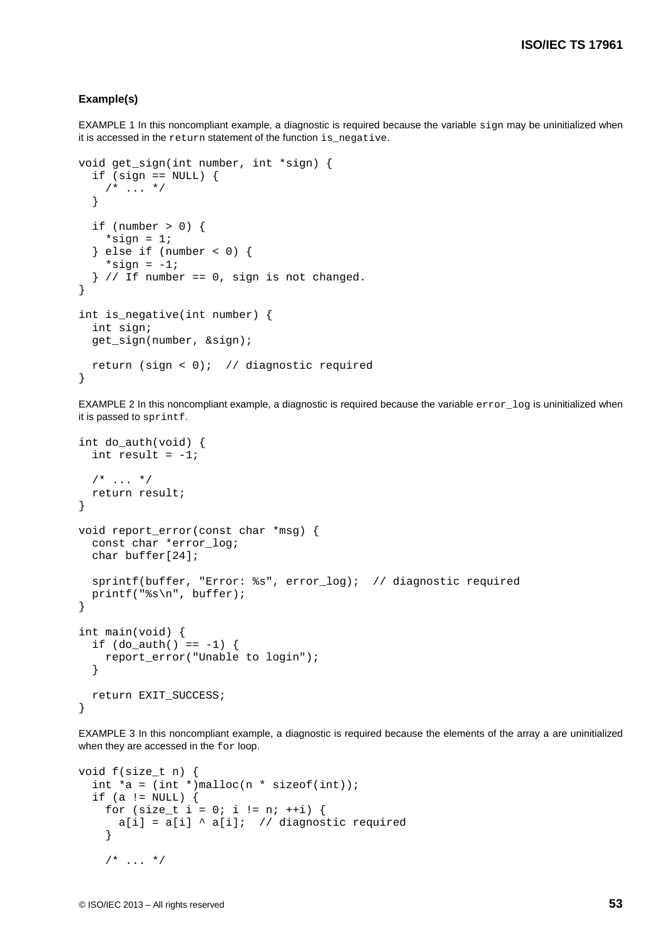## **Example(s)**

EXAMPLE 1 In this noncompliant example, a diagnostic is required because the variable sign may be uninitialized when it is accessed in the return statement of the function is\_negative.

```
void get_sign(int number, int *sign) {
  if (sign == NULL) {
    /* ... */
   }
  if (number > 0) {
   *sign = 1;
  \} else if (number < 0) {
    *sign = -1;
  } // If number == 0, sign is not changed.
}
int is_negative(int number) {
  int sign;
   get_sign(number, &sign);
   return (sign < 0); // diagnostic required
}
```
EXAMPLE 2 In this noncompliant example, a diagnostic is required because the variable error\_log is uninitialized when it is passed to sprintf.

```
int do_auth(void) {
  int result = -1;
  /* ... */
   return result;
}
void report_error(const char *msg) {
   const char *error_log;
   char buffer[24];
   sprintf(buffer, "Error: %s", error_log); // diagnostic required
   printf("%s\n", buffer);
}
int main(void) {
  if (do auth() == -1) {
     report_error("Unable to login");
 }
   return EXIT_SUCCESS;
}
```
EXAMPLE 3 In this noncompliant example, a diagnostic is required because the elements of the array a are uninitialized when they are accessed in the for loop.

```
void f(size_t n) {
  int a = (\text{int} *)\text{malloc}(n * \text{sizeof}(\text{int}));
  if (a != NULL) {
     for (size_t i = 0; i != n; ++i) {
       a[i] = a[i] \land a[i]; // diagnostic required
      }
     /* ... */
```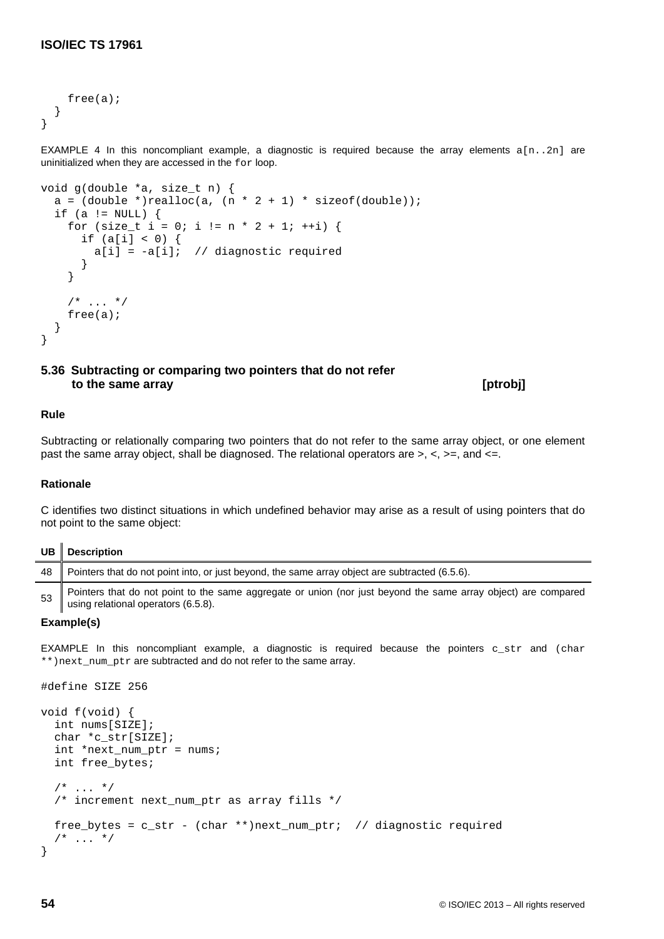```
 free(a);
   }
}
```
EXAMPLE 4 In this noncompliant example, a diagnostic is required because the array elements  $a[n..2n]$  are uninitialized when they are accessed in the for loop.

```
void g(double *a, size_t n) {
  a = (double *)realloc(a, (n * 2 + 1) * sizeof(double));if (a != NULL) {
    for (size_t i = 0; i != n * 2 + 1; ++i) {
      if (a[i] < 0) {
        a[i] = -a[i]; // diagnostic required
       }
     }
    /* ... */
     free(a);
   }
}
```
**5.36 Subtracting or comparing two pointers that do not refer to the same array [ptrobj]**

# **Rule**

Subtracting or relationally comparing two pointers that do not refer to the same array object, or one element past the same array object, shall be diagnosed. The relational operators are  $>$ ,  $\lt$ ,  $>$ =, and  $\lt$ =.

# **Rationale**

C identifies two distinct situations in which undefined behavior may arise as a result of using pointers that do not point to the same object:

| <b>UB</b> | <b>Description</b>                                                                                                                                    |
|-----------|-------------------------------------------------------------------------------------------------------------------------------------------------------|
| 48        | Pointers that do not point into, or just beyond, the same array object are subtracted (6.5.6).                                                        |
| 53        | Pointers that do not point to the same aggregate or union (nor just beyond the same array object) are compared<br>using relational operators (6.5.8). |

# **Example(s)**

 $\overline{a}$ 

EXAMPLE In this noncompliant example, a diagnostic is required because the pointers c\_str and (char \*\*)next\_num\_ptr are subtracted and do not refer to the same array.

```
#define SIZE 256
void f(void) {
   int nums[SIZE];
   char *c_str[SIZE];
   int *next_num_ptr = nums;
  int free bytes;
  /* ... */
  /* increment next num ptr as array fills */free_bytes = c_str - (char **)next_num_ptr; // diagnostic required
  /* ... */
}
```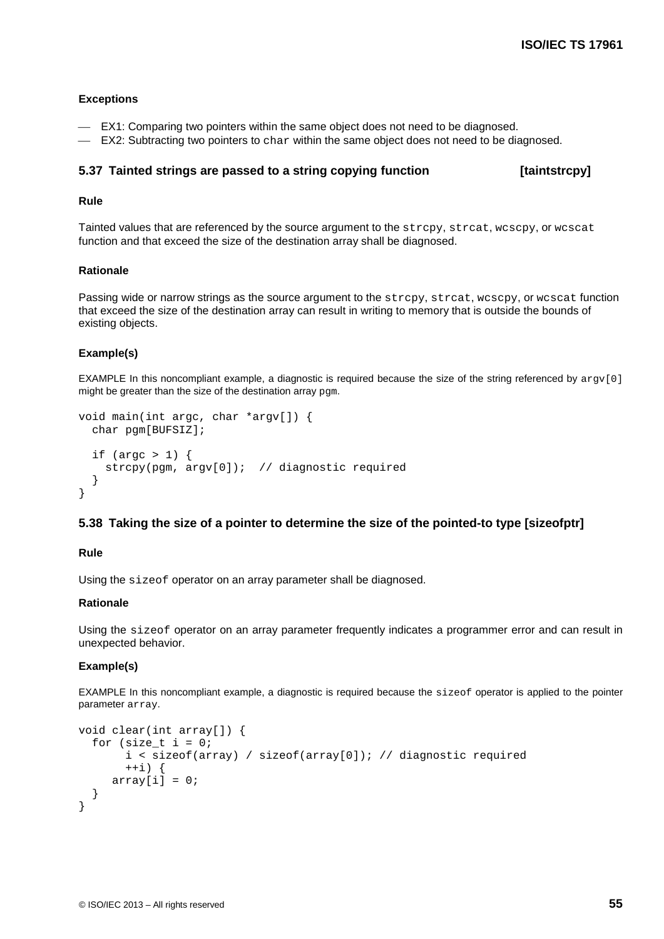## **Exceptions**

- EX1: Comparing two pointers within the same object does not need to be diagnosed.
- EX2: Subtracting two pointers to char within the same object does not need to be diagnosed.

## **5.37 Tainted strings are passed to a string copying function [taintstrcpy]**

# **Rule**

Tainted values that are referenced by the source argument to the strcpy, strcat, wcscpy, or wcscat function and that exceed the size of the destination array shall be diagnosed.

### **Rationale**

Passing wide or narrow strings as the source argument to the strcpy, streat, wcscpy, or wcscat function that exceed the size of the destination array can result in writing to memory that is outside the bounds of existing objects.

# **Example(s)**

EXAMPLE In this noncompliant example, a diagnostic is required because the size of the string referenced by  $ar\alpha$  [0] might be greater than the size of the destination array  $pqm$ .

```
void main(int argc, char *argv[]) {
   char pgm[BUFSIZ];
  if (argc > 1) {
     strcpy(pgm, argv[0]); // diagnostic required
   }
}
```
# **5.38 Taking the size of a pointer to determine the size of the pointed-to type [sizeofptr]**

## **Rule**

Using the sizeof operator on an array parameter shall be diagnosed.

# **Rationale**

Using the sizeof operator on an array parameter frequently indicates a programmer error and can result in unexpected behavior.

#### **Example(s)**

EXAMPLE In this noncompliant example, a diagnostic is required because the sizeof operator is applied to the pointer parameter array.

```
void clear(int array[]) {
  for (size t i = 0;
        i < sizeof(array) / sizeof(array[0]); // diagnostic required
       ++i) {
     array[i] = 0;}
}
```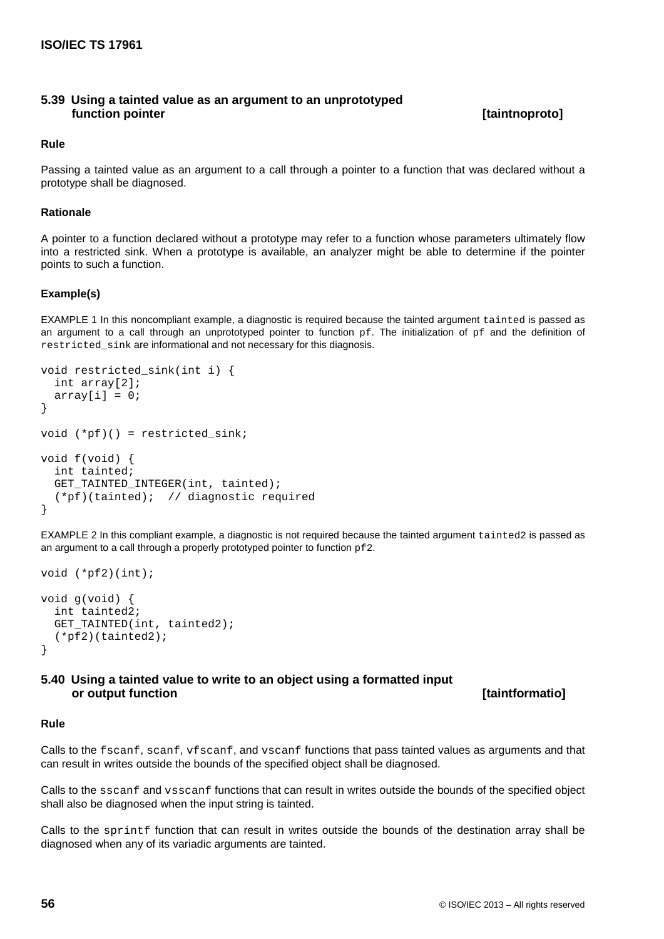# **5.39 Using a tainted value as an argument to an unprototyped function pointer [taintnoproto]**

# **Rule**

Passing a tainted value as an argument to a call through a pointer to a function that was declared without a prototype shall be diagnosed.

# **Rationale**

A pointer to a function declared without a prototype may refer to a function whose parameters ultimately flow into a restricted sink. When a prototype is available, an analyzer might be able to determine if the pointer points to such a function.

# **Example(s)**

EXAMPLE 1 In this noncompliant example, a diagnostic is required because the tainted argument tainted is passed as an argument to a call through an unprototyped pointer to function  $pf$ . The initialization of  $pf$  and the definition of restricted sink are informational and not necessary for this diagnosis.

```
void restricted_sink(int i) {
   int array[2];
  array[i] = 0;}
void (*pf)() = restricted_sink;
void f(void) {
   int tainted;
  GET TAINTED INTEGER(int, tainted);
   (*pf)(tainted); // diagnostic required
}
```
EXAMPLE 2 In this compliant example, a diagnostic is not required because the tainted argument tainted2 is passed as an argument to a call through a properly prototyped pointer to function pf2.

```
void (*pf2)(int);
void g(void) {
   int tainted2;
   GET_TAINTED(int, tainted2);
   (*pf2)(tainted2);
}
```
**5.40 Using a tainted value to write to an object using a formatted input or output function [taintformatio]**

# **Rule**

Calls to the fscanf, scanf, vfscanf, and vscanf functions that pass tainted values as arguments and that can result in writes outside the bounds of the specified object shall be diagnosed.

Calls to the sscanf and vsscanf functions that can result in writes outside the bounds of the specified object shall also be diagnosed when the input string is tainted.

Calls to the sprintf function that can result in writes outside the bounds of the destination array shall be diagnosed when any of its variadic arguments are tainted.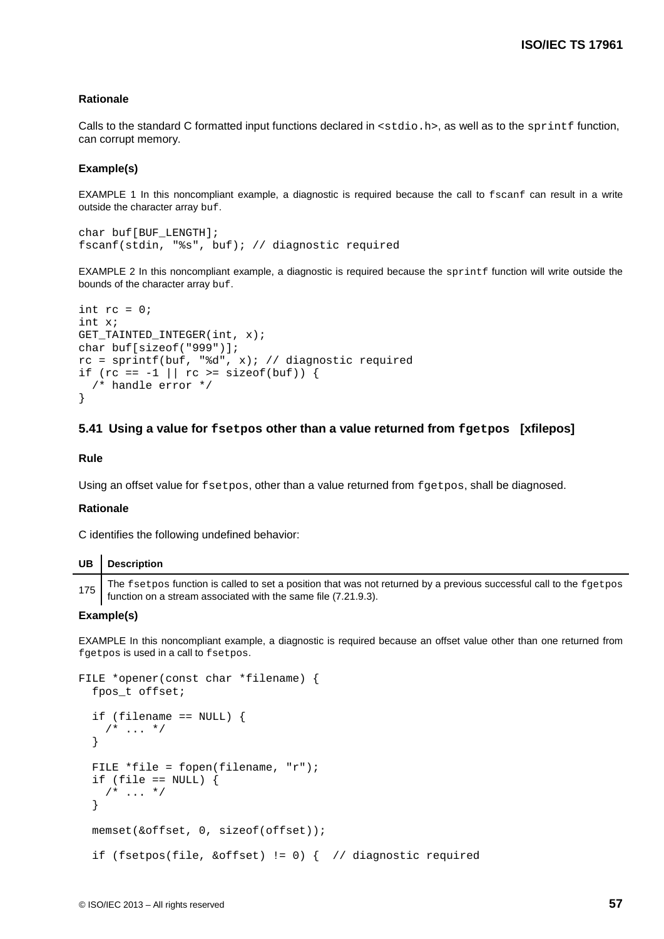## **Rationale**

Calls to the standard C formatted input functions declared in <stdio.h>, as well as to the sprintf function, can corrupt memory.

### **Example(s)**

EXAMPLE 1 In this noncompliant example, a diagnostic is required because the call to fscanf can result in a write outside the character array buf.

```
char buf[BUF_LENGTH];
fscanf(stdin, "%s", buf); // diagnostic required
```
EXAMPLE 2 In this noncompliant example, a diagnostic is required because the sprintf function will write outside the bounds of the character array buf.

```
int rc = 0;
int x;
GET_TAINTED_INTEGER(int, x);
char buf[sizeof("999")];
rc = sprintf(buf, "d", x); // diagonalif (rc == -1 || rc >= sizeof(buf)) {
  /* handle error */
}
```
### **5.41 Using a value for fsetpos other than a value returned from fgetpos [xfilepos]**

# **Rule**

Using an offset value for fsetpos, other than a value returned from fgetpos, shall be diagnosed.

# **Rationale**

C identifies the following undefined behavior:

| $UB$ Description                                                                                                                                                                          |
|-------------------------------------------------------------------------------------------------------------------------------------------------------------------------------------------|
| 175 The fsetpos function is called to set a position that was not returned by a previous successful call to the fgetpos<br>function on a stream associated with the same file (7.21.9.3). |

# **Example(s)**

EXAMPLE In this noncompliant example, a diagnostic is required because an offset value other than one returned from fgetpos is used in a call to fsetpos.

```
FILE *opener(const char *filename) {
  fpos_t offset;
   if (filename == NULL) {
    /* ... */
   }
 FILE *file = fopen(filename, 'r");
 if (file == NULL) {
    /* ... */
   }
  memset(&offset, 0, sizeof(offset));
   if (fsetpos(file, &offset) != 0) { // diagnostic required
```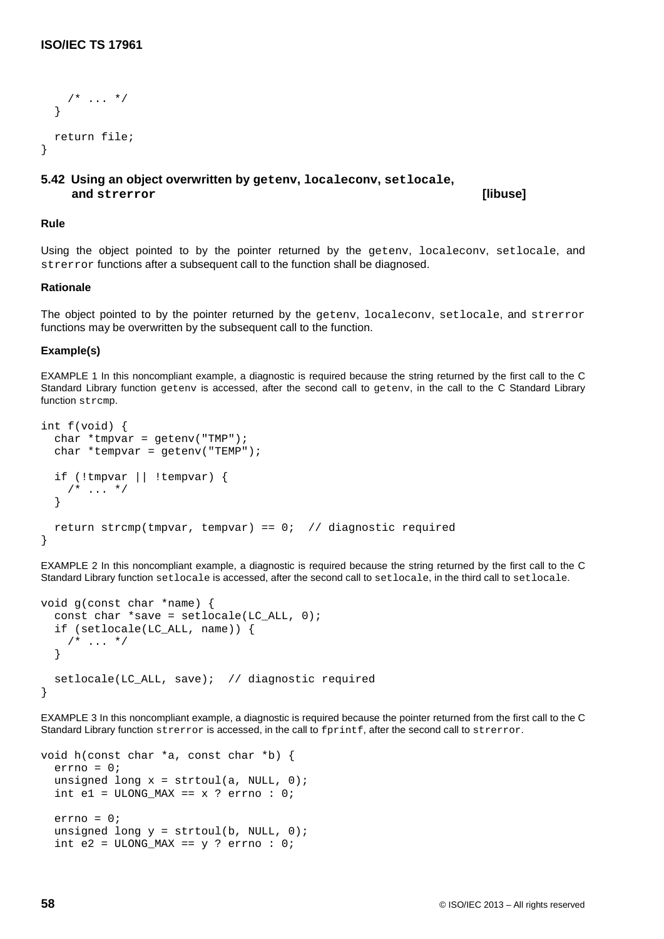```
/* ... */
   }
   return file;
}
```
# **5.42 Using an object overwritten by getenv, localeconv, setlocale, and strerror [libuse]**

## **Rule**

Using the object pointed to by the pointer returned by the getenv, localeconv, setlocale, and strerror functions after a subsequent call to the function shall be diagnosed.

# **Rationale**

The object pointed to by the pointer returned by the getenv, localeconv, setlocale, and strerror functions may be overwritten by the subsequent call to the function.

## **Example(s)**

EXAMPLE 1 In this noncompliant example, a diagnostic is required because the string returned by the first call to the C Standard Library function geteny is accessed, after the second call to geteny, in the call to the C Standard Library function strcmp.

```
int f(void) {
  char *tmpvar = getenv("TMP");
  char *tempvar = getenv("TEMP");
   if (!tmpvar || !tempvar) {
   /* ... */
   }
  return strcmp(tmpvar, tempvar) == 0; // diagnostic required
}
```
EXAMPLE 2 In this noncompliant example, a diagnostic is required because the string returned by the first call to the C Standard Library function setlocale is accessed, after the second call to setlocale, in the third call to setlocale.

```
void g(const char *name) {
  const char *save = setlocale(LC_ALL, 0); if (setlocale(LC_ALL, name)) {
    /* ... */
   }
   setlocale(LC_ALL, save); // diagnostic required
}
```
EXAMPLE 3 In this noncompliant example, a diagnostic is required because the pointer returned from the first call to the C Standard Library function strerror is accessed, in the call to fprintf, after the second call to strerror.

```
void h(const char *a, const char *b) {
  errno = 0;unsigned long x = strtoul(a, NULL, 0);
  int e1 = ULONG_MAX == x ? error : 0; errno = 0;
  unsigned long y = \text{strtoul}(b, \text{NULL}, 0);
  int e2 = ULONG_MAX == y ? errno : 0;
```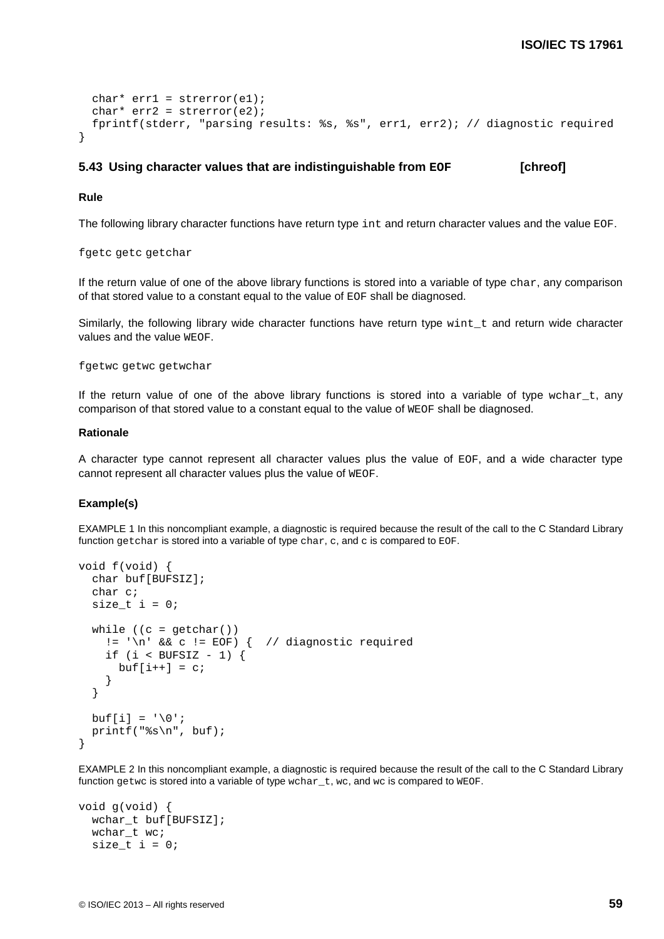```
char* err1 = strerror(e1);
 char* err2 = strerror(e2);
  fprintf(stderr, "parsing results: %s, %s", err1, err2); // diagnostic required
}
```
## **5.43** Using character values that are indistinguishable from EOF [chreof]

#### **Rule**

The following library character functions have return type int and return character values and the value EOF.

fgetc getc getchar

If the return value of one of the above library functions is stored into a variable of type char, any comparison of that stored value to a constant equal to the value of EOF shall be diagnosed.

Similarly, the following library wide character functions have return type wint  $t$  and return wide character values and the value WEOF.

fgetwc getwc getwchar

If the return value of one of the above library functions is stored into a variable of type  $wchar\_t$ , any comparison of that stored value to a constant equal to the value of WEOF shall be diagnosed.

# **Rationale**

A character type cannot represent all character values plus the value of EOF, and a wide character type cannot represent all character values plus the value of WEOF.

#### **Example(s)**

EXAMPLE 1 In this noncompliant example, a diagnostic is required because the result of the call to the C Standard Library function getchar is stored into a variable of type char,  $c$ , and  $c$  is compared to EOF.

```
void f(void) {
   char buf[BUFSIZ];
   char c;
  size_t i = 0;
  while ((c = \text{getchar}()))!= '\n' && c != EOF) { // diagnostic required
    if (i < BUFSIZ - 1) {
      buf[i++] = ci }
   }
  buf[i] = \sqrt{0'i} printf("%s\n", buf);
}
```
EXAMPLE 2 In this noncompliant example, a diagnostic is required because the result of the call to the C Standard Library function getwc is stored into a variable of type wchar $_t$ , wc, and wc is compared to WEOF.

```
void g(void) {
   wchar_t buf[BUFSIZ];
   wchar_t wc;
  size_t i = 0;
```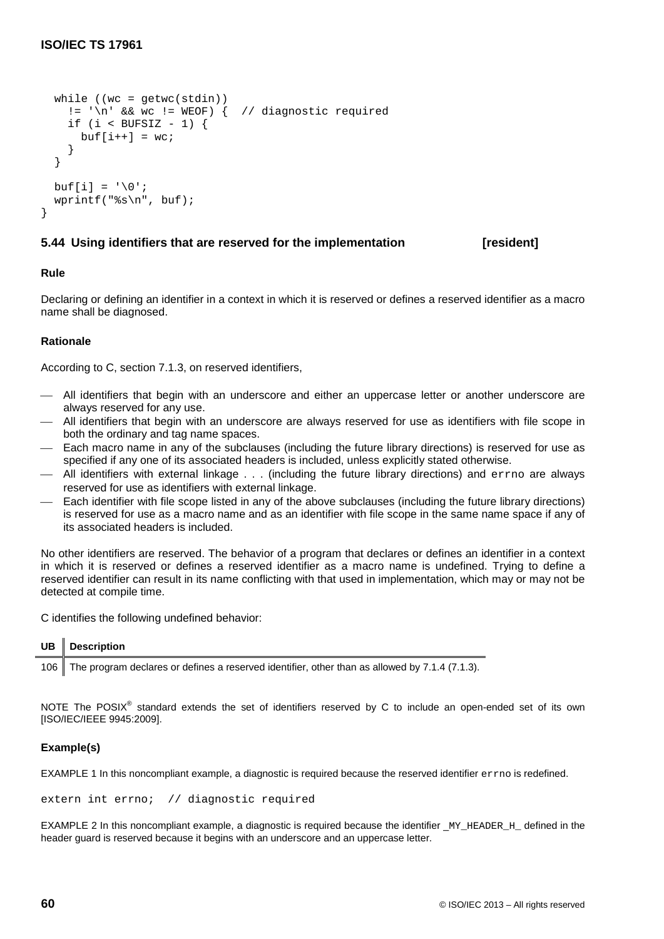```
while ((wc = qetwc(stdim)))!= '\n' && wc != WEOF) \{ // diagnostic required
  if (i < BUFSIZ - 1) {
   buf[i++] = wc; }
 }
buf[i] = '\\0'; wprintf("%s\n", buf);
```
# **5.44 Using identifiers that are reserved for the implementation [resident]**

# **Rule**

}

Declaring or defining an identifier in a context in which it is reserved or defines a reserved identifier as a macro name shall be diagnosed.

# **Rationale**

According to C, section 7.1.3, on reserved identifiers,

- All identifiers that begin with an underscore and either an uppercase letter or another underscore are always reserved for any use.
- All identifiers that begin with an underscore are always reserved for use as identifiers with file scope in both the ordinary and tag name spaces.
- Each macro name in any of the subclauses (including the future library directions) is reserved for use as specified if any one of its associated headers is included, unless explicitly stated otherwise.
- All identifiers with external linkage . . . (including the future library directions) and errno are always reserved for use as identifiers with external linkage.
- Each identifier with file scope listed in any of the above subclauses (including the future library directions) is reserved for use as a macro name and as an identifier with file scope in the same name space if any of its associated headers is included.

No other identifiers are reserved. The behavior of a program that declares or defines an identifier in a context in which it is reserved or defines a reserved identifier as a macro name is undefined. Trying to define a reserved identifier can result in its name conflicting with that used in implementation, which may or may not be detected at compile time.

C identifies the following undefined behavior:

| UB | <b>Description</b> |  |  |  |  |  |
|----|--------------------|--|--|--|--|--|
|    |                    |  |  |  |  |  |

106 The program declares or defines a reserved identifier, other than as allowed by 7.1.4 (7.1.3).

NOTE The POSIX<sup>®</sup> standard extends the set of identifiers reserved by C to include an open-ended set of its own [ISO/IEC/IEEE 9945:2009].

# **Example(s)**

EXAMPLE 1 In this noncompliant example, a diagnostic is required because the reserved identifier errno is redefined.

extern int errno; // diagnostic required

EXAMPLE 2 In this noncompliant example, a diagnostic is required because the identifier  $_M$  HEADER  $H$  defined in the header guard is reserved because it begins with an underscore and an uppercase letter.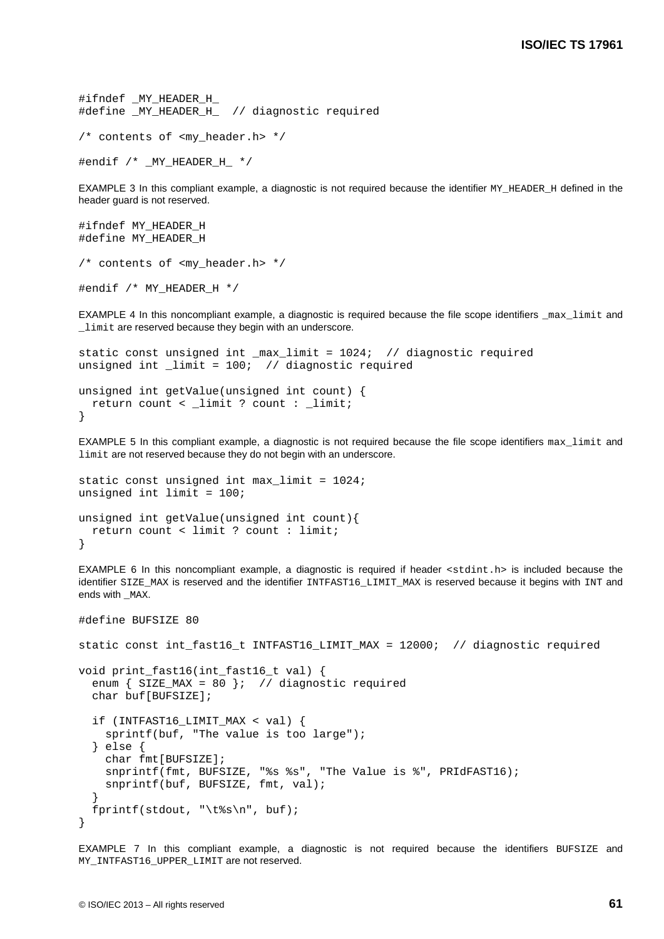```
#ifndef MY HEADER H
#define _MY_HEADER_H_ // diagnostic required
/* contents of <my_header.h> */
```
#endif /\* \_MY\_HEADER\_H\_ \*/

EXAMPLE 3 In this compliant example, a diagnostic is not required because the identifier MY\_HEADER\_H defined in the header guard is not reserved.

```
#ifndef MY_HEADER_H
#define MY_HEADER_H
/* contents of <my_header.h> */
#endif /* MY_HEADER_H */
```
EXAMPLE 4 In this noncompliant example, a diagnostic is required because the file scope identifiers \_max\_limit and \_limit are reserved because they begin with an underscore.

```
static const unsigned int max limit = 1024; // diagnostic required
unsigned int limit = 100; // diagnostic required
unsigned int getValue(unsigned int count) {
  return count < _limit ? count : _limit;
}
```
EXAMPLE 5 In this compliant example, a diagnostic is not required because the file scope identifiers  $max$  limit and limit are not reserved because they do not begin with an underscore.

```
static const unsigned int max_limit = 1024;
unsigned int limit = 100;
unsigned int getValue(unsigned int count){
   return count < limit ? count : limit;
}
```
EXAMPLE 6 In this noncompliant example, a diagnostic is required if header <stdint.h> is included because the identifier SIZE\_MAX is reserved and the identifier INTFAST16\_LIMIT\_MAX is reserved because it begins with INT and ends with MAX.

```
#define BUFSIZE 80
static const int fast16 t INTFAST16 LIMIT MAX = 12000; // diagnostic required
void print_fast16(int_fast16_t val) {
  enum \{ SIZE_MAX = 80 }; // diagnostic required
   char buf[BUFSIZE];
   if (INTFAST16_LIMIT_MAX < val) {
     sprintf(buf, "The value is too large");
   } else {
     char fmt[BUFSIZE];
     snprintf(fmt, BUFSIZE, "%s %s", "The Value is %", PRIdFAST16);
     snprintf(buf, BUFSIZE, fmt, val);
   }
   fprintf(stdout, "\t%s\n", buf);
}
```
EXAMPLE 7 In this compliant example, a diagnostic is not required because the identifiers BUFSIZE and MY\_INTFAST16\_UPPER\_LIMIT are not reserved.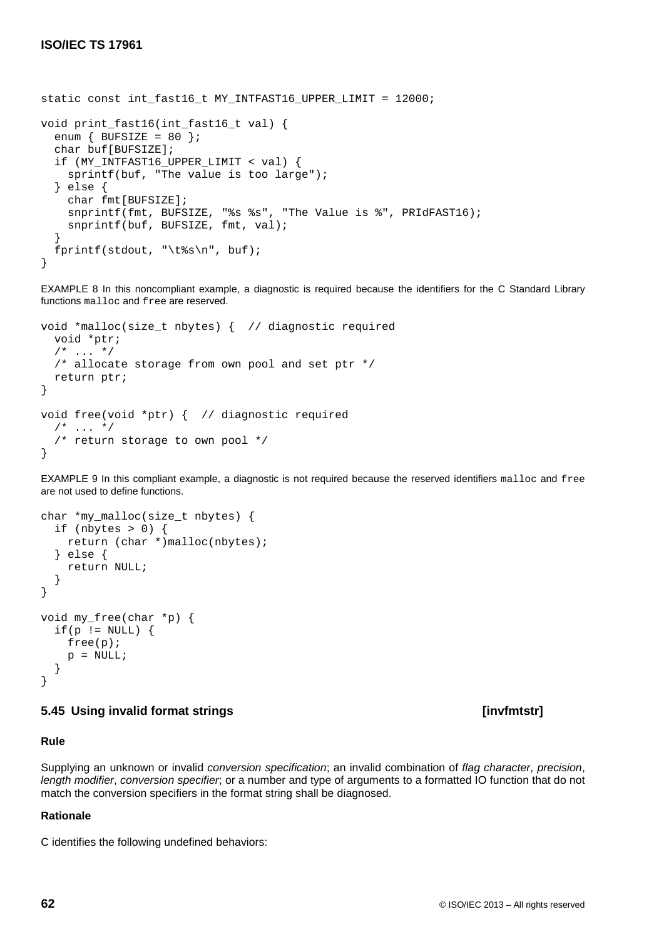```
static const int_fast16_t MY_INTFAST16_UPPER_LIMIT = 12000;
void print_fast16(int_fast16_t val) {
  enum \{ BUFSIZE = 80 \};
   char buf[BUFSIZE];
   if (MY_INTFAST16_UPPER_LIMIT < val) {
     sprintf(buf, "The value is too large");
   } else {
     char fmt[BUFSIZE];
     snprintf(fmt, BUFSIZE, "%s %s", "The Value is %", PRIdFAST16);
     snprintf(buf, BUFSIZE, fmt, val);
   }
   fprintf(stdout, "\t%s\n", buf);
}
```
EXAMPLE 8 In this noncompliant example, a diagnostic is required because the identifiers for the C Standard Library functions malloc and free are reserved.

```
void *malloc(size_t nbytes) { // diagnostic required
   void *ptr;
  /* ... */
   /* allocate storage from own pool and set ptr */
   return ptr;
}
void free(void *ptr) { // diagnostic required
  /* ... */
   /* return storage to own pool */
}
```
EXAMPLE 9 In this compliant example, a diagnostic is not required because the reserved identifiers malloc and free are not used to define functions.

```
char *my_malloc(size_t nbytes) {
  if (nbytes > 0) {
     return (char *)malloc(nbytes);
   } else {
     return NULL;
   }
}
void my_free(char *p) {
  if(p := NULL) {
     free(p);
    p = NULL; }
}
```
# **5.45 Using invalid format strings [invfmtstr]**

# **Rule**

Supplying an unknown or invalid *conversion specification*; an invalid combination of *flag character*, *precision*, *length modifier*, *conversion specifier*; or a number and type of arguments to a formatted IO function that do not match the conversion specifiers in the format string shall be diagnosed.

# **Rationale**

C identifies the following undefined behaviors: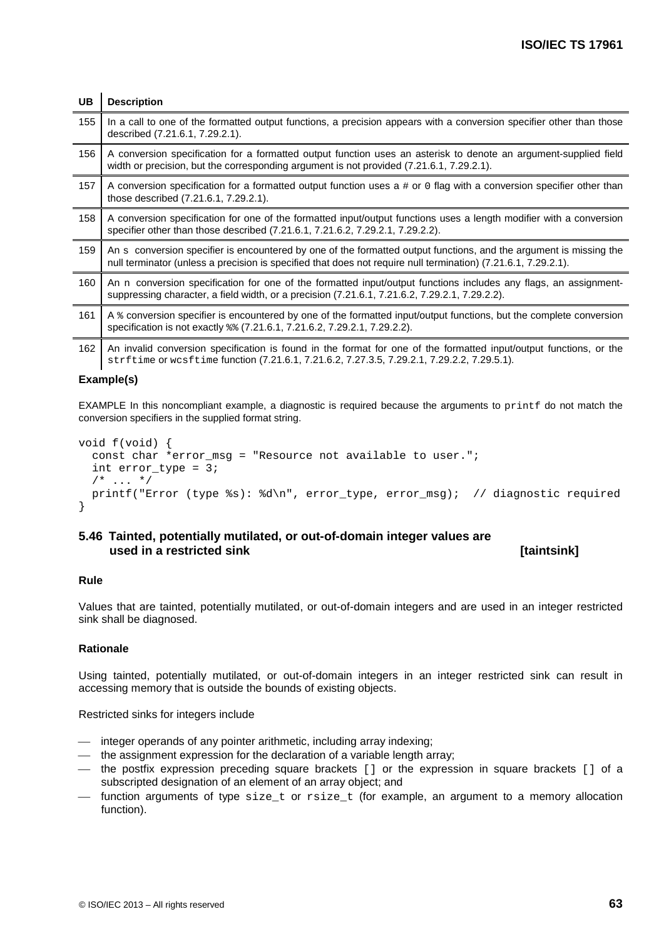| <b>UB</b> | <b>Description</b>                                                                                                                                                                                                                   |
|-----------|--------------------------------------------------------------------------------------------------------------------------------------------------------------------------------------------------------------------------------------|
| 155       | In a call to one of the formatted output functions, a precision appears with a conversion specifier other than those<br>described (7.21.6.1, 7.29.2.1).                                                                              |
| 156       | A conversion specification for a formatted output function uses an asterisk to denote an argument-supplied field<br>width or precision, but the corresponding argument is not provided (7.21.6.1, 7.29.2.1).                         |
| 157       | A conversion specification for a formatted output function uses $a \# or 0$ flag with a conversion specifier other than<br>those described (7.21.6.1, 7.29.2.1).                                                                     |
| 158       | A conversion specification for one of the formatted input/output functions uses a length modifier with a conversion<br>specifier other than those described (7.21.6.1, 7.21.6.2, 7.29.2.1, 7.29.2.2).                                |
| 159       | An s conversion specifier is encountered by one of the formatted output functions, and the argument is missing the<br>null terminator (unless a precision is specified that does not require null termination) (7.21.6.1, 7.29.2.1). |
| 160       | An n conversion specification for one of the formatted input/output functions includes any flags, an assignment-<br>suppressing character, a field width, or a precision (7.21.6.1, 7.21.6.2, 7.29.2.1, 7.29.2.2).                   |
| 161       | A & conversion specifier is encountered by one of the formatted input/output functions, but the complete conversion<br>specification is not exactly $\frac{1}{2}$ (7.21.6.1, 7.21.6.2, 7.29.2.1, 7.29.2.2).                          |
| 162       | An invalid conversion specification is found in the format for one of the formatted input/output functions, or the<br>strftime or wcsftime function (7.21.6.1, 7.21.6.2, 7.27.3.5, 7.29.2.1, 7.29.2.2, 7.29.5.1).                    |

#### **Example(s)**

EXAMPLE In this noncompliant example, a diagnostic is required because the arguments to printf do not match the conversion specifiers in the supplied format string.

```
void f(void) {
   const char *error_msg = "Resource not available to user.";
   int error_type = 3;
  /* ... */
   printf("Error (type %s): %d\n", error_type, error_msg); // diagnostic required
}
```
### **5.46 Tainted, potentially mutilated, or out-of-domain integer values are used in a restricted sink** *i* **is a set of the set of the set of taintsinkl <b>is a set of taintsinkl**

#### **Rule**

Values that are [tainted,](#page-13-0) potentially mutilated, or out-of-domain integers and are used in an integer restricted sink shall be diagnosed.

#### **Rationale**

Using [tainted,](#page-13-0) potentially mutilated, or out-of-domain integers in an integer restricted sink can result in accessing memory that is outside the bounds of existing objects.

Restricted sinks for integers include

- integer operands of any pointer arithmetic, including array indexing;
- the assignment expression for the declaration of a variable length array;
- the postfix expression preceding square brackets [] or the expression in square brackets [] of a subscripted designation of an element of an array object; and
- $-$  function arguments of type  $size_t$  or  $rise_t$  (for example, an argument to a memory allocation function).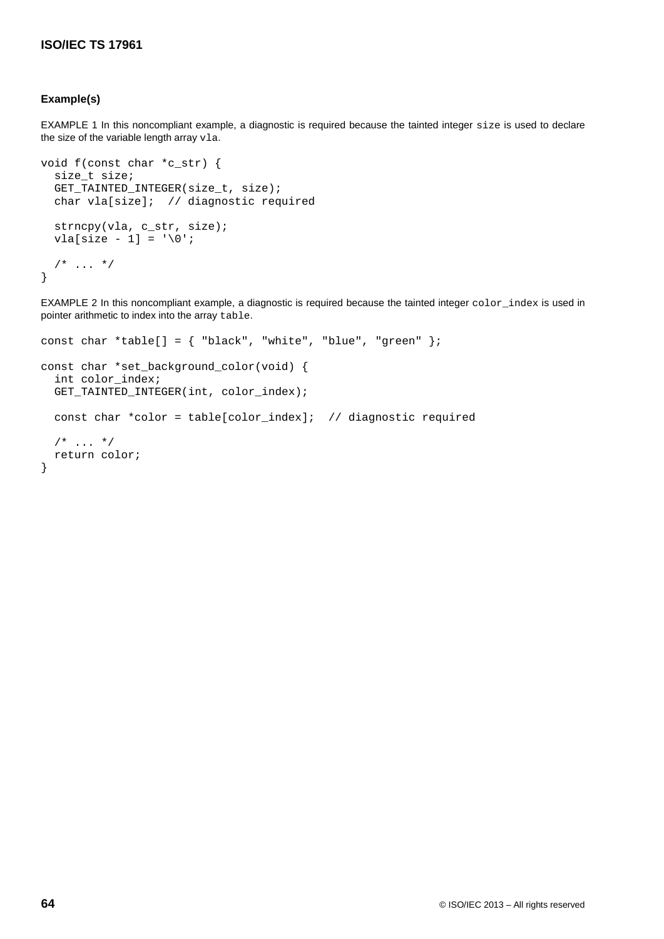#### **Example(s)**

EXAMPLE 1 In this noncompliant example, a diagnostic is required because the tainted integer size is used to declare the size of the variable length array vla.

```
void f(const char *c_str) {
   size_t size;
   GET_TAINTED_INTEGER(size_t, size);
   char vla[size]; // diagnostic required
   strncpy(vla, c_str, size);
  vla[size - 1] = \sqrt{0'i}/* ... */
}
```
EXAMPLE 2 In this noncompliant example, a diagnostic is required because the tainted integer color\_index is used in pointer arithmetic to index into the array table.

```
const char *table[] = { "black", "white", "blue", "green" };
const char *set_background_color(void) {
   int color_index;
   GET_TAINTED_INTEGER(int, color_index);
   const char *color = table[color_index]; // diagnostic required
  /* ... */
   return color;
}
```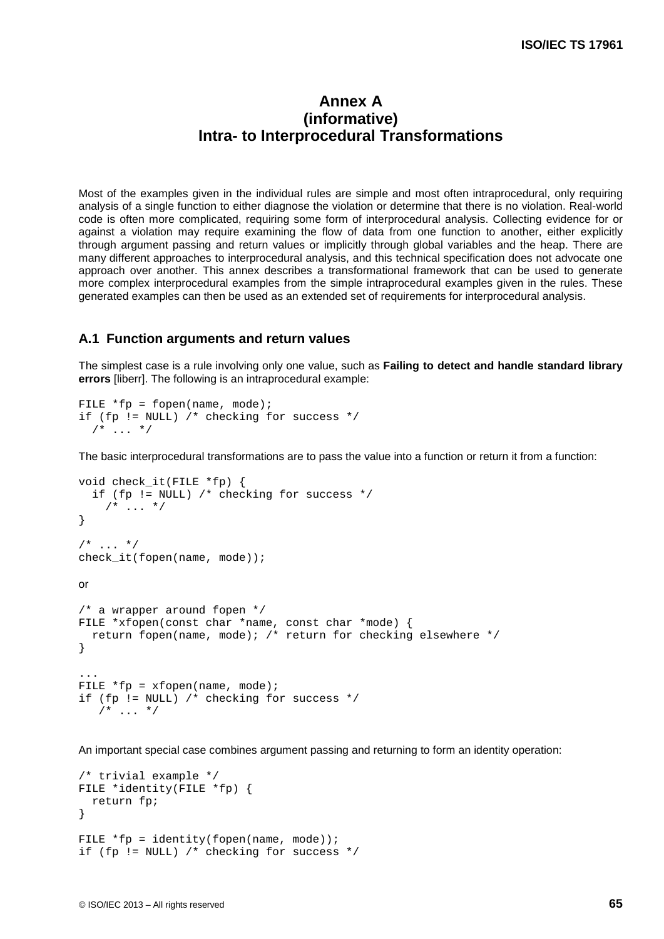## **Annex A (informative) Intra- to Interprocedural Transformations**

Most of the examples given in the individual rules are simple and most often intraprocedural, only requiring analysis of a single function to either diagnose the violation or determine that there is no violation. Real-world code is often more complicated, requiring some form of interprocedural analysis. Collecting evidence for or against a violation may require examining the flow of data from one function to another, either explicitly through argument passing and return values or implicitly through global variables and the heap. There are many different approaches to interprocedural analysis, and this technical specification does not advocate one approach over another. This annex describes a transformational framework that can be used to generate more complex interprocedural examples from the simple intraprocedural examples given in the rules. These generated examples can then be used as an extended set of requirements for interprocedural analysis.

#### **A.1 Function arguments and return values**

The simplest case is a rule involving only one value, such as **Failing to detect and handle standard library errors** [liberr]. The following is an intraprocedural example:

```
FILE *fp = fopen(name, mode);if (fp != NULL) /* checking for success */
  /* ... */
```
The basic interprocedural transformations are to pass the value into a function or return it from a function:

```
void check_it(FILE *fp) {
   if (fp != NULL) /* checking for success */
    /* ... */
}
/* ... */check it(fopen(name, mode));
or
/* a wrapper around fopen */
FILE *xfopen(const char *name, const char *mode) {
   return fopen(name, mode); /* return for checking elsewhere */
}
...
FILE *fp = xfopen(name, mode);if (fp != NULL) /* checking for success */
   /* ... */
```
An important special case combines argument passing and returning to form an identity operation:

```
/* trivial example */
FILE *identity(FILE *fp) {
   return fp;
}
FILE *fp = identity(fopen(name, mode));if (fp != NULL) /* checking for success */
```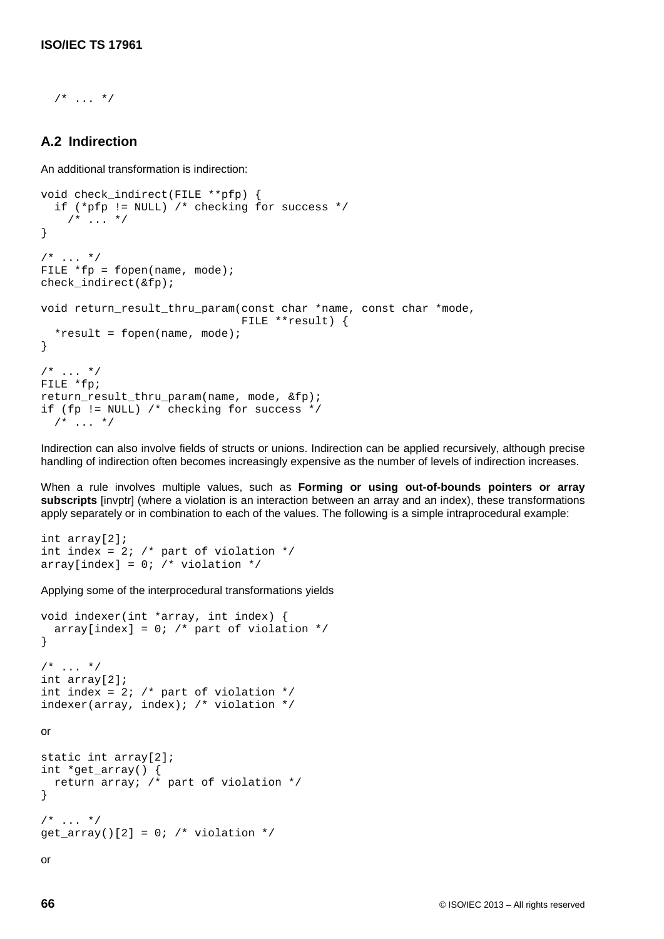$/$ \* ... \*/

#### **A.2 Indirection**

An additional transformation is indirection:

```
void check_indirect(FILE **pfp) {
   if (*pfp != NULL) /* checking for success */
    /* ... */
}
/* ... */
FILE *fp = fopen(name, mode);
check_indirect(&fp);
void return_result_thru_param(const char *name, const char *mode,
                               FILE **result) {
  *result = fopen(name, mode);
}
/* ... */
FILE *fp;
return_result_thru_param(name, mode, &fp);
if (fp != NULL) /* checking for success */
  /* ... */
```
Indirection can also involve fields of structs or unions. Indirection can be applied recursively, although precise handling of indirection often becomes increasingly expensive as the number of levels of indirection increases.

When a rule involves multiple values, such as **Forming or using out-of-bounds pointers or array subscripts** [invptr] (where a violation is an interaction between an array and an index), these transformations apply separately or in combination to each of the values. The following is a simple intraprocedural example:

```
int array[2];
int index = 2; /* part of violation */array[index] = 0; /* violation */
```
Applying some of the interprocedural transformations yields

```
void indexer(int *array, int index) {
  array[index] = 0; /* part of violation */
}
/* ... */
int array[2];
int index = 2; /* part of violation */
indexer(array, index); /* violation */
or
static int array[2];
int *get_array() {
  return array; /* part of violation */
}
/* ... */
get\_array()[2] = 0; /* violation */
or
```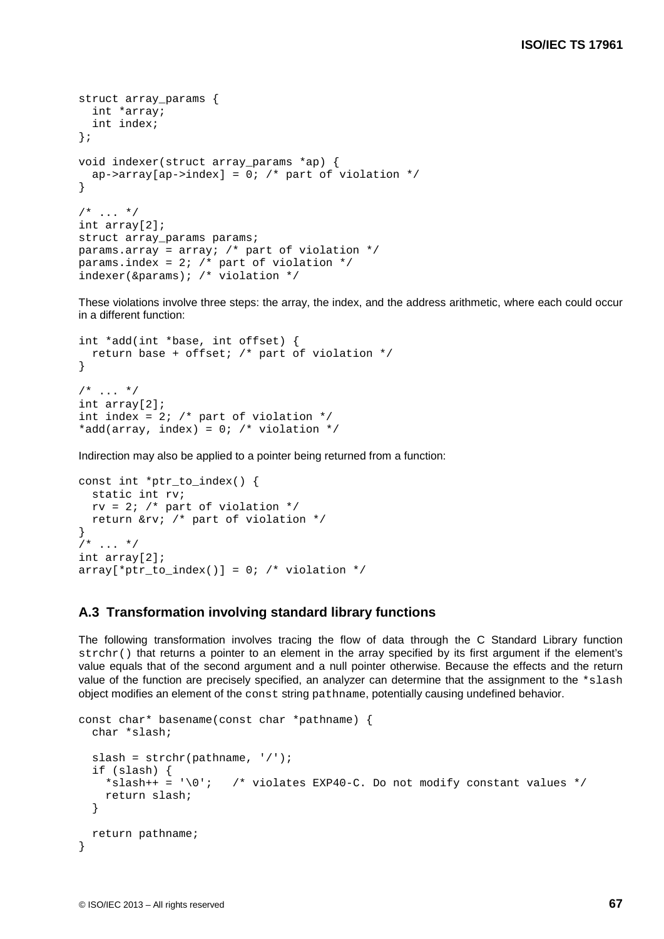```
struct array params {
  int *array;
   int index;
};
void indexer(struct array_params *ap) {
  ap->array[ap->index] = 0; /* part of violation */
}
/* ... */
int array[2];
struct array_params params;
params.array = array; /* part of violation */params.index = 2; /* part of violation */indexer(&params); /* violation */
```
These violations involve three steps: the array, the index, and the address arithmetic, where each could occur in a different function:

```
int *add(int *base, int offset) {
  return base + offset; /* part of violation */
}
/* ... */
int array[2];
int index = 2; /* part of violation */*add(array, index) = 0; /* violation */
```
Indirection may also be applied to a pointer being returned from a function:

```
const int *ptr_to_index() {
  static int rv;
 rv = 2; /* part of violation */ return &rv; /* part of violation */
}
/* ... */
int array[2];
array[*ptr_to_index()] = 0; /* violation */
```
#### **A.3 Transformation involving standard library functions**

The following transformation involves tracing the flow of data through the C Standard Library function strchr() that returns a pointer to an element in the array specified by its first argument if the element's value equals that of the second argument and a null pointer otherwise. Because the effects and the return value of the function are precisely specified, an analyzer can determine that the assignment to the \*slash object modifies an element of the const string pathname, potentially causing undefined behavior.

```
const char* basename(const char *pathname) {
  char *slash;
 slash = strchr(pathname, '/');
   if (slash) {
    *slash++ = '\0'; /* violates EXP40-C. Do not modify constant values */
     return slash;
   }
  return pathname;
}
```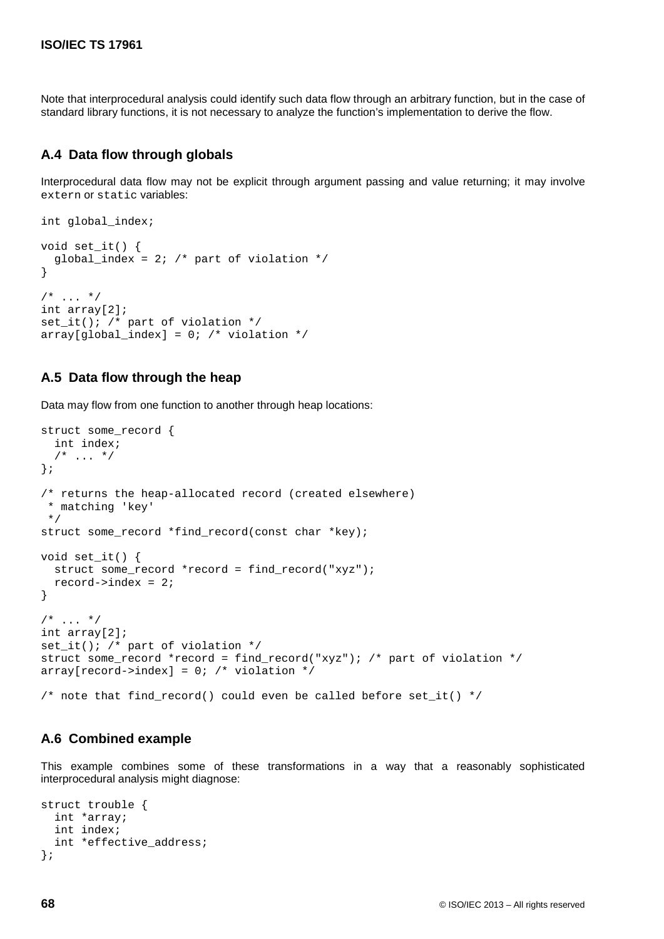Note that interprocedural analysis could identify such data flow through an arbitrary function, but in the case of standard library functions, it is not necessary to analyze the function's implementation to derive the flow.

### **A.4 Data flow through globals**

Interprocedural data flow may not be explicit through argument passing and value returning; it may involve extern or static variables:

```
int global_index;
void set it() {
  qlobal index = 2; /* part of violation */
}
/* ... */
int array[2];
set_it(); /* part of violation */
array[global_index] = 0; /* violation */
```
### **A.5 Data flow through the heap**

Data may flow from one function to another through heap locations:

```
struct some_record {
   int index;
  /* ... */
};
/* returns the heap-allocated record (created elsewhere)
 * matching 'key'
 */
struct some record *find record(const char *key);
void set_it() {
   struct some_record *record = find_record("xyz");
   record->index = 2;
}
/* ... */
int array[2];
set_it(); /* part of violation */
struct some_record *record = find_record("xyz"); /* part of violation */
array[record->index] = 0; /* violation */
/* note that find_record() could even be called before set_it() */
```
### **A.6 Combined example**

This example combines some of these transformations in a way that a reasonably sophisticated interprocedural analysis might diagnose:

```
struct trouble {
   int *array;
   int index;
   int *effective_address;
};
```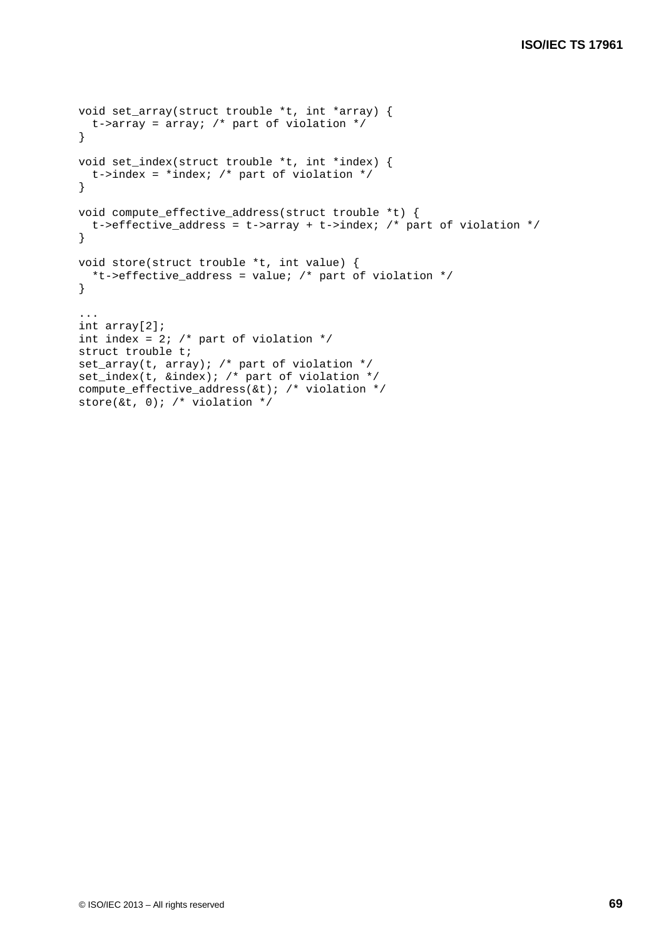```
void set_array(struct trouble *t, int *array) {
  t->array = array; /* part of violation */
}
void set_index(struct trouble *t, int *index) {
 t->index = *index; /* part of violation */
}
void compute_effective_address(struct trouble *t) {
  t->effective_address = t->array + t->index; /* part of violation */
}
void store(struct trouble *t, int value) {
  *t->effective_address = value; /* part of violation */
}
...
int array[2];
int index = 2; /* part of violation */struct trouble t;
set_array(t, array); /* part of violation */
set_index(t, &index); /* part of violation */
compute_effective_address(&t); /* violation */
store(&t, 0); /* violation */
```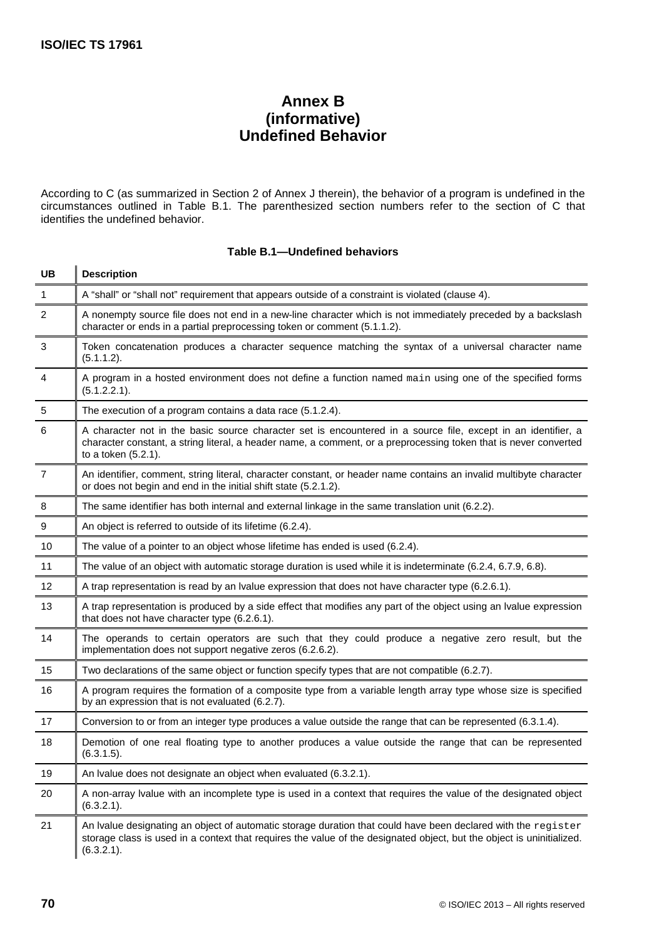# **Annex B (informative) Undefined Behavior**

According to C (as summarized in Section 2 of Annex J therein), the behavior of a program is undefined in the circumstances outlined in Table B.1. The parenthesized section numbers refer to the section of C that identifies the undefined behavior.

| <b>UB</b>      | <b>Description</b>                                                                                                                                                                                                                                       |
|----------------|----------------------------------------------------------------------------------------------------------------------------------------------------------------------------------------------------------------------------------------------------------|
| 1              | A "shall" or "shall not" requirement that appears outside of a constraint is violated (clause 4).                                                                                                                                                        |
| 2              | A nonempty source file does not end in a new-line character which is not immediately preceded by a backslash<br>character or ends in a partial preprocessing token or comment (5.1.1.2).                                                                 |
| 3              | Token concatenation produces a character sequence matching the syntax of a universal character name<br>(5.1.1.2).                                                                                                                                        |
| $\overline{4}$ | A program in a hosted environment does not define a function named main using one of the specified forms<br>(5.1.2.2.1).                                                                                                                                 |
| $\sqrt{5}$     | The execution of a program contains a data race (5.1.2.4).                                                                                                                                                                                               |
| 6              | A character not in the basic source character set is encountered in a source file, except in an identifier, a<br>character constant, a string literal, a header name, a comment, or a preprocessing token that is never converted<br>to a token (5.2.1). |
| $\overline{7}$ | An identifier, comment, string literal, character constant, or header name contains an invalid multibyte character<br>or does not begin and end in the initial shift state (5.2.1.2).                                                                    |
| 8              | The same identifier has both internal and external linkage in the same translation unit (6.2.2).                                                                                                                                                         |
| 9              | An object is referred to outside of its lifetime (6.2.4).                                                                                                                                                                                                |
| 10             | The value of a pointer to an object whose lifetime has ended is used (6.2.4).                                                                                                                                                                            |
| 11             | The value of an object with automatic storage duration is used while it is indeterminate (6.2.4, 6.7.9, 6.8).                                                                                                                                            |
| 12             | A trap representation is read by an Ivalue expression that does not have character type (6.2.6.1).                                                                                                                                                       |
| 13             | A trap representation is produced by a side effect that modifies any part of the object using an Ivalue expression<br>that does not have character type (6.2.6.1).                                                                                       |
| 14             | The operands to certain operators are such that they could produce a negative zero result, but the<br>implementation does not support negative zeros (6.2.6.2).                                                                                          |
| 15             | Two declarations of the same object or function specify types that are not compatible (6.2.7).                                                                                                                                                           |
| 16             | A program requires the formation of a composite type from a variable length array type whose size is specified<br>by an expression that is not evaluated (6.2.7).                                                                                        |
| 17             | Conversion to or from an integer type produces a value outside the range that can be represented (6.3.1.4).                                                                                                                                              |
| 18             | Demotion of one real floating type to another produces a value outside the range that can be represented<br>(6.3.1.5).                                                                                                                                   |
| 19             | An Ivalue does not designate an object when evaluated (6.3.2.1).                                                                                                                                                                                         |
| 20             | A non-array Ivalue with an incomplete type is used in a context that requires the value of the designated object<br>(6.3.2.1).                                                                                                                           |
| 21             | An Ivalue designating an object of automatic storage duration that could have been declared with the register<br>storage class is used in a context that requires the value of the designated object, but the object is uninitialized.<br>(6.3.2.1).     |

#### **Table B.1—Undefined behaviors**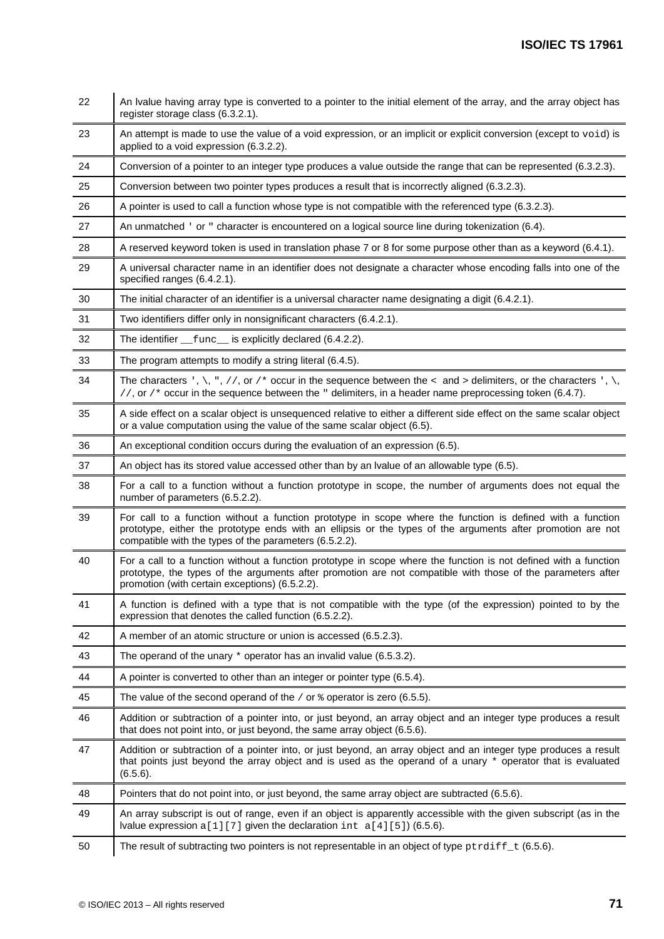| 22 | An Ivalue having array type is converted to a pointer to the initial element of the array, and the array object has<br>register storage class (6.3.2.1).                                                                                                                            |  |  |
|----|-------------------------------------------------------------------------------------------------------------------------------------------------------------------------------------------------------------------------------------------------------------------------------------|--|--|
| 23 | An attempt is made to use the value of a void expression, or an implicit or explicit conversion (except to void) is<br>applied to a void expression (6.3.2.2).                                                                                                                      |  |  |
| 24 | Conversion of a pointer to an integer type produces a value outside the range that can be represented (6.3.2.3).                                                                                                                                                                    |  |  |
| 25 | Conversion between two pointer types produces a result that is incorrectly aligned (6.3.2.3).                                                                                                                                                                                       |  |  |
| 26 | A pointer is used to call a function whose type is not compatible with the referenced type (6.3.2.3).                                                                                                                                                                               |  |  |
| 27 | An unmatched ' or " character is encountered on a logical source line during tokenization (6.4).                                                                                                                                                                                    |  |  |
| 28 | A reserved keyword token is used in translation phase 7 or 8 for some purpose other than as a keyword (6.4.1).                                                                                                                                                                      |  |  |
| 29 | A universal character name in an identifier does not designate a character whose encoding falls into one of the<br>specified ranges (6.4.2.1).                                                                                                                                      |  |  |
| 30 | The initial character of an identifier is a universal character name designating a digit (6.4.2.1).                                                                                                                                                                                 |  |  |
| 31 | Two identifiers differ only in nonsignificant characters (6.4.2.1).                                                                                                                                                                                                                 |  |  |
| 32 | The identifier __func__ is explicitly declared (6.4.2.2).                                                                                                                                                                                                                           |  |  |
| 33 | The program attempts to modify a string literal (6.4.5).                                                                                                                                                                                                                            |  |  |
| 34 | The characters ', \, ", //, or /* occur in the sequence between the < and > delimiters, or the characters ', \,<br>//, or /* occur in the sequence between the $\overline{\phantom{a}}$ delimiters, in a header name preprocessing token (6.4.7).                                   |  |  |
| 35 | A side effect on a scalar object is unsequenced relative to either a different side effect on the same scalar object<br>or a value computation using the value of the same scalar object (6.5).                                                                                     |  |  |
| 36 | An exceptional condition occurs during the evaluation of an expression (6.5).                                                                                                                                                                                                       |  |  |
| 37 | An object has its stored value accessed other than by an Ivalue of an allowable type (6.5).                                                                                                                                                                                         |  |  |
| 38 | For a call to a function without a function prototype in scope, the number of arguments does not equal the<br>number of parameters (6.5.2.2).                                                                                                                                       |  |  |
| 39 | For call to a function without a function prototype in scope where the function is defined with a function<br>prototype, either the prototype ends with an ellipsis or the types of the arguments after promotion are not<br>compatible with the types of the parameters (6.5.2.2). |  |  |
| 40 | For a call to a function without a function prototype in scope where the function is not defined with a function<br>prototype, the types of the arguments after promotion are not compatible with those of the parameters after<br>promotion (with certain exceptions) (6.5.2.2).   |  |  |
| 41 | A function is defined with a type that is not compatible with the type (of the expression) pointed to by the<br>expression that denotes the called function (6.5.2.2).                                                                                                              |  |  |
| 42 | A member of an atomic structure or union is accessed (6.5.2.3).                                                                                                                                                                                                                     |  |  |
| 43 | The operand of the unary $*$ operator has an invalid value (6.5.3.2).                                                                                                                                                                                                               |  |  |
| 44 | A pointer is converted to other than an integer or pointer type (6.5.4).                                                                                                                                                                                                            |  |  |
| 45 | The value of the second operand of the / or $\frac{1}{2}$ operator is zero (6.5.5).                                                                                                                                                                                                 |  |  |
| 46 | Addition or subtraction of a pointer into, or just beyond, an array object and an integer type produces a result<br>that does not point into, or just beyond, the same array object (6.5.6).                                                                                        |  |  |
| 47 | Addition or subtraction of a pointer into, or just beyond, an array object and an integer type produces a result<br>that points just beyond the array object and is used as the operand of a unary * operator that is evaluated<br>$(6.5.6)$ .                                      |  |  |
| 48 | Pointers that do not point into, or just beyond, the same array object are subtracted (6.5.6).                                                                                                                                                                                      |  |  |
| 49 | An array subscript is out of range, even if an object is apparently accessible with the given subscript (as in the<br>Ivalue expression $a[1][7]$ given the declaration int $a[4][5]$ (6.5.6).                                                                                      |  |  |
| 50 | The result of subtracting two pointers is not representable in an object of type $\text{prdiff}_t$ (6.5.6).                                                                                                                                                                         |  |  |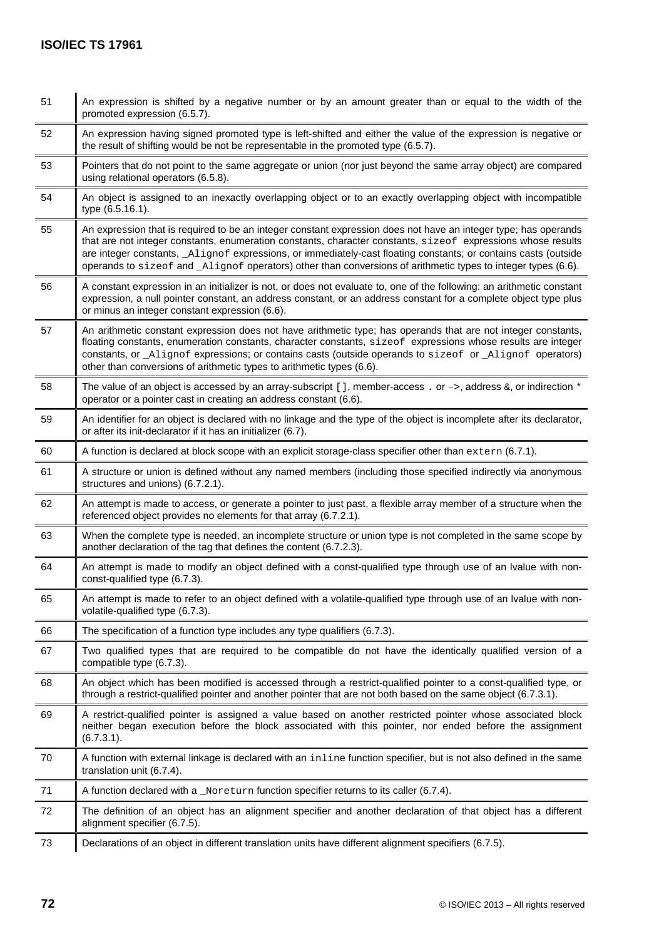| 51 | An expression is shifted by a negative number or by an amount greater than or equal to the width of the<br>promoted expression (6.5.7).                                                                                                                                                                                                                                                                                                                             |
|----|---------------------------------------------------------------------------------------------------------------------------------------------------------------------------------------------------------------------------------------------------------------------------------------------------------------------------------------------------------------------------------------------------------------------------------------------------------------------|
| 52 | An expression having signed promoted type is left-shifted and either the value of the expression is negative or<br>the result of shifting would be not be representable in the promoted type (6.5.7).                                                                                                                                                                                                                                                               |
| 53 | Pointers that do not point to the same aggregate or union (nor just beyond the same array object) are compared<br>using relational operators (6.5.8).                                                                                                                                                                                                                                                                                                               |
| 54 | An object is assigned to an inexactly overlapping object or to an exactly overlapping object with incompatible<br>type (6.5.16.1).                                                                                                                                                                                                                                                                                                                                  |
| 55 | An expression that is required to be an integer constant expression does not have an integer type; has operands<br>that are not integer constants, enumeration constants, character constants, sizeof expressions whose results<br>are integer constants, _Alignof expressions, or immediately-cast floating constants; or contains casts (outside<br>operands to size of and Alignof operators) other than conversions of arithmetic types to integer types (6.6). |
| 56 | A constant expression in an initializer is not, or does not evaluate to, one of the following: an arithmetic constant<br>expression, a null pointer constant, an address constant, or an address constant for a complete object type plus<br>or minus an integer constant expression (6.6).                                                                                                                                                                         |
| 57 | An arithmetic constant expression does not have arithmetic type; has operands that are not integer constants,<br>floating constants, enumeration constants, character constants, sizeof expressions whose results are integer<br>constants, or _Alignof expressions; or contains casts (outside operands to sizeof or _Alignof operators)<br>other than conversions of arithmetic types to arithmetic types (6.6).                                                  |
| 58 | The value of an object is accessed by an array-subscript [ ], member-access . or $\rightarrow$ , address $\&$ , or indirection $*$<br>operator or a pointer cast in creating an address constant (6.6).                                                                                                                                                                                                                                                             |
| 59 | An identifier for an object is declared with no linkage and the type of the object is incomplete after its declarator,<br>or after its init-declarator if it has an initializer (6.7).                                                                                                                                                                                                                                                                              |
| 60 | A function is declared at block scope with an explicit storage-class specifier other than extern (6.7.1).                                                                                                                                                                                                                                                                                                                                                           |
| 61 | A structure or union is defined without any named members (including those specified indirectly via anonymous<br>structures and unions) (6.7.2.1).                                                                                                                                                                                                                                                                                                                  |
| 62 | An attempt is made to access, or generate a pointer to just past, a flexible array member of a structure when the<br>referenced object provides no elements for that array (6.7.2.1).                                                                                                                                                                                                                                                                               |
| 63 | When the complete type is needed, an incomplete structure or union type is not completed in the same scope by<br>another declaration of the tag that defines the content (6.7.2.3).                                                                                                                                                                                                                                                                                 |
| 64 | An attempt is made to modify an object defined with a const-qualified type through use of an Ivalue with non-<br>const-qualified type (6.7.3).                                                                                                                                                                                                                                                                                                                      |
| 65 | An attempt is made to refer to an object defined with a volatile-qualified type through use of an Ivalue with non-<br>volatile-qualified type (6.7.3).                                                                                                                                                                                                                                                                                                              |
| 66 | The specification of a function type includes any type qualifiers (6.7.3).                                                                                                                                                                                                                                                                                                                                                                                          |
| 67 | Two qualified types that are required to be compatible do not have the identically qualified version of a<br>compatible type (6.7.3).                                                                                                                                                                                                                                                                                                                               |
| 68 | An object which has been modified is accessed through a restrict-qualified pointer to a const-qualified type, or<br>through a restrict-qualified pointer and another pointer that are not both based on the same object (6.7.3.1).                                                                                                                                                                                                                                  |
| 69 | A restrict-qualified pointer is assigned a value based on another restricted pointer whose associated block<br>neither began execution before the block associated with this pointer, nor ended before the assignment<br>$(6.7.3.1)$ .                                                                                                                                                                                                                              |
| 70 | A function with external linkage is declared with an inline function specifier, but is not also defined in the same<br>translation unit (6.7.4).                                                                                                                                                                                                                                                                                                                    |
| 71 | A function declared with a _Noreturn function specifier returns to its caller (6.7.4).                                                                                                                                                                                                                                                                                                                                                                              |
| 72 | The definition of an object has an alignment specifier and another declaration of that object has a different<br>alignment specifier (6.7.5).                                                                                                                                                                                                                                                                                                                       |
| 73 | Declarations of an object in different translation units have different alignment specifiers (6.7.5).                                                                                                                                                                                                                                                                                                                                                               |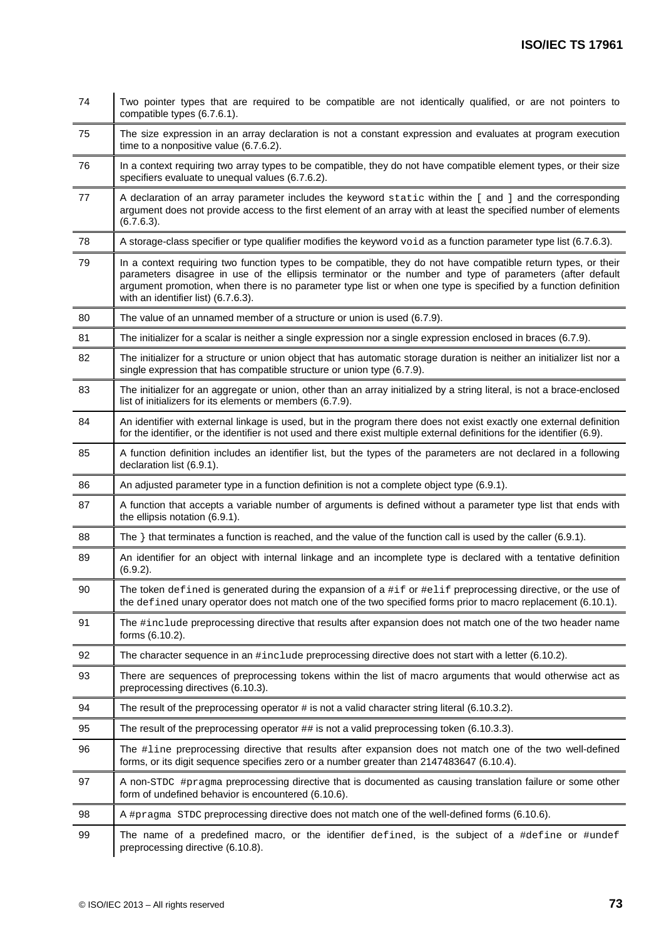| 74 | Two pointer types that are required to be compatible are not identically qualified, or are not pointers to<br>compatible types (6.7.6.1).                                                                                                                                                                                                                                             |  |
|----|---------------------------------------------------------------------------------------------------------------------------------------------------------------------------------------------------------------------------------------------------------------------------------------------------------------------------------------------------------------------------------------|--|
| 75 | The size expression in an array declaration is not a constant expression and evaluates at program execution<br>time to a nonpositive value (6.7.6.2).                                                                                                                                                                                                                                 |  |
| 76 | In a context requiring two array types to be compatible, they do not have compatible element types, or their size<br>specifiers evaluate to unequal values (6.7.6.2).                                                                                                                                                                                                                 |  |
| 77 | A declaration of an array parameter includes the keyword static within the [ and ] and the corresponding<br>argument does not provide access to the first element of an array with at least the specified number of elements<br>$(6.7.6.3)$ .                                                                                                                                         |  |
| 78 | A storage-class specifier or type qualifier modifies the keyword void as a function parameter type list (6.7.6.3).                                                                                                                                                                                                                                                                    |  |
| 79 | In a context requiring two function types to be compatible, they do not have compatible return types, or their<br>parameters disagree in use of the ellipsis terminator or the number and type of parameters (after default<br>argument promotion, when there is no parameter type list or when one type is specified by a function definition<br>with an identifier list) (6.7.6.3). |  |
| 80 | The value of an unnamed member of a structure or union is used (6.7.9).                                                                                                                                                                                                                                                                                                               |  |
| 81 | The initializer for a scalar is neither a single expression nor a single expression enclosed in braces (6.7.9).                                                                                                                                                                                                                                                                       |  |
| 82 | The initializer for a structure or union object that has automatic storage duration is neither an initializer list nor a<br>single expression that has compatible structure or union type (6.7.9).                                                                                                                                                                                    |  |
| 83 | The initializer for an aggregate or union, other than an array initialized by a string literal, is not a brace-enclosed<br>list of initializers for its elements or members (6.7.9).                                                                                                                                                                                                  |  |
| 84 | An identifier with external linkage is used, but in the program there does not exist exactly one external definition<br>for the identifier, or the identifier is not used and there exist multiple external definitions for the identifier (6.9).                                                                                                                                     |  |
| 85 | A function definition includes an identifier list, but the types of the parameters are not declared in a following<br>declaration list (6.9.1).                                                                                                                                                                                                                                       |  |
| 86 | An adjusted parameter type in a function definition is not a complete object type (6.9.1).                                                                                                                                                                                                                                                                                            |  |
| 87 | A function that accepts a variable number of arguments is defined without a parameter type list that ends with<br>the ellipsis notation (6.9.1).                                                                                                                                                                                                                                      |  |
| 88 | The $\}$ that terminates a function is reached, and the value of the function call is used by the caller (6.9.1).                                                                                                                                                                                                                                                                     |  |
| 89 | An identifier for an object with internal linkage and an incomplete type is declared with a tentative definition<br>$(6.9.2)$ .                                                                                                                                                                                                                                                       |  |
| 90 | The token <code>defined</code> is generated during the expansion of a <code>#if</code> or <code>#elif</code> preprocessing directive, or the use of<br>the defined unary operator does not match one of the two specified forms prior to macro replacement (6.10.1).                                                                                                                  |  |
| 91 | The #include preprocessing directive that results after expansion does not match one of the two header name<br>forms (6.10.2).                                                                                                                                                                                                                                                        |  |
| 92 | The character sequence in an #include preprocessing directive does not start with a letter (6.10.2).                                                                                                                                                                                                                                                                                  |  |
| 93 | There are sequences of preprocessing tokens within the list of macro arguments that would otherwise act as<br>preprocessing directives (6.10.3).                                                                                                                                                                                                                                      |  |
| 94 | The result of the preprocessing operator $\#$ is not a valid character string literal (6.10.3.2).                                                                                                                                                                                                                                                                                     |  |
| 95 | The result of the preprocessing operator $#$ is not a valid preprocessing token (6.10.3.3).                                                                                                                                                                                                                                                                                           |  |
| 96 | The #1ine preprocessing directive that results after expansion does not match one of the two well-defined<br>forms, or its digit sequence specifies zero or a number greater than 2147483647 (6.10.4).                                                                                                                                                                                |  |
| 97 | A non-STDC #pragma preprocessing directive that is documented as causing translation failure or some other<br>form of undefined behavior is encountered (6.10.6).                                                                                                                                                                                                                     |  |
| 98 | A #pragma STDC preprocessing directive does not match one of the well-defined forms (6.10.6).                                                                                                                                                                                                                                                                                         |  |
| 99 | The name of a predefined macro, or the identifier defined, is the subject of a #define or #undef<br>preprocessing directive (6.10.8).                                                                                                                                                                                                                                                 |  |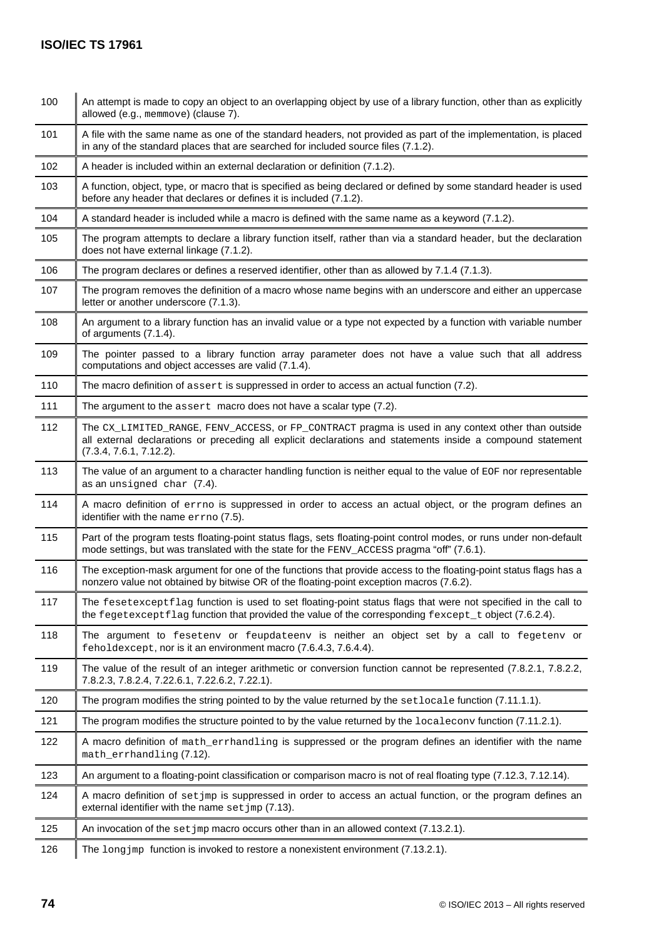| 100 | An attempt is made to copy an object to an overlapping object by use of a library function, other than as explicitly<br>allowed (e.g., memmove) (clause 7).                                                                                  |  |  |
|-----|----------------------------------------------------------------------------------------------------------------------------------------------------------------------------------------------------------------------------------------------|--|--|
| 101 | A file with the same name as one of the standard headers, not provided as part of the implementation, is placed<br>in any of the standard places that are searched for included source files (7.1.2).                                        |  |  |
| 102 | A header is included within an external declaration or definition (7.1.2).                                                                                                                                                                   |  |  |
| 103 | A function, object, type, or macro that is specified as being declared or defined by some standard header is used<br>before any header that declares or defines it is included (7.1.2).                                                      |  |  |
| 104 | A standard header is included while a macro is defined with the same name as a keyword (7.1.2).                                                                                                                                              |  |  |
| 105 | The program attempts to declare a library function itself, rather than via a standard header, but the declaration<br>does not have external linkage (7.1.2).                                                                                 |  |  |
| 106 | The program declares or defines a reserved identifier, other than as allowed by 7.1.4 (7.1.3).                                                                                                                                               |  |  |
| 107 | The program removes the definition of a macro whose name begins with an underscore and either an uppercase<br>letter or another underscore (7.1.3).                                                                                          |  |  |
| 108 | An argument to a library function has an invalid value or a type not expected by a function with variable number<br>of arguments (7.1.4).                                                                                                    |  |  |
| 109 | The pointer passed to a library function array parameter does not have a value such that all address<br>computations and object accesses are valid (7.1.4).                                                                                  |  |  |
| 110 | The macro definition of assert is suppressed in order to access an actual function (7.2).                                                                                                                                                    |  |  |
| 111 | The argument to the $assert$ macro does not have a scalar type $(7.2)$ .                                                                                                                                                                     |  |  |
| 112 | The CX_LIMITED_RANGE, FENV_ACCESS, or FP_CONTRACT pragma is used in any context other than outside<br>all external declarations or preceding all explicit declarations and statements inside a compound statement<br>(7.3.4, 7.6.1, 7.12.2). |  |  |
| 113 | The value of an argument to a character handling function is neither equal to the value of EOF nor representable<br>as an unsigned char (7.4).                                                                                               |  |  |
| 114 | A macro definition of errno is suppressed in order to access an actual object, or the program defines an<br>identifier with the name errno (7.5).                                                                                            |  |  |
| 115 | Part of the program tests floating-point status flags, sets floating-point control modes, or runs under non-default<br>mode settings, but was translated with the state for the FENV_ACCESS pragma "off" (7.6.1).                            |  |  |
| 116 | The exception-mask argument for one of the functions that provide access to the floating-point status flags has a<br>nonzero value not obtained by bitwise OR of the floating-point exception macros (7.6.2).                                |  |  |
| 117 | The fesetexceptflag function is used to set floating-point status flags that were not specified in the call to<br>the fegetexceptflag function that provided the value of the corresponding fexcept_t object (7.6.2.4).                      |  |  |
| 118 | The argument to feseteny or feupdateeny is neither an object set by a call to fegeteny or<br>feholdexcept, nor is it an environment macro (7.6.4.3, 7.6.4.4).                                                                                |  |  |
| 119 | The value of the result of an integer arithmetic or conversion function cannot be represented (7.8.2.1, 7.8.2.2,<br>7.8.2.3, 7.8.2.4, 7.22.6.1, 7.22.6.2, 7.22.1).                                                                           |  |  |
| 120 | The program modifies the string pointed to by the value returned by the setlocale function (7.11.1.1).                                                                                                                                       |  |  |
| 121 | The program modifies the structure pointed to by the value returned by the localecony function (7.11.2.1).                                                                                                                                   |  |  |
| 122 | A macro definition of math_errhandling is suppressed or the program defines an identifier with the name<br>math_errhandling (7.12).                                                                                                          |  |  |
| 123 | An argument to a floating-point classification or comparison macro is not of real floating type (7.12.3, 7.12.14).                                                                                                                           |  |  |
| 124 | A macro definition of set jmp is suppressed in order to access an actual function, or the program defines an<br>external identifier with the name set jmp (7.13).                                                                            |  |  |
| 125 | An invocation of the set jmp macro occurs other than in an allowed context $(7.13.2.1)$ .                                                                                                                                                    |  |  |
| 126 | The long $jmp$ function is invoked to restore a nonexistent environment $(7.13.2.1)$ .                                                                                                                                                       |  |  |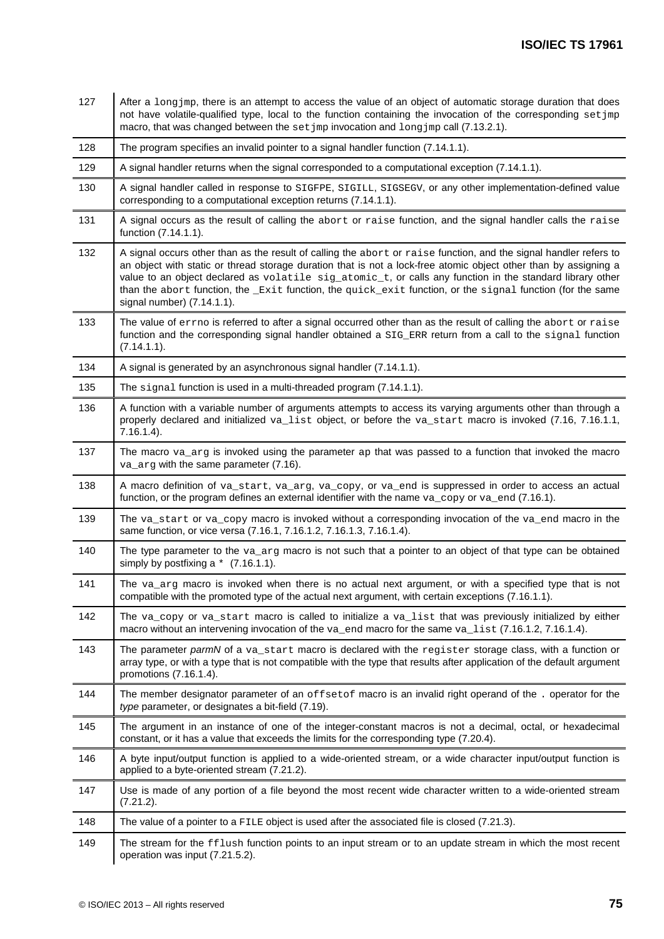| 127 | After a long jmp, there is an attempt to access the value of an object of automatic storage duration that does<br>not have volatile-qualified type, local to the function containing the invocation of the corresponding set jmp<br>macro, that was changed between the set jmp invocation and long jmp call (7.13.2.1).                                                                                                                                                                       |  |  |
|-----|------------------------------------------------------------------------------------------------------------------------------------------------------------------------------------------------------------------------------------------------------------------------------------------------------------------------------------------------------------------------------------------------------------------------------------------------------------------------------------------------|--|--|
| 128 | The program specifies an invalid pointer to a signal handler function (7.14.1.1).                                                                                                                                                                                                                                                                                                                                                                                                              |  |  |
| 129 | A signal handler returns when the signal corresponded to a computational exception (7.14.1.1).                                                                                                                                                                                                                                                                                                                                                                                                 |  |  |
| 130 | A signal handler called in response to SIGFPE, SIGILL, SIGSEGV, or any other implementation-defined value<br>corresponding to a computational exception returns (7.14.1.1).                                                                                                                                                                                                                                                                                                                    |  |  |
| 131 | A signal occurs as the result of calling the abort or raise function, and the signal handler calls the raise<br>function (7.14.1.1).                                                                                                                                                                                                                                                                                                                                                           |  |  |
| 132 | A signal occurs other than as the result of calling the abort or raise function, and the signal handler refers to<br>an object with static or thread storage duration that is not a lock-free atomic object other than by assigning a<br>value to an object declared as volatile sig_atomic_t, or calls any function in the standard library other<br>than the abort function, the _Exit function, the quick_exit function, or the signal function (for the same<br>signal number) (7.14.1.1). |  |  |
| 133 | The value of errno is referred to after a signal occurred other than as the result of calling the abort or raise<br>function and the corresponding signal handler obtained a SIG_ERR return from a call to the signal function<br>(7.14.1.1).                                                                                                                                                                                                                                                  |  |  |
| 134 | A signal is generated by an asynchronous signal handler (7.14.1.1).                                                                                                                                                                                                                                                                                                                                                                                                                            |  |  |
| 135 | The signal function is used in a multi-threaded program (7.14.1.1).                                                                                                                                                                                                                                                                                                                                                                                                                            |  |  |
| 136 | A function with a variable number of arguments attempts to access its varying arguments other than through a<br>properly declared and initialized va_list object, or before the va_start macro is invoked (7.16, 7.16.1.1,<br>$7.16.1.4$ ).                                                                                                                                                                                                                                                    |  |  |
| 137 | The macro va_arg is invoked using the parameter ap that was passed to a function that invoked the macro<br>va_arg with the same parameter (7.16).                                                                                                                                                                                                                                                                                                                                              |  |  |
| 138 | A macro definition of va_start, va_arg, va_copy, or va_end is suppressed in order to access an actual<br>function, or the program defines an external identifier with the name $va\_copy$ or $va\_end$ (7.16.1).                                                                                                                                                                                                                                                                               |  |  |
| 139 | The va_start or va_copy macro is invoked without a corresponding invocation of the va_end macro in the<br>same function, or vice versa (7.16.1, 7.16.1.2, 7.16.1.3, 7.16.1.4).                                                                                                                                                                                                                                                                                                                 |  |  |
| 140 | The type parameter to the $va_{\text{avg}}$ macro is not such that a pointer to an object of that type can be obtained<br>simply by postfixing a $*$ (7.16.1.1).                                                                                                                                                                                                                                                                                                                               |  |  |
| 141 | The va_arg macro is invoked when there is no actual next argument, or with a specified type that is not<br>compatible with the promoted type of the actual next argument, with certain exceptions (7.16.1.1).                                                                                                                                                                                                                                                                                  |  |  |
| 142 | The va_copy or va_start macro is called to initialize a va_list that was previously initialized by either<br>macro without an intervening invocation of the va_end macro for the same va_list (7.16.1.2, 7.16.1.4).                                                                                                                                                                                                                                                                            |  |  |
| 143 | The parameter parmN of a va_start macro is declared with the register storage class, with a function or<br>array type, or with a type that is not compatible with the type that results after application of the default argument<br>promotions (7.16.1.4).                                                                                                                                                                                                                                    |  |  |
| 144 | The member designator parameter of an offsetof macro is an invalid right operand of the. operator for the<br>type parameter, or designates a bit-field (7.19).                                                                                                                                                                                                                                                                                                                                 |  |  |
| 145 | The argument in an instance of one of the integer-constant macros is not a decimal, octal, or hexadecimal<br>constant, or it has a value that exceeds the limits for the corresponding type (7.20.4).                                                                                                                                                                                                                                                                                          |  |  |
| 146 | A byte input/output function is applied to a wide-oriented stream, or a wide character input/output function is<br>applied to a byte-oriented stream (7.21.2).                                                                                                                                                                                                                                                                                                                                 |  |  |
| 147 | Use is made of any portion of a file beyond the most recent wide character written to a wide-oriented stream<br>$(7.21.2)$ .                                                                                                                                                                                                                                                                                                                                                                   |  |  |
| 148 | The value of a pointer to a FILE object is used after the associated file is closed (7.21.3).                                                                                                                                                                                                                                                                                                                                                                                                  |  |  |
| 149 | The stream for the <i>fflush</i> function points to an input stream or to an update stream in which the most recent<br>operation was input (7.21.5.2).                                                                                                                                                                                                                                                                                                                                         |  |  |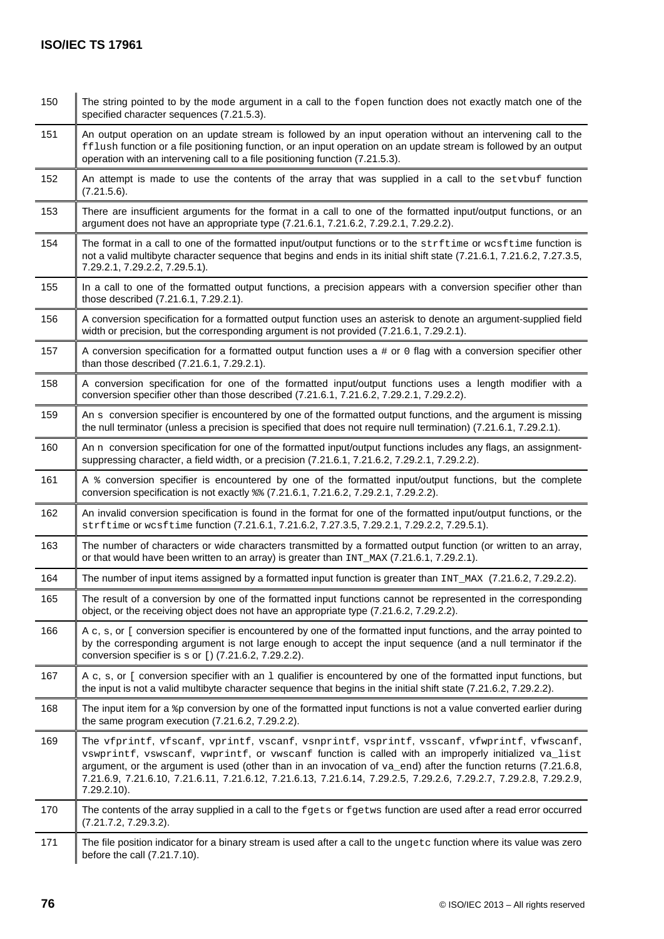| 150 | The string pointed to by the mode argument in a call to the fopen function does not exactly match one of the<br>specified character sequences (7.21.5.3).                                                                                                                                                                                                                                                                                                    |
|-----|--------------------------------------------------------------------------------------------------------------------------------------------------------------------------------------------------------------------------------------------------------------------------------------------------------------------------------------------------------------------------------------------------------------------------------------------------------------|
| 151 | An output operation on an update stream is followed by an input operation without an intervening call to the<br>fflush function or a file positioning function, or an input operation on an update stream is followed by an output<br>operation with an intervening call to a file positioning function (7.21.5.3).                                                                                                                                          |
| 152 | An attempt is made to use the contents of the array that was supplied in a call to the setvbuf function<br>(7.21.5.6).                                                                                                                                                                                                                                                                                                                                       |
| 153 | There are insufficient arguments for the format in a call to one of the formatted input/output functions, or an<br>argument does not have an appropriate type (7.21.6.1, 7.21.6.2, 7.29.2.1, 7.29.2.2).                                                                                                                                                                                                                                                      |
| 154 | The format in a call to one of the formatted input/output functions or to the strftime or wesftime function is<br>not a valid multibyte character sequence that begins and ends in its initial shift state (7.21.6.1, 7.21.6.2, 7.27.3.5,<br>7.29.2.1, 7.29.2.2, 7.29.5.1).                                                                                                                                                                                  |
| 155 | In a call to one of the formatted output functions, a precision appears with a conversion specifier other than<br>those described (7.21.6.1, 7.29.2.1).                                                                                                                                                                                                                                                                                                      |
| 156 | A conversion specification for a formatted output function uses an asterisk to denote an argument-supplied field<br>width or precision, but the corresponding argument is not provided (7.21.6.1, 7.29.2.1).                                                                                                                                                                                                                                                 |
| 157 | A conversion specification for a formatted output function uses a # or 0 flag with a conversion specifier other<br>than those described (7.21.6.1, 7.29.2.1).                                                                                                                                                                                                                                                                                                |
| 158 | A conversion specification for one of the formatted input/output functions uses a length modifier with a<br>conversion specifier other than those described (7.21.6.1, 7.21.6.2, 7.29.2.1, 7.29.2.2).                                                                                                                                                                                                                                                        |
| 159 | An s conversion specifier is encountered by one of the formatted output functions, and the argument is missing<br>the null terminator (unless a precision is specified that does not require null termination) (7.21.6.1, 7.29.2.1).                                                                                                                                                                                                                         |
| 160 | An n conversion specification for one of the formatted input/output functions includes any flags, an assignment-<br>suppressing character, a field width, or a precision (7.21.6.1, 7.21.6.2, 7.29.2.1, 7.29.2.2).                                                                                                                                                                                                                                           |
| 161 | A % conversion specifier is encountered by one of the formatted input/output functions, but the complete<br>conversion specification is not exactly $\frac{1}{6}$ (7.21.6.1, 7.21.6.2, 7.29.2.1, 7.29.2.2).                                                                                                                                                                                                                                                  |
| 162 | An invalid conversion specification is found in the format for one of the formatted input/output functions, or the<br>strftime or wcsftime function (7.21.6.1, 7.21.6.2, 7.27.3.5, 7.29.2.1, 7.29.2.2, 7.29.5.1).                                                                                                                                                                                                                                            |
| 163 | The number of characters or wide characters transmitted by a formatted output function (or written to an array,<br>or that would have been written to an array) is greater than INT_MAX (7.21.6.1, 7.29.2.1).                                                                                                                                                                                                                                                |
| 164 | The number of input items assigned by a formatted input function is greater than INT_MAX (7.21.6.2, 7.29.2.2).                                                                                                                                                                                                                                                                                                                                               |
| 165 | The result of a conversion by one of the formatted input functions cannot be represented in the corresponding<br>object, or the receiving object does not have an appropriate type (7.21.6.2, 7.29.2.2).                                                                                                                                                                                                                                                     |
| 166 | A c, s, or [ conversion specifier is encountered by one of the formatted input functions, and the array pointed to<br>by the corresponding argument is not large enough to accept the input sequence (and a null terminator if the<br>conversion specifier is s or [) (7.21.6.2, 7.29.2.2).                                                                                                                                                                  |
| 167 | A c, s, or [ conversion specifier with an $1$ qualifier is encountered by one of the formatted input functions, but<br>the input is not a valid multibyte character sequence that begins in the initial shift state (7.21.6.2, 7.29.2.2).                                                                                                                                                                                                                    |
| 168 | The input item for a $*_p$ conversion by one of the formatted input functions is not a value converted earlier during<br>the same program execution $(7.21.6.2, 7.29.2.2)$ .                                                                                                                                                                                                                                                                                 |
| 169 | The vfprintf, vfscanf, vprintf, vscanf, vsnprintf, vsprintf, vsscanf, vfwprintf, vfwscanf,<br>vswprintf, vswscanf, vwprintf, or vwscanf function is called with an improperly initialized va_list<br>argument, or the argument is used (other than in an invocation of va_end) after the function returns (7.21.6.8,<br>7.21.6.9, 7.21.6.10, 7.21.6.11, 7.21.6.12, 7.21.6.13, 7.21.6.14, 7.29.2.5, 7.29.2.6, 7.29.2.7, 7.29.2.8, 7.29.2.9,<br>$7.29.2.10$ ). |
| 170 | The contents of the array supplied in a call to the fgets or fgetws function are used after a read error occurred<br>(7.21.7.2, 7.29.3.2).                                                                                                                                                                                                                                                                                                                   |
| 171 | The file position indicator for a binary stream is used after a call to the ungetc function where its value was zero<br>before the call (7.21.7.10).                                                                                                                                                                                                                                                                                                         |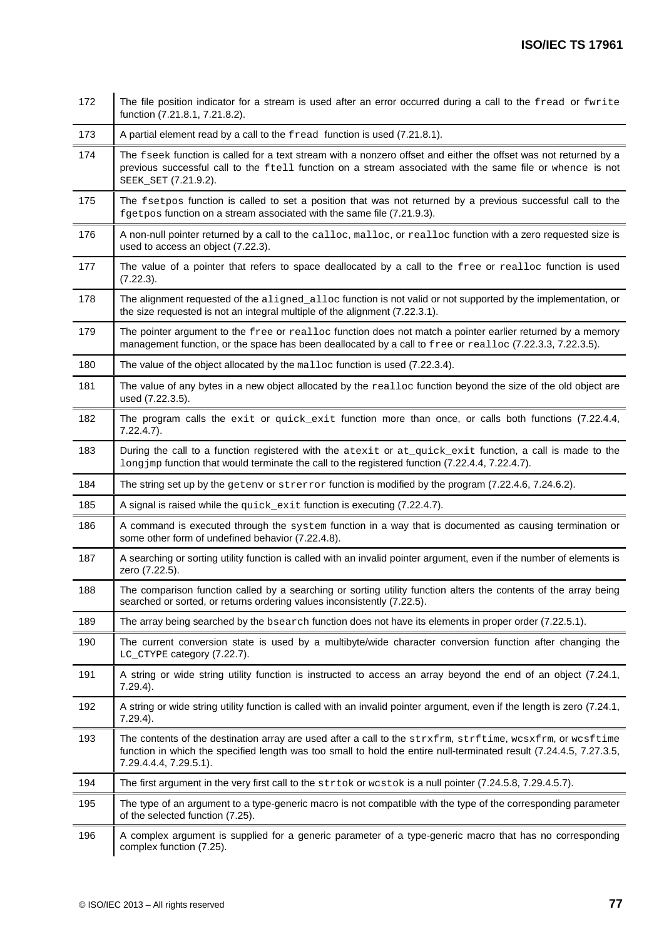| 172 | The file position indicator for a stream is used after an error occurred during a call to the fread or fwrite<br>function (7.21.8.1, 7.21.8.2).                                                                                                             |  |  |
|-----|-------------------------------------------------------------------------------------------------------------------------------------------------------------------------------------------------------------------------------------------------------------|--|--|
| 173 | A partial element read by a call to the fread function is used (7.21.8.1).                                                                                                                                                                                  |  |  |
| 174 | The fseek function is called for a text stream with a nonzero offset and either the offset was not returned by a<br>previous successful call to the ftell function on a stream associated with the same file or whence is not<br>SEEK_SET (7.21.9.2).       |  |  |
| 175 | The fsetpos function is called to set a position that was not returned by a previous successful call to the<br>fgetpos function on a stream associated with the same file (7.21.9.3).                                                                       |  |  |
| 176 | A non-null pointer returned by a call to the calloc, malloc, or realloc function with a zero requested size is<br>used to access an object (7.22.3).                                                                                                        |  |  |
| 177 | The value of a pointer that refers to space deallocated by a call to the free or realloc function is used<br>(7.22.3).                                                                                                                                      |  |  |
| 178 | The alignment requested of the aligned_alloc function is not valid or not supported by the implementation, or<br>the size requested is not an integral multiple of the alignment (7.22.3.1).                                                                |  |  |
| 179 | The pointer argument to the free or realloc function does not match a pointer earlier returned by a memory<br>management function, or the space has been deallocated by a call to free or realloc (7.22.3.3, 7.22.3.5).                                     |  |  |
| 180 | The value of the object allocated by the malloc function is used (7.22.3.4).                                                                                                                                                                                |  |  |
| 181 | The value of any bytes in a new object allocated by the realloc function beyond the size of the old object are<br>used (7.22.3.5).                                                                                                                          |  |  |
| 182 | The program calls the exit or quick_exit function more than once, or calls both functions (7.22.4.4,<br>$7.22.4.7$ ).                                                                                                                                       |  |  |
| 183 | During the call to a function registered with the atexit or at_quick_exit function, a call is made to the<br>long jmp function that would terminate the call to the registered function (7.22.4.4, 7.22.4.7).                                               |  |  |
| 184 | The string set up by the getenv or strerror function is modified by the program (7.22.4.6, 7.24.6.2).                                                                                                                                                       |  |  |
| 185 | A signal is raised while the quick_exit function is executing (7.22.4.7).                                                                                                                                                                                   |  |  |
|     |                                                                                                                                                                                                                                                             |  |  |
| 186 | A command is executed through the system function in a way that is documented as causing termination or<br>some other form of undefined behavior (7.22.4.8).                                                                                                |  |  |
| 187 | A searching or sorting utility function is called with an invalid pointer argument, even if the number of elements is<br>zero (7.22.5).                                                                                                                     |  |  |
| 188 | The comparison function called by a searching or sorting utility function alters the contents of the array being<br>searched or sorted, or returns ordering values inconsistently (7.22.5).                                                                 |  |  |
| 189 | The array being searched by the bsearch function does not have its elements in proper order (7.22.5.1).                                                                                                                                                     |  |  |
| 190 | The current conversion state is used by a multibyte/wide character conversion function after changing the<br>LC_CTYPE category (7.22.7).                                                                                                                    |  |  |
| 191 | A string or wide string utility function is instructed to access an array beyond the end of an object (7.24.1,<br>$7.29.4$ ).                                                                                                                               |  |  |
| 192 | A string or wide string utility function is called with an invalid pointer argument, even if the length is zero (7.24.1,<br>$7.29.4$ ).                                                                                                                     |  |  |
| 193 | The contents of the destination array are used after a call to the strxfrm, strftime, wcsxfrm, or wcsftime<br>function in which the specified length was too small to hold the entire null-terminated result (7.24.4.5, 7.27.3.5,<br>7.29.4.4.4, 7.29.5.1). |  |  |
| 194 | The first argument in the very first call to the strtok or westok is a null pointer (7.24.5.8, 7.29.4.5.7).                                                                                                                                                 |  |  |
| 195 | The type of an argument to a type-generic macro is not compatible with the type of the corresponding parameter<br>of the selected function (7.25).                                                                                                          |  |  |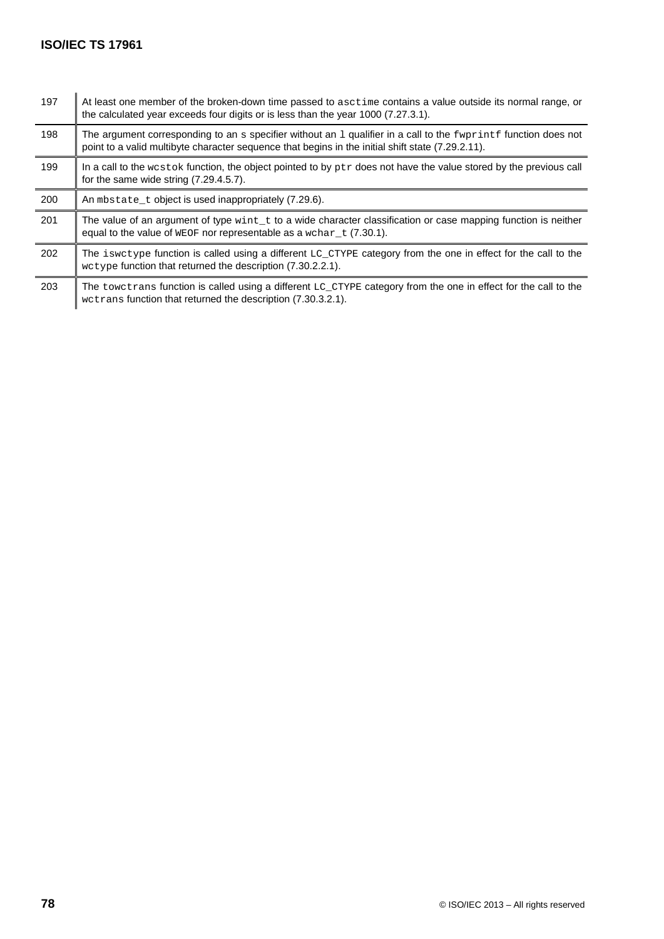| 197 | At least one member of the broken-down time passed to asctime contains a value outside its normal range, or<br>the calculated year exceeds four digits or is less than the year 1000 (7.27.3.1).                     |  |
|-----|----------------------------------------------------------------------------------------------------------------------------------------------------------------------------------------------------------------------|--|
| 198 | The argument corresponding to an s specifier without an 1 qualifier in a call to the fwprintf function does not<br>point to a valid multibyte character sequence that begins in the initial shift state (7.29.2.11). |  |
| 199 | In a call to the westok function, the object pointed to by $ptr$ does not have the value stored by the previous call<br>for the same wide string $(7.29.4.5.7)$ .                                                    |  |
| 200 | An mbstate_t object is used inappropriately (7.29.6).                                                                                                                                                                |  |
| 201 | The value of an argument of type $\text{wint}_t$ to a wide character classification or case mapping function is neither<br>equal to the value of $WECF$ nor representable as a $WCLF$ (7.30.1).                      |  |
| 202 | The iswetype function is called using a different LC_CTYPE category from the one in effect for the call to the<br>wetype function that returned the description (7.30.2.2.1).                                        |  |
| 203 | The towetrans function is called using a different LC_CTYPE category from the one in effect for the call to the<br>wetrans function that returned the description (7.30.3.2.1).                                      |  |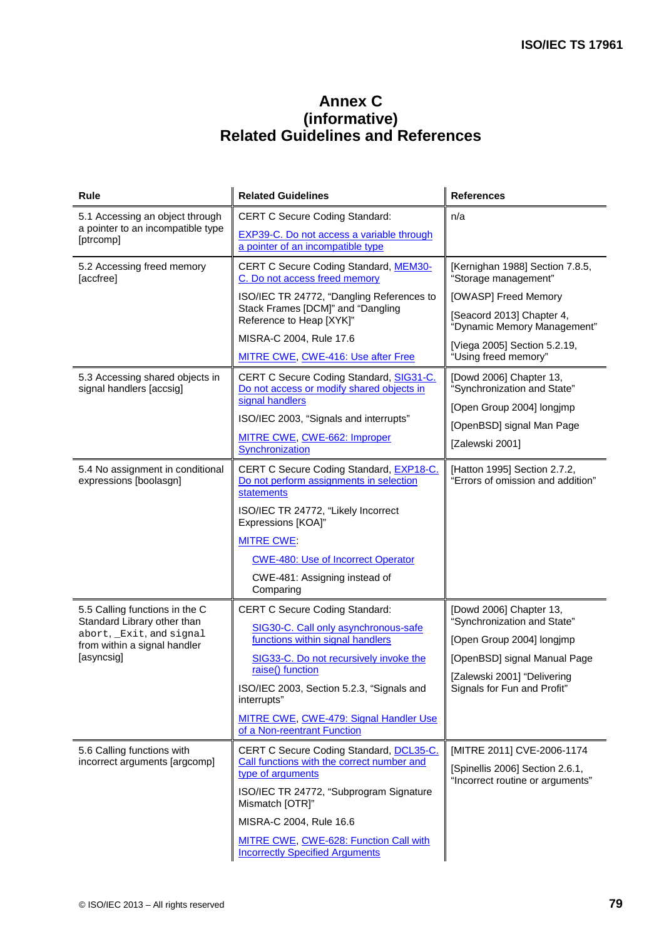## **Annex C (informative) Related Guidelines and References**

| Rule                                                          | <b>Related Guidelines</b>                                                                        | <b>References</b>                                                   |
|---------------------------------------------------------------|--------------------------------------------------------------------------------------------------|---------------------------------------------------------------------|
| 5.1 Accessing an object through                               | <b>CERT C Secure Coding Standard:</b>                                                            | n/a                                                                 |
| a pointer to an incompatible type<br>[ptrcomp]                | EXP39-C. Do not access a variable through<br>a pointer of an incompatible type                   |                                                                     |
| 5.2 Accessing freed memory<br>[accfree]                       | <b>CERT C Secure Coding Standard, MEM30-</b><br>C. Do not access freed memory                    | [Kernighan 1988] Section 7.8.5,<br>"Storage management"             |
|                                                               | ISO/IEC TR 24772, "Dangling References to                                                        | [OWASP] Freed Memory                                                |
|                                                               | Stack Frames [DCM]" and "Dangling<br>Reference to Heap [XYK]"                                    | [Seacord 2013] Chapter 4,<br>"Dynamic Memory Management"            |
|                                                               | MISRA-C 2004, Rule 17.6                                                                          | [Viega 2005] Section 5.2.19,                                        |
|                                                               | MITRE CWE, CWE-416: Use after Free                                                               | "Using freed memory"                                                |
| 5.3 Accessing shared objects in<br>signal handlers [accsig]   | CERT C Secure Coding Standard, SIG31-C.<br>Do not access or modify shared objects in             | [Dowd 2006] Chapter 13,<br>"Synchronization and State"              |
|                                                               | signal handlers                                                                                  | [Open Group 2004] longimp                                           |
|                                                               | ISO/IEC 2003, "Signals and interrupts"                                                           | [OpenBSD] signal Man Page                                           |
|                                                               | MITRE CWE, CWE-662: Improper<br>Synchronization                                                  | [Zalewski 2001]                                                     |
| 5.4 No assignment in conditional<br>expressions [boolasgn]    | CERT C Secure Coding Standard, EXP18-C.<br>Do not perform assignments in selection<br>statements | [Hatton 1995] Section 2.7.2,<br>"Errors of omission and addition"   |
|                                                               | ISO/IEC TR 24772, "Likely Incorrect<br>Expressions [KOA]"                                        |                                                                     |
|                                                               | <b>MITRE CWE</b>                                                                                 |                                                                     |
|                                                               | <b>CWE-480: Use of Incorrect Operator</b>                                                        |                                                                     |
|                                                               | CWE-481: Assigning instead of<br>Comparing                                                       |                                                                     |
| 5.5 Calling functions in the C<br>Standard Library other than | <b>CERT C Secure Coding Standard:</b>                                                            | [Dowd 2006] Chapter 13,<br>"Synchronization and State"              |
| abort, _Exit, and signal<br>from within a signal handler      | SIG30-C. Call only asynchronous-safe<br>functions within signal handlers                         | [Open Group 2004] longjmp                                           |
| [asyncsig]                                                    | SIG33-C. Do not recursively invoke the                                                           | [OpenBSD] signal Manual Page                                        |
|                                                               | raise() function                                                                                 | [Zalewski 2001] "Delivering                                         |
|                                                               | ISO/IEC 2003, Section 5.2.3, "Signals and<br>interrupts"                                         | Signals for Fun and Profit"                                         |
|                                                               | MITRE CWE, CWE-479: Signal Handler Use<br>of a Non-reentrant Function                            |                                                                     |
| 5.6 Calling functions with                                    | CERT C Secure Coding Standard, DCL35-C.                                                          | [MITRE 2011] CVE-2006-1174                                          |
| incorrect arguments [argcomp]                                 | Call functions with the correct number and<br>type of arguments                                  | [Spinellis 2006] Section 2.6.1,<br>"Incorrect routine or arguments" |
|                                                               | ISO/IEC TR 24772, "Subprogram Signature<br>Mismatch [OTR]"                                       |                                                                     |
|                                                               | MISRA-C 2004, Rule 16.6                                                                          |                                                                     |
|                                                               | MITRE CWE, CWE-628: Function Call with<br><b>Incorrectly Specified Arguments</b>                 |                                                                     |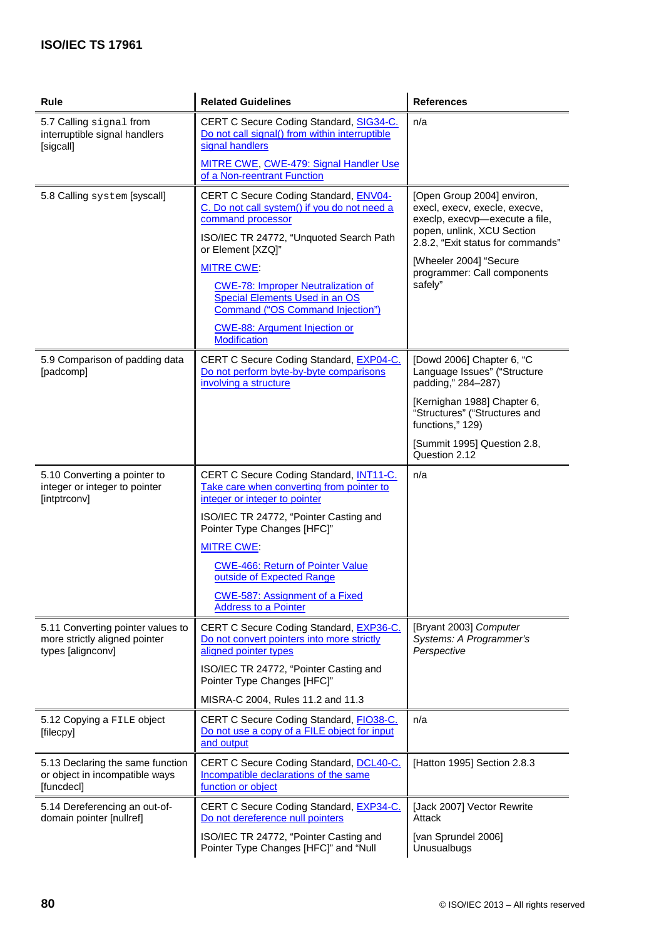| Rule                                                                                    | <b>Related Guidelines</b>                                                                                                                                      | <b>References</b>                                                                                                                                                |
|-----------------------------------------------------------------------------------------|----------------------------------------------------------------------------------------------------------------------------------------------------------------|------------------------------------------------------------------------------------------------------------------------------------------------------------------|
| 5.7 Calling signal from<br>interruptible signal handlers<br>[sigcall]                   | CERT C Secure Coding Standard, SIG34-C.<br>Do not call signal() from within interruptible<br>signal handlers                                                   | n/a                                                                                                                                                              |
|                                                                                         | MITRE CWE, CWE-479: Signal Handler Use<br>of a Non-reentrant Function                                                                                          |                                                                                                                                                                  |
| 5.8 Calling system [syscall]                                                            | CERT C Secure Coding Standard, ENV04-<br>C. Do not call system() if you do not need a<br>command processor<br>ISO/IEC TR 24772, "Unquoted Search Path          | [Open Group 2004] environ,<br>execl, execv, execle, execve,<br>execlp, execvp-execute a file,<br>popen, unlink, XCU Section<br>2.8.2, "Exit status for commands" |
|                                                                                         | or Element [XZQ]"<br><b>MITRE CWE:</b>                                                                                                                         | [Wheeler 2004] "Secure                                                                                                                                           |
|                                                                                         | <b>CWE-78: Improper Neutralization of</b><br><b>Special Elements Used in an OS</b><br>Command ("OS Command Injection")<br><b>CWE-88: Argument Injection or</b> | programmer: Call components<br>safely"                                                                                                                           |
|                                                                                         | <b>Modification</b>                                                                                                                                            |                                                                                                                                                                  |
| 5.9 Comparison of padding data<br>[padcomp]                                             | CERT C Secure Coding Standard, EXP04-C.<br>Do not perform byte-by-byte comparisons<br>involving a structure                                                    | [Dowd 2006] Chapter 6, "C<br>Language Issues" ("Structure<br>padding," 284-287)                                                                                  |
|                                                                                         |                                                                                                                                                                | [Kernighan 1988] Chapter 6,<br>"Structures" ("Structures and<br>functions," 129)                                                                                 |
|                                                                                         |                                                                                                                                                                | [Summit 1995] Question 2.8,<br>Question 2.12                                                                                                                     |
| 5.10 Converting a pointer to<br>integer or integer to pointer<br>[intptrconv]           | CERT C Secure Coding Standard, INT11-C.<br>Take care when converting from pointer to<br>integer or integer to pointer                                          | n/a                                                                                                                                                              |
|                                                                                         | ISO/IEC TR 24772, "Pointer Casting and<br>Pointer Type Changes [HFC]"                                                                                          |                                                                                                                                                                  |
|                                                                                         | <b>MITRE CWE:</b>                                                                                                                                              |                                                                                                                                                                  |
|                                                                                         | <b>CWE-466: Return of Pointer Value</b><br>outside of Expected Range                                                                                           |                                                                                                                                                                  |
|                                                                                         | <b>CWE-587: Assignment of a Fixed</b><br><b>Address to a Pointer</b>                                                                                           |                                                                                                                                                                  |
| 5.11 Converting pointer values to<br>more strictly aligned pointer<br>types [alignconv] | CERT C Secure Coding Standard, EXP36-C.<br>Do not convert pointers into more strictly<br>aligned pointer types                                                 | [Bryant 2003] Computer<br>Systems: A Programmer's<br>Perspective                                                                                                 |
|                                                                                         | ISO/IEC TR 24772, "Pointer Casting and<br>Pointer Type Changes [HFC]"                                                                                          |                                                                                                                                                                  |
|                                                                                         | MISRA-C 2004, Rules 11.2 and 11.3                                                                                                                              |                                                                                                                                                                  |
| 5.12 Copying a FILE object<br>[filecpy]                                                 | CERT C Secure Coding Standard, FIO38-C.<br>Do not use a copy of a FILE object for input<br>and output                                                          | n/a                                                                                                                                                              |
| 5.13 Declaring the same function<br>or object in incompatible ways<br>[funcdecl]        | CERT C Secure Coding Standard, DCL40-C.<br>Incompatible declarations of the same<br>function or object                                                         | [Hatton 1995] Section 2.8.3                                                                                                                                      |
| 5.14 Dereferencing an out-of-<br>domain pointer [nullref]                               | CERT C Secure Coding Standard, EXP34-C.<br>Do not dereference null pointers                                                                                    | [Jack 2007] Vector Rewrite<br>Attack                                                                                                                             |
|                                                                                         | ISO/IEC TR 24772, "Pointer Casting and<br>Pointer Type Changes [HFC]" and "Null                                                                                | [van Sprundel 2006]<br>Unusualbugs                                                                                                                               |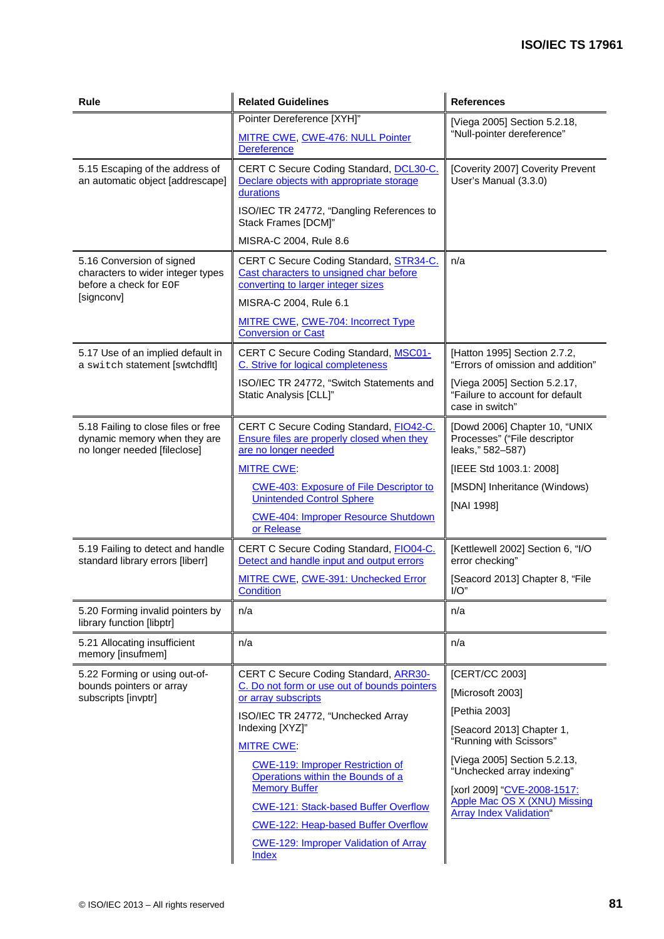| Rule                                                                                                | <b>Related Guidelines</b>                                                                                                | <b>References</b>                                                                  |  |
|-----------------------------------------------------------------------------------------------------|--------------------------------------------------------------------------------------------------------------------------|------------------------------------------------------------------------------------|--|
|                                                                                                     | Pointer Dereference [XYH]"                                                                                               | [Viega 2005] Section 5.2.18,                                                       |  |
|                                                                                                     | MITRE CWE, CWE-476: NULL Pointer<br><b>Dereference</b>                                                                   | "Null-pointer dereference"                                                         |  |
| 5.15 Escaping of the address of<br>an automatic object [addrescape]                                 | CERT C Secure Coding Standard, DCL30-C.<br>Declare objects with appropriate storage<br>durations                         | [Coverity 2007] Coverity Prevent<br>User's Manual (3.3.0)                          |  |
|                                                                                                     | ISO/IEC TR 24772, "Dangling References to<br>Stack Frames [DCM]"                                                         |                                                                                    |  |
|                                                                                                     | MISRA-C 2004, Rule 8.6                                                                                                   |                                                                                    |  |
| 5.16 Conversion of signed<br>characters to wider integer types<br>before a check for EOF            | CERT C Secure Coding Standard, STR34-C.<br>Cast characters to unsigned char before<br>converting to larger integer sizes | n/a                                                                                |  |
| [signconv]                                                                                          | MISRA-C 2004, Rule 6.1                                                                                                   |                                                                                    |  |
|                                                                                                     | MITRE CWE, CWE-704: Incorrect Type<br><b>Conversion or Cast</b>                                                          |                                                                                    |  |
| 5.17 Use of an implied default in<br>a switch statement [swtchdflt]                                 | CERT C Secure Coding Standard, MSC01-<br>C. Strive for logical completeness                                              | [Hatton 1995] Section 2.7.2,<br>"Errors of omission and addition"                  |  |
|                                                                                                     | ISO/IEC TR 24772, "Switch Statements and<br>Static Analysis [CLL]"                                                       | [Viega 2005] Section 5.2.17,<br>"Failure to account for default<br>case in switch" |  |
| 5.18 Failing to close files or free<br>dynamic memory when they are<br>no longer needed [fileclose] | CERT C Secure Coding Standard, FIO42-C.<br>Ensure files are properly closed when they<br>are no longer needed            | [Dowd 2006] Chapter 10, "UNIX<br>Processes" ("File descriptor<br>leaks," 582-587)  |  |
|                                                                                                     | <b>MITRE CWE:</b>                                                                                                        | [IEEE Std 1003.1: 2008]                                                            |  |
|                                                                                                     | <b>CWE-403: Exposure of File Descriptor to</b><br><b>Unintended Control Sphere</b>                                       | [MSDN] Inheritance (Windows)<br>[NAI 1998]                                         |  |
|                                                                                                     | <b>CWE-404: Improper Resource Shutdown</b><br>or Release                                                                 |                                                                                    |  |
| 5.19 Failing to detect and handle<br>standard library errors [liberr]                               | CERT C Secure Coding Standard, FIO04-C.<br>Detect and handle input and output errors                                     | [Kettlewell 2002] Section 6, "I/O<br>error checking"                               |  |
|                                                                                                     | <b>MITRE CWE, CWE-391: Unchecked Error</b><br><b>Condition</b>                                                           | [Seacord 2013] Chapter 8, "File<br>I/O''                                           |  |
| 5.20 Forming invalid pointers by<br>library function [libptr]                                       | n/a                                                                                                                      | n/a                                                                                |  |
| 5.21 Allocating insufficient<br>memory [insufmem]                                                   | n/a                                                                                                                      | n/a                                                                                |  |
| 5.22 Forming or using out-of-                                                                       | <b>CERT C Secure Coding Standard, ARR30-</b>                                                                             | [CERT/CC 2003]                                                                     |  |
| bounds pointers or array<br>subscripts [invptr]                                                     | C. Do not form or use out of bounds pointers<br>or array subscripts                                                      | [Microsoft 2003]                                                                   |  |
|                                                                                                     | ISO/IEC TR 24772, "Unchecked Array                                                                                       | [Pethia 2003]                                                                      |  |
|                                                                                                     | Indexing [XYZ]"<br><b>MITRE CWE.</b>                                                                                     | [Seacord 2013] Chapter 1,<br>"Running with Scissors"                               |  |
|                                                                                                     | <b>CWE-119: Improper Restriction of</b><br>Operations within the Bounds of a                                             | [Viega 2005] Section 5.2.13,<br>"Unchecked array indexing"                         |  |
|                                                                                                     | <b>Memory Buffer</b>                                                                                                     | [xorl 2009] "CVE-2008-1517:                                                        |  |
|                                                                                                     | <b>CWE-121: Stack-based Buffer Overflow</b>                                                                              | <b>Apple Mac OS X (XNU) Missing</b><br><b>Array Index Validation</b> "             |  |
|                                                                                                     | <b>CWE-122: Heap-based Buffer Overflow</b>                                                                               |                                                                                    |  |
|                                                                                                     | <b>CWE-129: Improper Validation of Array</b><br>Index                                                                    |                                                                                    |  |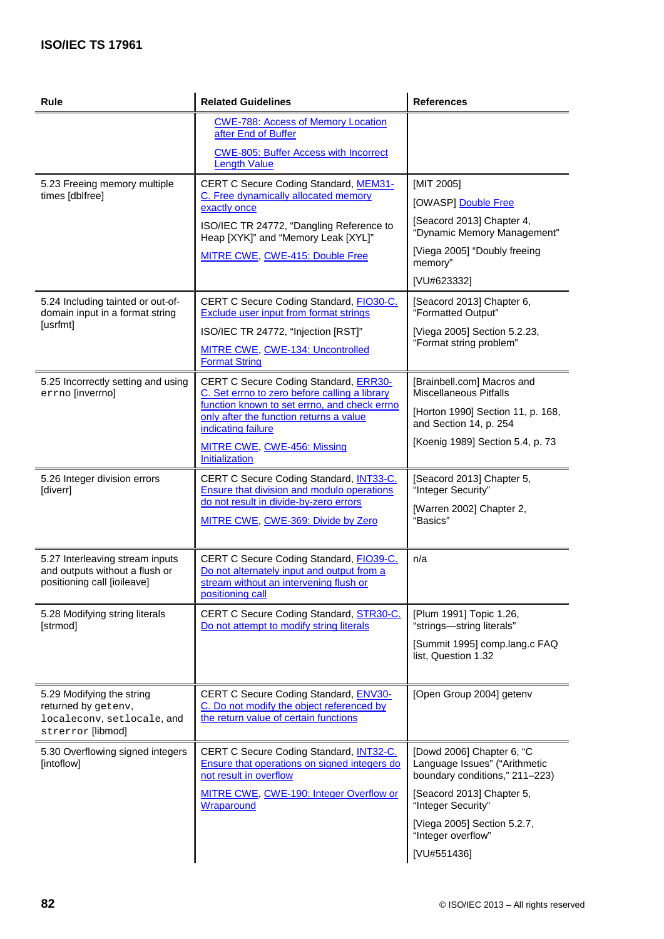| Rule                                                                                                | <b>Related Guidelines</b>                                                                                                                                                                                                                                       | <b>References</b>                                                                                                                                                                                                   |
|-----------------------------------------------------------------------------------------------------|-----------------------------------------------------------------------------------------------------------------------------------------------------------------------------------------------------------------------------------------------------------------|---------------------------------------------------------------------------------------------------------------------------------------------------------------------------------------------------------------------|
|                                                                                                     | <b>CWE-788: Access of Memory Location</b><br>after End of Buffer<br><b>CWE-805: Buffer Access with Incorrect</b><br><b>Length Value</b>                                                                                                                         |                                                                                                                                                                                                                     |
| 5.23 Freeing memory multiple<br>times [dblfree]                                                     | CERT C Secure Coding Standard, MEM31-<br>C. Free dynamically allocated memory<br>exactly once<br>ISO/IEC TR 24772, "Dangling Reference to                                                                                                                       | [MIT 2005]<br>[OWASP] Double Free<br>[Seacord 2013] Chapter 4,<br>"Dynamic Memory Management"                                                                                                                       |
|                                                                                                     | Heap [XYK]" and "Memory Leak [XYL]"<br>MITRE CWE, CWE-415: Double Free                                                                                                                                                                                          | [Viega 2005] "Doubly freeing<br>memory"<br>[VU#623332]                                                                                                                                                              |
| 5.24 Including tainted or out-of-<br>domain input in a format string<br>[usrfmt]                    | CERT C Secure Coding Standard, FIO30-C.<br>Exclude user input from format strings<br>ISO/IEC TR 24772, "Injection [RST]"<br>MITRE CWE, CWE-134: Uncontrolled<br><b>Format String</b>                                                                            | [Seacord 2013] Chapter 6,<br>"Formatted Output"<br>[Viega 2005] Section 5.2.23,<br>"Format string problem"                                                                                                          |
| 5.25 Incorrectly setting and using<br>errno [inverrno]                                              | <b>CERT C Secure Coding Standard, ERR30-</b><br>C. Set errno to zero before calling a library<br>function known to set errno, and check errno<br>only after the function returns a value<br>indicating failure<br>MITRE CWE, CWE-456: Missing<br>Initialization | [Brainbell.com] Macros and<br><b>Miscellaneous Pitfalls</b><br>[Horton 1990] Section 11, p. 168,<br>and Section 14, p. 254<br>[Koenig 1989] Section 5.4, p. 73                                                      |
| 5.26 Integer division errors<br>[diverr]                                                            | CERT C Secure Coding Standard, INT33-C.<br>Ensure that division and modulo operations<br>do not result in divide-by-zero errors<br>MITRE CWE, CWE-369: Divide by Zero                                                                                           | [Seacord 2013] Chapter 5,<br>"Integer Security"<br>[Warren 2002] Chapter 2,<br>"Basics"                                                                                                                             |
| 5.27 Interleaving stream inputs<br>and outputs without a flush or<br>positioning call [ioileave]    | CERT C Secure Coding Standard, FIO39-C.<br>Do not alternately input and output from a<br>stream without an intervening flush or<br>positioning call                                                                                                             | n/a                                                                                                                                                                                                                 |
| 5.28 Modifying string literals<br>[strmod]                                                          | CERT C Secure Coding Standard, STR30-C.<br>Do not attempt to modify string literals                                                                                                                                                                             | [Plum 1991] Topic 1.26,<br>"strings-string literals"<br>[Summit 1995] comp.lang.c FAQ<br>list, Question 1.32                                                                                                        |
| 5.29 Modifying the string<br>returned by getenv,<br>localeconv, setlocale, and<br>strerror [libmod] | CERT C Secure Coding Standard, ENV30-<br>C. Do not modify the object referenced by<br>the return value of certain functions                                                                                                                                     | [Open Group 2004] getenv                                                                                                                                                                                            |
| 5.30 Overflowing signed integers<br>[intoflow]                                                      | CERT C Secure Coding Standard, <b>INT32-C.</b><br><b>Ensure that operations on signed integers do</b><br>not result in overflow<br>MITRE CWE, CWE-190: Integer Overflow or<br>Wraparound                                                                        | [Dowd 2006] Chapter 6, "C<br>Language Issues" ("Arithmetic<br>boundary conditions," 211-223)<br>[Seacord 2013] Chapter 5,<br>"Integer Security"<br>[Viega 2005] Section 5.2.7,<br>"Integer overflow"<br>[VU#551436] |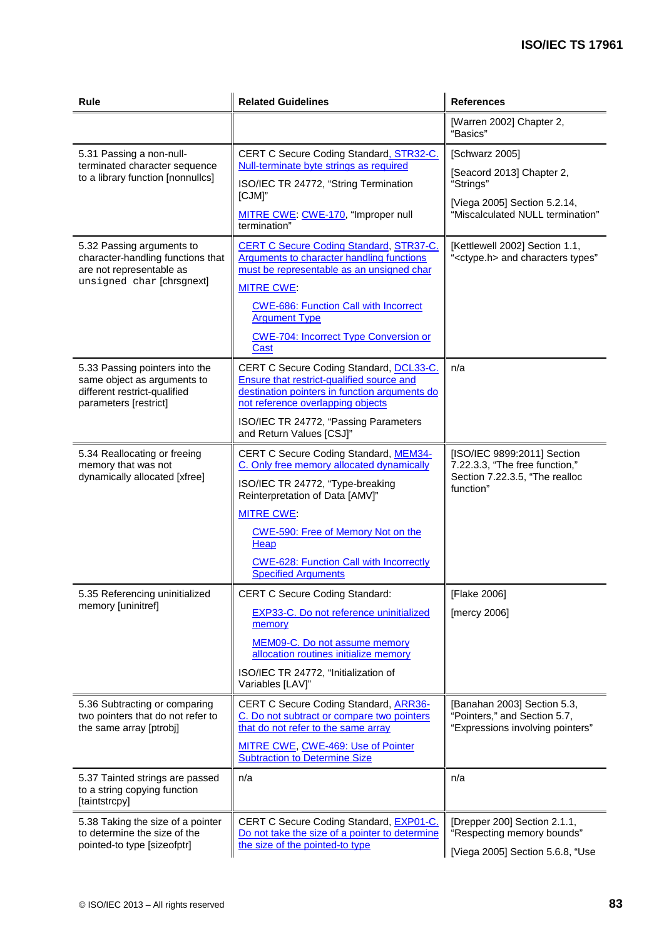| Rule                                                                                                                    | <b>Related Guidelines</b>                                                                                                                                                  | <b>References</b>                                                                                            |  |
|-------------------------------------------------------------------------------------------------------------------------|----------------------------------------------------------------------------------------------------------------------------------------------------------------------------|--------------------------------------------------------------------------------------------------------------|--|
|                                                                                                                         |                                                                                                                                                                            | [Warren 2002] Chapter 2,<br>"Basics"                                                                         |  |
| 5.31 Passing a non-null-<br>terminated character sequence<br>to a library function [nonnullcs]                          | CERT C Secure Coding Standard, STR32-C.                                                                                                                                    | [Schwarz 2005]                                                                                               |  |
|                                                                                                                         | Null-terminate byte strings as required<br>ISO/IEC TR 24772, "String Termination                                                                                           | [Seacord 2013] Chapter 2,<br>"Strings"                                                                       |  |
|                                                                                                                         | [CJM]"<br>MITRE CWE: CWE-170, "Improper null<br>termination"                                                                                                               | [Viega 2005] Section 5.2.14,<br>"Miscalculated NULL termination"                                             |  |
| 5.32 Passing arguments to<br>character-handling functions that<br>are not representable as<br>unsigned char [chrsgnext] | <b>CERT C Secure Coding Standard, STR37-C.</b><br>Arguments to character handling functions<br>must be representable as an unsigned char                                   | [Kettlewell 2002] Section 1.1,<br>" <ctype.h> and characters types"</ctype.h>                                |  |
|                                                                                                                         | <b>MITRE CWE</b>                                                                                                                                                           |                                                                                                              |  |
|                                                                                                                         | <b>CWE-686: Function Call with Incorrect</b><br><b>Argument Type</b>                                                                                                       |                                                                                                              |  |
|                                                                                                                         | <b>CWE-704: Incorrect Type Conversion or</b><br>Cast                                                                                                                       |                                                                                                              |  |
| 5.33 Passing pointers into the<br>same object as arguments to<br>different restrict-qualified<br>parameters [restrict]  | CERT C Secure Coding Standard, DCL33-C.<br>Ensure that restrict-qualified source and<br>destination pointers in function arguments do<br>not reference overlapping objects | n/a                                                                                                          |  |
|                                                                                                                         | ISO/IEC TR 24772, "Passing Parameters<br>and Return Values [CSJ]"                                                                                                          |                                                                                                              |  |
| 5.34 Reallocating or freeing<br>memory that was not<br>dynamically allocated [xfree]                                    | CERT C Secure Coding Standard, MEM34-<br>C. Only free memory allocated dynamically<br>ISO/IEC TR 24772, "Type-breaking<br>Reinterpretation of Data [AMV]"                  | [ISO/IEC 9899:2011] Section<br>7.22.3.3, "The free function,"<br>Section 7.22.3.5, "The realloc<br>function" |  |
|                                                                                                                         | <b>MITRE CWE:</b>                                                                                                                                                          |                                                                                                              |  |
|                                                                                                                         | CWE-590: Free of Memory Not on the<br>Heap                                                                                                                                 |                                                                                                              |  |
|                                                                                                                         | <b>CWE-628: Function Call with Incorrectly</b><br><b>Specified Arguments</b>                                                                                               |                                                                                                              |  |
| 5.35 Referencing uninitialized                                                                                          | <b>CERT C Secure Coding Standard:</b>                                                                                                                                      | [Flake 2006]                                                                                                 |  |
| memory [uninitref]                                                                                                      | <b>EXP33-C.</b> Do not reference uninitialized<br>memory                                                                                                                   | [mercy 2006]                                                                                                 |  |
|                                                                                                                         | MEM09-C. Do not assume memory<br>allocation routines initialize memory                                                                                                     |                                                                                                              |  |
|                                                                                                                         | ISO/IEC TR 24772, "Initialization of<br>Variables [LAV]"                                                                                                                   |                                                                                                              |  |
| 5.36 Subtracting or comparing<br>two pointers that do not refer to                                                      | CERT C Secure Coding Standard, ARR36-<br>C. Do not subtract or compare two pointers                                                                                        | [Banahan 2003] Section 5.3,<br>"Pointers," and Section 5.7,                                                  |  |
| the same array [ptrobj]                                                                                                 | that do not refer to the same array                                                                                                                                        | "Expressions involving pointers"                                                                             |  |
|                                                                                                                         | MITRE CWE, CWE-469: Use of Pointer<br><b>Subtraction to Determine Size</b>                                                                                                 |                                                                                                              |  |
| 5.37 Tainted strings are passed<br>to a string copying function<br>[taintstrcpy]                                        | n/a                                                                                                                                                                        | n/a                                                                                                          |  |
| 5.38 Taking the size of a pointer<br>to determine the size of the<br>pointed-to type [sizeofptr]                        | CERT C Secure Coding Standard, EXP01-C.<br>Do not take the size of a pointer to determine<br>the size of the pointed-to type                                               | [Drepper 200] Section 2.1.1,<br>"Respecting memory bounds"<br>[Viega 2005] Section 5.6.8, "Use               |  |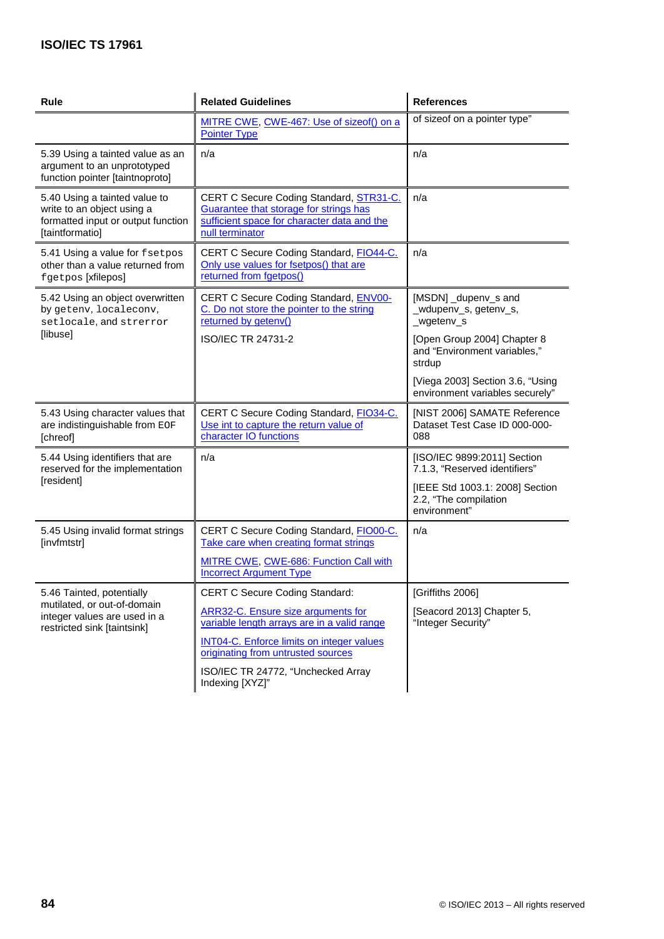| <b>Rule</b>                                                                                                          | <b>Related Guidelines</b>                                                                                                                           | <b>References</b>                                                        |  |
|----------------------------------------------------------------------------------------------------------------------|-----------------------------------------------------------------------------------------------------------------------------------------------------|--------------------------------------------------------------------------|--|
|                                                                                                                      | MITRE CWE, CWE-467: Use of sizeof() on a<br><b>Pointer Type</b>                                                                                     | of sizeof on a pointer type"                                             |  |
| 5.39 Using a tainted value as an<br>argument to an unprototyped<br>function pointer [taintnoproto]                   | n/a                                                                                                                                                 | n/a                                                                      |  |
| 5.40 Using a tainted value to<br>write to an object using a<br>formatted input or output function<br>[taintformatio] | CERT C Secure Coding Standard, STR31-C.<br>Guarantee that storage for strings has<br>sufficient space for character data and the<br>null terminator | n/a                                                                      |  |
| 5.41 Using a value for fsetpos<br>other than a value returned from<br>fgetpos [xfilepos]                             | CERT C Secure Coding Standard, FIO44-C.<br>Only use values for fsetpos() that are<br>returned from fgetpos()                                        | n/a                                                                      |  |
| 5.42 Using an object overwritten<br>by getenv, localeconv,<br>setlocale, and strerror                                | CERT C Secure Coding Standard, ENV00-<br>C. Do not store the pointer to the string<br>returned by getenv()                                          | [MSDN] _dupenv_s and<br>_wdupenv_s, getenv_s,<br>_wgetenv_s              |  |
| [libuse]                                                                                                             | ISO/IEC TR 24731-2                                                                                                                                  | [Open Group 2004] Chapter 8<br>and "Environment variables,"<br>strdup    |  |
|                                                                                                                      |                                                                                                                                                     | [Viega 2003] Section 3.6, "Using<br>environment variables securely"      |  |
| 5.43 Using character values that<br>are indistinguishable from EOF<br>[chreof]                                       | CERT C Secure Coding Standard, FIO34-C.<br>Use int to capture the return value of<br>character IO functions                                         | [NIST 2006] SAMATE Reference<br>Dataset Test Case ID 000-000-<br>088     |  |
| 5.44 Using identifiers that are<br>reserved for the implementation                                                   | n/a                                                                                                                                                 | [ISO/IEC 9899:2011] Section<br>7.1.3, "Reserved identifiers"             |  |
| [resident]                                                                                                           |                                                                                                                                                     | [IEEE Std 1003.1: 2008] Section<br>2.2, "The compilation<br>environment" |  |
| 5.45 Using invalid format strings<br>[invfmtstr]                                                                     | CERT C Secure Coding Standard, FIO00-C.<br>Take care when creating format strings                                                                   | n/a                                                                      |  |
|                                                                                                                      | MITRE CWE, CWE-686: Function Call with<br><b>Incorrect Argument Type</b>                                                                            |                                                                          |  |
| 5.46 Tainted, potentially                                                                                            | <b>CERT C Secure Coding Standard:</b>                                                                                                               | [Griffiths 2006]                                                         |  |
| mutilated, or out-of-domain<br>integer values are used in a<br>restricted sink [taintsink]                           | <b>ARR32-C.</b> Ensure size arguments for<br>variable length arrays are in a valid range                                                            | [Seacord 2013] Chapter 5,<br>"Integer Security"                          |  |
|                                                                                                                      | <b>INT04-C.</b> Enforce limits on integer values                                                                                                    |                                                                          |  |
|                                                                                                                      | originating from untrusted sources                                                                                                                  |                                                                          |  |
|                                                                                                                      | ISO/IEC TR 24772, "Unchecked Array<br>Indexing [XYZ]"                                                                                               |                                                                          |  |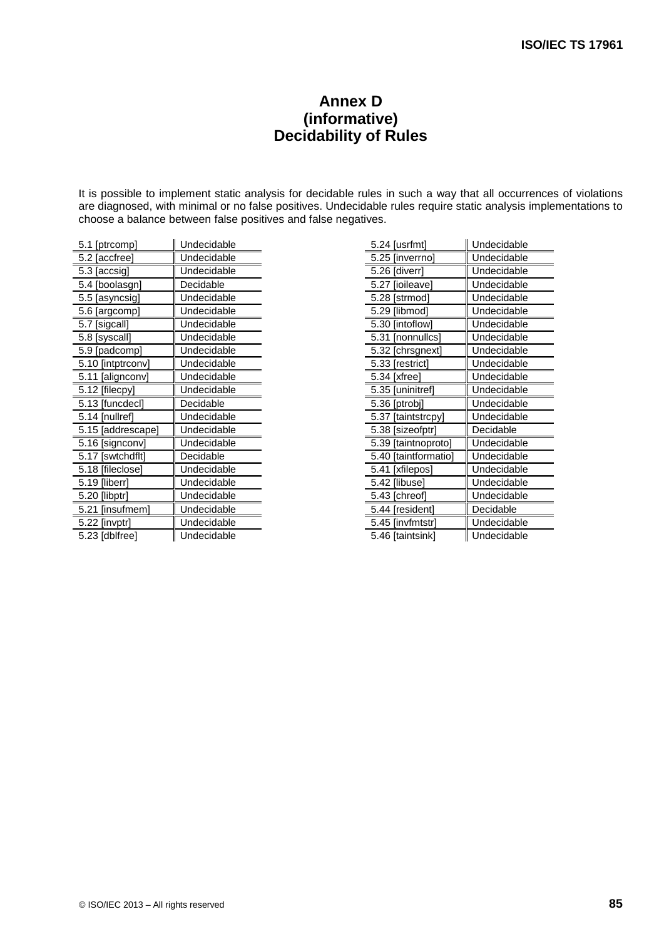# **Annex D (informative) Decidability of Rules**

It is possible to implement static analysis for decidable rules in such a way that all occurrences of violations are diagnosed, with minimal or no false positives. Undecidable rules require static analysis implementations to choose a balance between false positives and false negatives.

| 5.1 [ptrcomp]     | Undecidable |  |
|-------------------|-------------|--|
| 5.2 [accfree]     | Undecidable |  |
| 5.3 [accsig]      | Undecidable |  |
| 5.4 [boolasgn]    | Decidable   |  |
| 5.5 [asyncsig]    | Undecidable |  |
| 5.6 [argcomp]     | Undecidable |  |
| 5.7 [sigcall]     | Undecidable |  |
| 5.8 [syscall]     | Undecidable |  |
| 5.9 [padcomp]     | Undecidable |  |
| 5.10 [intptrconv] | Undecidable |  |
| 5.11 [alignconv]  | Undecidable |  |
| 5.12 [filecpy]    | Undecidable |  |
| 5.13 [funcdecl]   | Decidable   |  |
| 5.14 [nullref]    | Undecidable |  |
| 5.15 [addrescape] | Undecidable |  |
| 5.16 [signconv]   | Undecidable |  |
| 5.17 [swtchdflt]  | Decidable   |  |
| 5.18 [fileclose]  | Undecidable |  |
| 5.19 [liberr]     | Undecidable |  |
| 5.20 [libptr]     | Undecidable |  |
| 5.21 [insufmem]   | Undecidable |  |
| 5.22 [invptr]     | Undecidable |  |
| 5.23 [dblfree]    | Undecidable |  |

| 5.24 [usrfmt]         | Undecidable |
|-----------------------|-------------|
| 5.25 [inverrno]       | Undecidable |
| 5.26 [diverr]         | Undecidable |
| 5.27 [ioileave]       | Undecidable |
| 5.28 [strmod]         | Undecidable |
| 5.29 [libmod]         | Undecidable |
| 5.30 [intoflow]       | Undecidable |
| 5.31 [nonnullcs]      | Undecidable |
| 5.32 [chrsgnext]      | Undecidable |
| 5.33 [restrict]       | Undecidable |
| 5.34 [xfree]          | Undecidable |
| 5.35 [uninitref]      | Undecidable |
| 5.36 [ptrobj]         | Undecidable |
| [taintstrcpy]<br>5.37 | Undecidable |
| 5.38 [sizeofptr]      | Decidable   |
| 5.39 [taintnoproto]   | Undecidable |
| 5.40 [taintformatio]  | Undecidable |
| 5.41 [xfilepos]       | Undecidable |
| 5.42 [libuse]         | Undecidable |
| 5.43 [chreof]         | Undecidable |
| 5.44 [resident]       | Decidable   |
| 5.45 [invfmtstr]      | Undecidable |
| 5.46 [taintsink]      | Undecidable |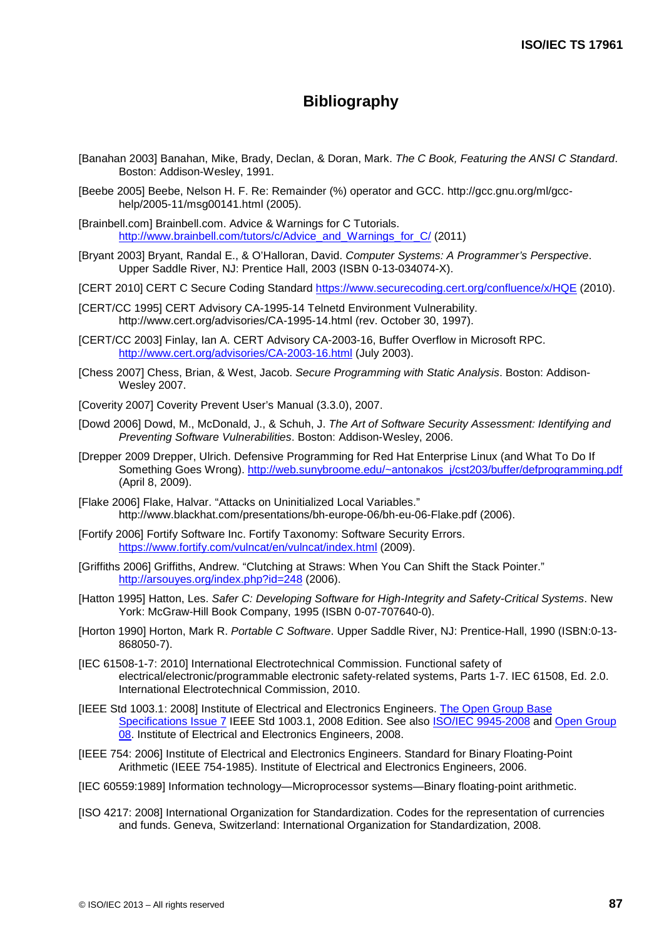# **Bibliography**

- <span id="page-95-10"></span>[Banahan 2003] Banahan, Mike, Brady, Declan, & Doran, Mark. *The C Book, Featuring the ANSI C Standard*. Boston: Addison-Wesley, 1991.
- [Beebe 2005] Beebe, Nelson H. F. Re: Remainder (%) operator and GCC. http://gcc.gnu.org/ml/gcchelp/2005-11/msg00141.html (2005).
- <span id="page-95-7"></span>[Brainbell.com] Brainbell.com. Advice & Warnings for C Tutorials. [http://www.brainbell.com/tutors/c/Advice\\_and\\_Warnings\\_for\\_C/](http://www.brainbell.com/tutors/c/Advice_and_Warnings_for_C/) (2011)
- <span id="page-95-3"></span>[Bryant 2003] Bryant, Randal E., & O'Halloran, David. *Computer Systems: A Programmer's Perspective*. Upper Saddle River, NJ: Prentice Hall, 2003 (ISBN 0-13-034074-X).
- <span id="page-95-0"></span>[CERT 2010] CERT C Secure Coding Standard<https://www.securecoding.cert.org/confluence/x/HQE> (2010).
- [CERT/CC 1995] CERT Advisory CA-1995-14 Telnetd Environment Vulnerability. http://www.cert.org/advisories/CA-1995-14.html (rev. October 30, 1997).
- <span id="page-95-6"></span>[CERT/CC 2003] Finlay, Ian A. CERT Advisory CA-2003-16, Buffer Overflow in Microsoft RPC. <http://www.cert.org/advisories/CA-2003-16.html> (July 2003).
- [Chess 2007] Chess, Brian, & West, Jacob. *Secure Programming with Static Analysis*. Boston: Addison-Wesley 2007.
- <span id="page-95-4"></span>[Coverity 2007] Coverity Prevent User's Manual (3.3.0), 2007.
- <span id="page-95-1"></span>[Dowd 2006] Dowd, M., McDonald, J., & Schuh, J. *The Art of Software Security Assessment: Identifying and Preventing Software Vulnerabilities*. Boston: Addison-Wesley, 2006.
- <span id="page-95-11"></span>[Drepper 2009 Drepper, Ulrich. Defensive Programming for Red Hat Enterprise Linux (and What To Do If Something Goes Wrong). [http://web.sunybroome.edu/~antonakos\\_j/cst203/buffer/defprogramming.pdf](http://web.sunybroome.edu/%7Eantonakos_j/cst203/buffer/defprogramming.pdf) (April 8, 2009).
- <span id="page-95-9"></span>[Flake 2006] Flake, Halvar. "Attacks on Uninitialized Local Variables." http://www.blackhat.com/presentations/bh-europe-06/bh-eu-06-Flake.pdf (2006).
- [Fortify 2006] Fortify Software Inc. Fortify Taxonomy: Software Security Errors. <https://www.fortify.com/vulncat/en/vulncat/index.html> (2009).
- <span id="page-95-12"></span>[Griffiths 2006] Griffiths, Andrew. "Clutching at Straws: When You Can Shift the Stack Pointer." <http://arsouyes.org/index.php?id=248> (2006).
- <span id="page-95-2"></span>[Hatton 1995] Hatton, Les. *Safer C: Developing Software for High-Integrity and Safety-Critical Systems*. New York: McGraw-Hill Book Company, 1995 (ISBN 0-07-707640-0).
- <span id="page-95-8"></span>[Horton 1990] Horton, Mark R. *Portable C Software*. Upper Saddle River, NJ: Prentice-Hall, 1990 (ISBN:0-13- 868050-7).
- [IEC 61508-1-7: 2010] International Electrotechnical Commission. Functional safety of electrical/electronic/programmable electronic safety-related systems, Parts 1-7. IEC 61508, Ed. 2.0. International Electrotechnical Commission, 2010.
- <span id="page-95-5"></span>[IEEE Std 1003.1: 2008] Institute of Electrical and Electronics Engineers. [The Open Group Base](http://www.opengroup.org/onlinepubs/9699919799)  [Specifications Issue 7](http://www.opengroup.org/onlinepubs/9699919799) IEEE Std 1003.1, 2008 Edition. See also ISO/IEC 9945-2008 and Open Group 08. Institute of Electrical and Electronics Engineers, 2008.
- [IEEE 754: 2006] Institute of Electrical and Electronics Engineers. Standard for Binary Floating-Point Arithmetic (IEEE 754-1985). Institute of Electrical and Electronics Engineers, 2006.
- [IEC 60559:1989] Information technology—Microprocessor systems—Binary floating-point arithmetic.
- [ISO 4217: 2008] International Organization for Standardization. Codes for the representation of currencies and funds. Geneva, Switzerland: International Organization for Standardization, 2008.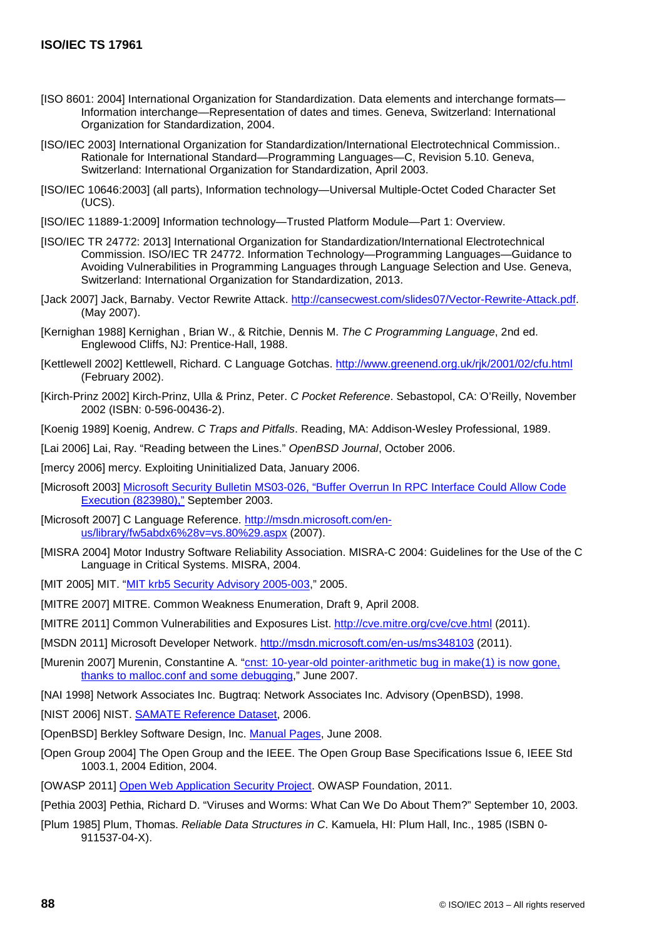- [ISO 8601: 2004] International Organization for Standardization. Data elements and interchange formats— Information interchange—Representation of dates and times. Geneva, Switzerland: International Organization for Standardization, 2004.
- <span id="page-96-3"></span>[ISO/IEC 2003] International Organization for Standardization/International Electrotechnical Commission.. Rationale for International Standard—Programming Languages—C, Revision 5.10. Geneva, Switzerland: International Organization for Standardization, April 2003.
- [ISO/IEC 10646:2003] (all parts), Information technology—Universal Multiple-Octet Coded Character Set (UCS).
- [ISO/IEC 11889-1:2009] Information technology—Trusted Platform Module—Part 1: Overview.
- <span id="page-96-0"></span>[ISO/IEC TR 24772: 2013] International Organization for Standardization/International Electrotechnical Commission. ISO/IEC TR 24772. Information Technology—Programming Languages—Guidance to Avoiding Vulnerabilities in Programming Languages through Language Selection and Use. Geneva, Switzerland: International Organization for Standardization, 2013.
- <span id="page-96-7"></span>[Jack 2007] Jack, Barnaby. Vector Rewrite Attack. [http://cansecwest.com/slides07/Vector-Rewrite-Attack.pdf.](http://cansecwest.com/slides07/Vector-Rewrite-Attack.pdf) (May 2007).
- <span id="page-96-1"></span>[Kernighan 1988] Kernighan , Brian W., & Ritchie, Dennis M. *The C Programming Language*, 2nd ed. Englewood Cliffs, NJ: Prentice-Hall, 1988.
- <span id="page-96-10"></span>[Kettlewell 2002] Kettlewell, Richard. C Language Gotchas.<http://www.greenend.org.uk/rjk/2001/02/cfu.html> (February 2002).
- [Kirch-Prinz 2002] Kirch-Prinz, Ulla & Prinz, Peter. *C Pocket Reference*. Sebastopol, CA: O'Reilly, November 2002 (ISBN: 0-596-00436-2).
- <span id="page-96-14"></span>[Koenig 1989] Koenig, Andrew. *C Traps and Pitfalls*. Reading, MA: Addison-Wesley Professional, 1989.
- [Lai 2006] Lai, Ray. "Reading between the Lines." *OpenBSD Journal*, October 2006.
- <span id="page-96-15"></span>[mercy 2006] mercy. Exploiting Uninitialized Data, January 2006.
- <span id="page-96-11"></span>[Microsoft 2003] [Microsoft Security Bulletin MS03-026, "Buffer Overrun In RPC Interface Could Allow Code](http://technet.microsoft.com/en-us/security/bulletin/ms03-026)  [Execution \(823980\),"](http://technet.microsoft.com/en-us/security/bulletin/ms03-026) September 2003.
- [Microsoft 2007] C Language Reference. [http://msdn.microsoft.com/en](http://msdn.microsoft.com/en-us/library/fw5abdx6%28v=vs.80%29.aspx)[us/library/fw5abdx6%28v=vs.80%29.aspx](http://msdn.microsoft.com/en-us/library/fw5abdx6%28v=vs.80%29.aspx) (2007).
- [MISRA 2004] Motor Industry Software Reliability Association. MISRA-C 2004: Guidelines for the Use of the C Language in Critical Systems. MISRA, 2004.
- <span id="page-96-13"></span>[MIT 2005] MIT. ["MIT krb5 Security Advisory 2005-003,](http://web.mit.edu/kerberos/advisories/MITKRB5-SA-2005-003-recvauth.txt)" 2005.
- [MITRE 2007] MITRE. Common Weakness Enumeration, Draft 9, April 2008.
- <span id="page-96-6"></span>[MITRE 2011] Common Vulnerabilities and Exposures List.<http://cve.mitre.org/cve/cve.html> (2011).
- <span id="page-96-8"></span>[MSDN 2011] Microsoft Developer Network. <http://msdn.microsoft.com/en-us/ms348103> (2011).
- [Murenin 2007] Murenin, Constantine A. "cnst: 10-year-old pointer-arithmetic bug in make(1) is now gone, [thanks to malloc.conf and some debugging,](http://cnst.livejournal.com/24040.html)" June 2007.
- <span id="page-96-9"></span>[NAI 1998] Network Associates Inc. Bugtraq: Network Associates Inc. Advisory (OpenBSD), 1998.
- <span id="page-96-16"></span>[NIST 2006] NIST. [SAMATE Reference Dataset,](http://samate.nist.gov/SRD/) 2006.
- <span id="page-96-5"></span>[OpenBSD] Berkley Software Design, Inc. [Manual Pages,](http://www.openbsd.org/cgi-bin/man.cgi) June 2008.
- <span id="page-96-4"></span>[Open Group 2004] The Open Group and the IEEE. The Open Group Base Specifications Issue 6, IEEE Std 1003.1, 2004 Edition, 2004.
- <span id="page-96-2"></span>[OWASP 2011] [Open Web Application Security Project.](https://www.owasp.org/index.php/Main_Page) OWASP Foundation, 2011.
- <span id="page-96-12"></span>[Pethia 2003] Pethia, Richard D. "Viruses and Worms: What Can We Do About Them?" September 10, 2003.
- [Plum 1985] Plum, Thomas. *Reliable Data Structures in C*. Kamuela, HI: Plum Hall, Inc., 1985 (ISBN 0- 911537-04-X).